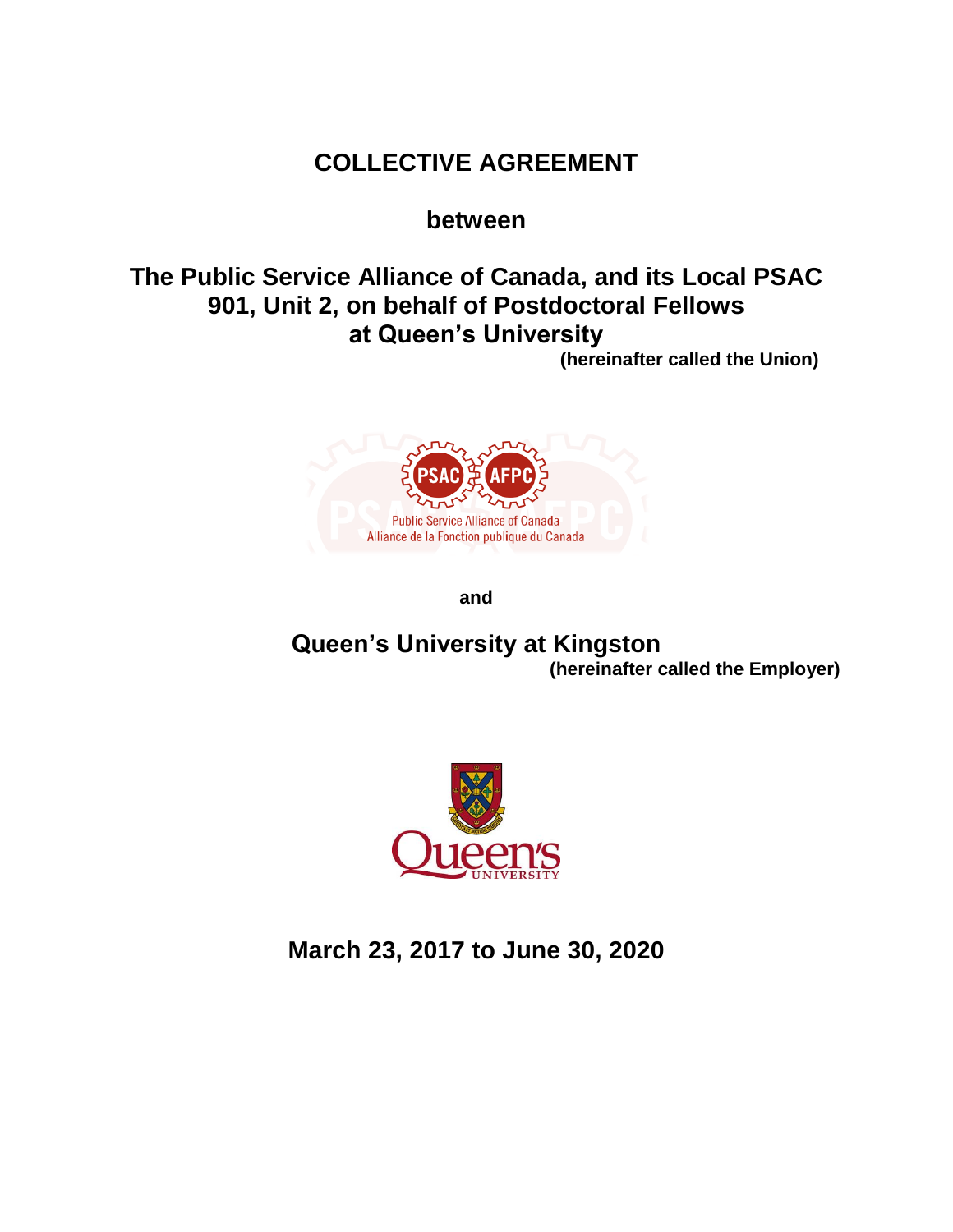# **COLLECTIVE AGREEMENT**

## **between**

# **The Public Service Alliance of Canada, and its Local PSAC 901, Unit 2, on behalf of Postdoctoral Fellows at Queen's University**

**(hereinafter called the Union)**



**and**

## **Queen's University at Kingston (hereinafter called the Employer)**



**March 23, 2017 to June 30, 2020**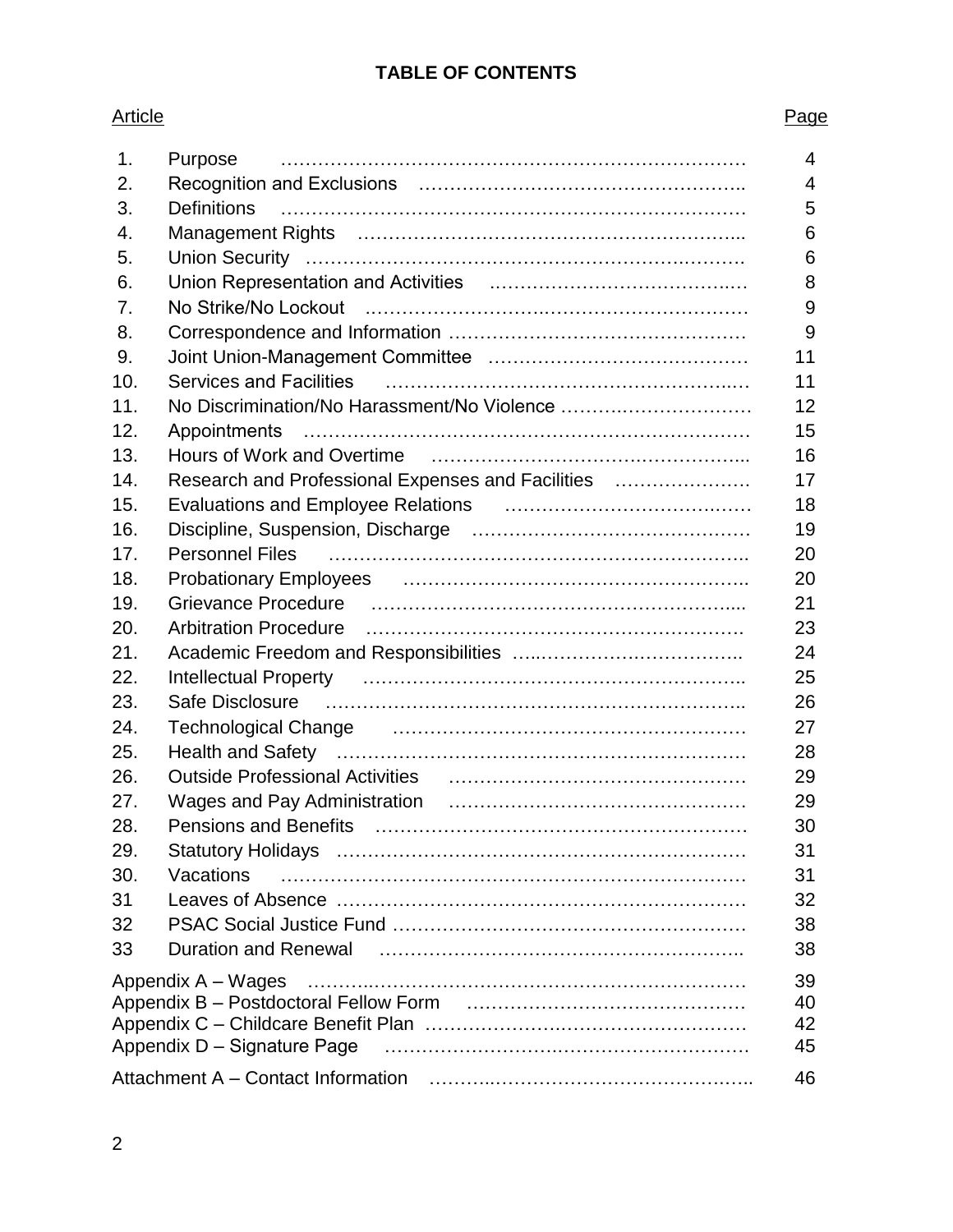### **TABLE OF CONTENTS**

## Article **Page** 1. Purpose ………………………………………………………………… 4 2. Recognition and Exclusions …………………………………………….. 4 3. Definitions ………………………………………………………………… 5 4. Management Rights ……………………………………………………... 6 5. Union Security …………………………………………………….………. 6 6. Union Representation and Activities .………………………………..… 8 7. No Strike/No Lockout .……………………….…………………………… 9 8. Correspondence and Information ………………………………………… 9 9. Joint Union-Management Committee …………………………………… 11 10. Services and Facilities ………………………………………………..… 11 11. No Discrimination/No Harassment/No Violence ……….………………… 12 12. Appointments ……………………………………………………………… 15 13. Hours of Work and Overtime …………………………….……………... 16 14. Research and Professional Expenses and Facilities …………………. 17 15. Evaluations and Employee Relations …………………………….…… 18 16. Discipline, Suspension, Discharge ……………………………………… 19 17. Personnel Files ………………………………………………………….. 20 18. Probationary Employees ……………………………………………….. 20 19. Grievance Procedure ………………………………………………….... 21 20. Arbitration Procedure ……………………………………………………. 23 21. Academic Freedom and Responsibilities …..…………….…………….. 24 22. Intellectual Property …………………………………………………….. 25 23. Safe Disclosure ………………………………………………………….. 26 24. Technological Change ………………………………………………… 27 25. Health and Safety ………………………………………………………… 28 26. Outside Professional Activities ………………………………………… 29 27. Wages and Pay Administration ………………………………………… 29 28. Pensions and Benefits …………………………………………………… 30 29. Statutory Holidays ………………………………………………………… 31 30. Vacations ………………………………………………………………… 31 31 Leaves of Absence ………………………………………………………… 32 32 PSAC Social Justice Fund ………………………………………………… 38 33 Duration and Renewal ………………………………………………….. 38 Appendix A – Wages ………..…………………………………………………… 39 Appendix B – Postdoctoral Fellow Form ……………………………………… 40 Appendix C – Childcare Benefit Plan ………………….………………………… 42 Appendix D – Signature Page ……………………….…………………………. 45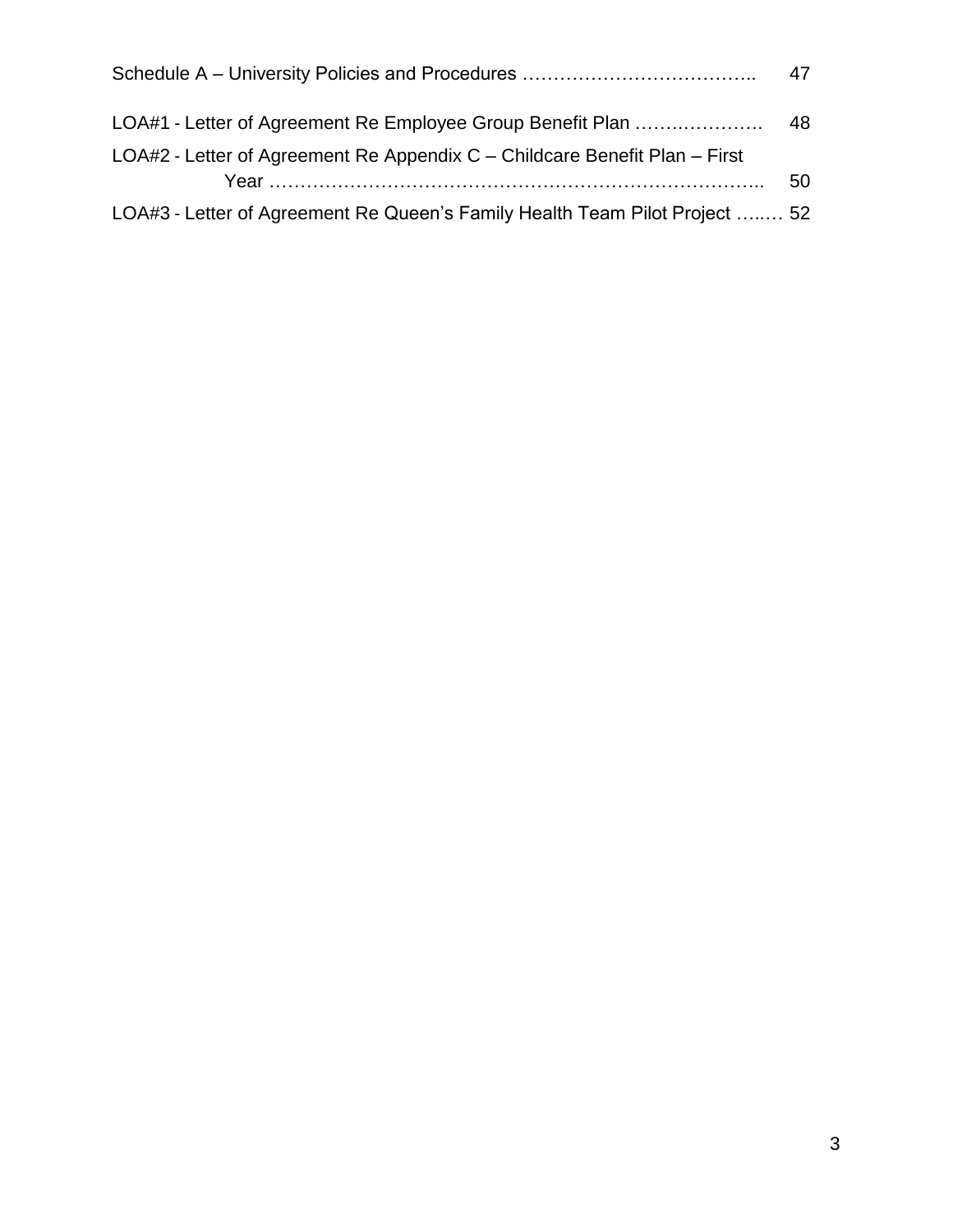|                                                                             | 47 |
|-----------------------------------------------------------------------------|----|
|                                                                             |    |
| LOA#2 - Letter of Agreement Re Appendix C – Childcare Benefit Plan – First  | 50 |
| LOA#3 - Letter of Agreement Re Queen's Family Health Team Pilot Project  52 |    |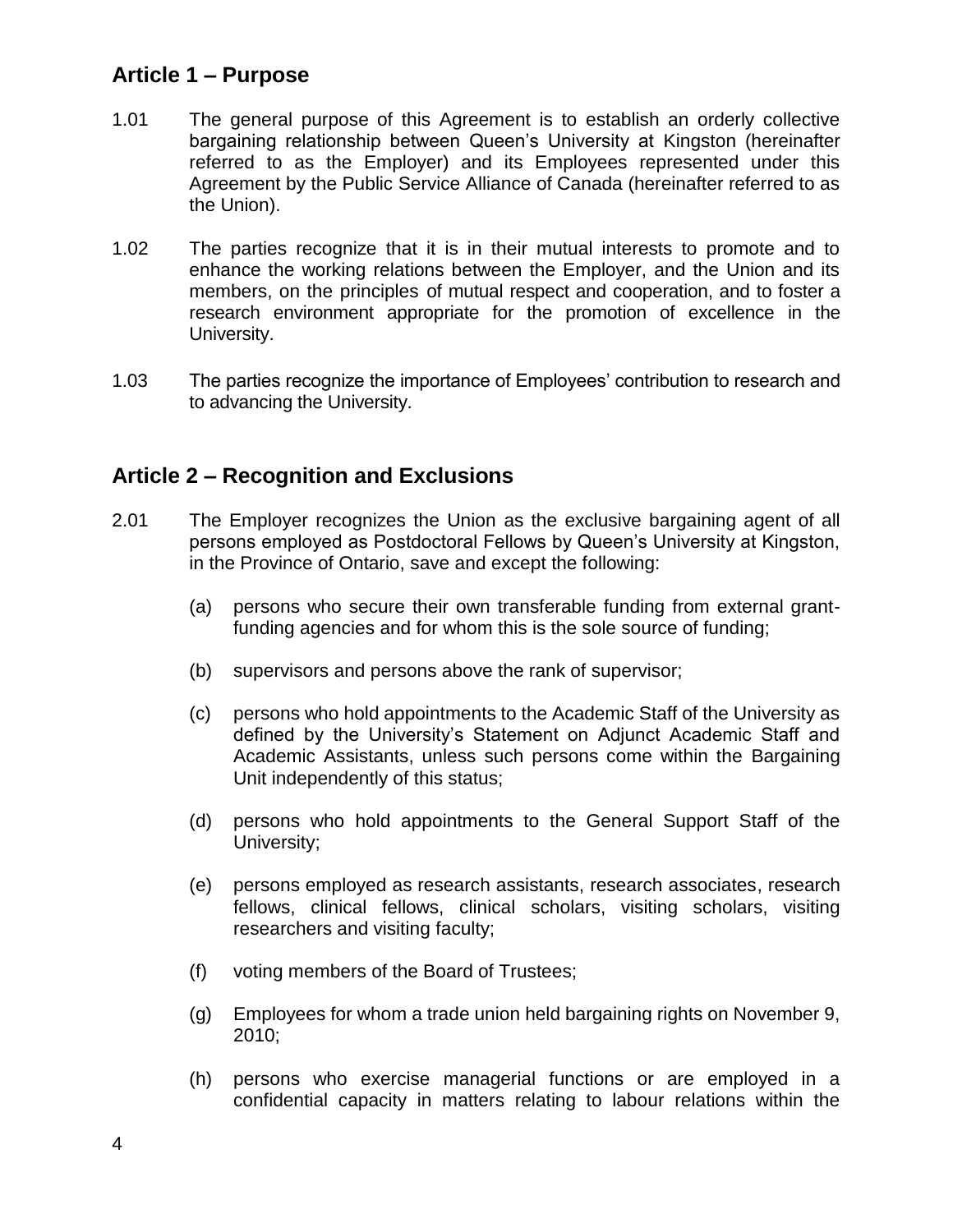## **Article 1 – Purpose**

- 1.01 The general purpose of this Agreement is to establish an orderly collective bargaining relationship between Queen's University at Kingston (hereinafter referred to as the Employer) and its Employees represented under this Agreement by the Public Service Alliance of Canada (hereinafter referred to as the Union).
- 1.02 The parties recognize that it is in their mutual interests to promote and to enhance the working relations between the Employer, and the Union and its members, on the principles of mutual respect and cooperation, and to foster a research environment appropriate for the promotion of excellence in the University.
- 1.03 The parties recognize the importance of Employees' contribution to research and to advancing the University.

## **Article 2 – Recognition and Exclusions**

- 2.01 The Employer recognizes the Union as the exclusive bargaining agent of all persons employed as Postdoctoral Fellows by Queen's University at Kingston, in the Province of Ontario, save and except the following:
	- (a) persons who secure their own transferable funding from external grantfunding agencies and for whom this is the sole source of funding;
	- (b) supervisors and persons above the rank of supervisor;
	- (c) persons who hold appointments to the Academic Staff of the University as defined by the University's Statement on Adjunct Academic Staff and Academic Assistants, unless such persons come within the Bargaining Unit independently of this status;
	- (d) persons who hold appointments to the General Support Staff of the University;
	- (e) persons employed as research assistants, research associates, research fellows, clinical fellows, clinical scholars, visiting scholars, visiting researchers and visiting faculty;
	- (f) voting members of the Board of Trustees;
	- (g) Employees for whom a trade union held bargaining rights on November 9, 2010;
	- (h) persons who exercise managerial functions or are employed in a confidential capacity in matters relating to labour relations within the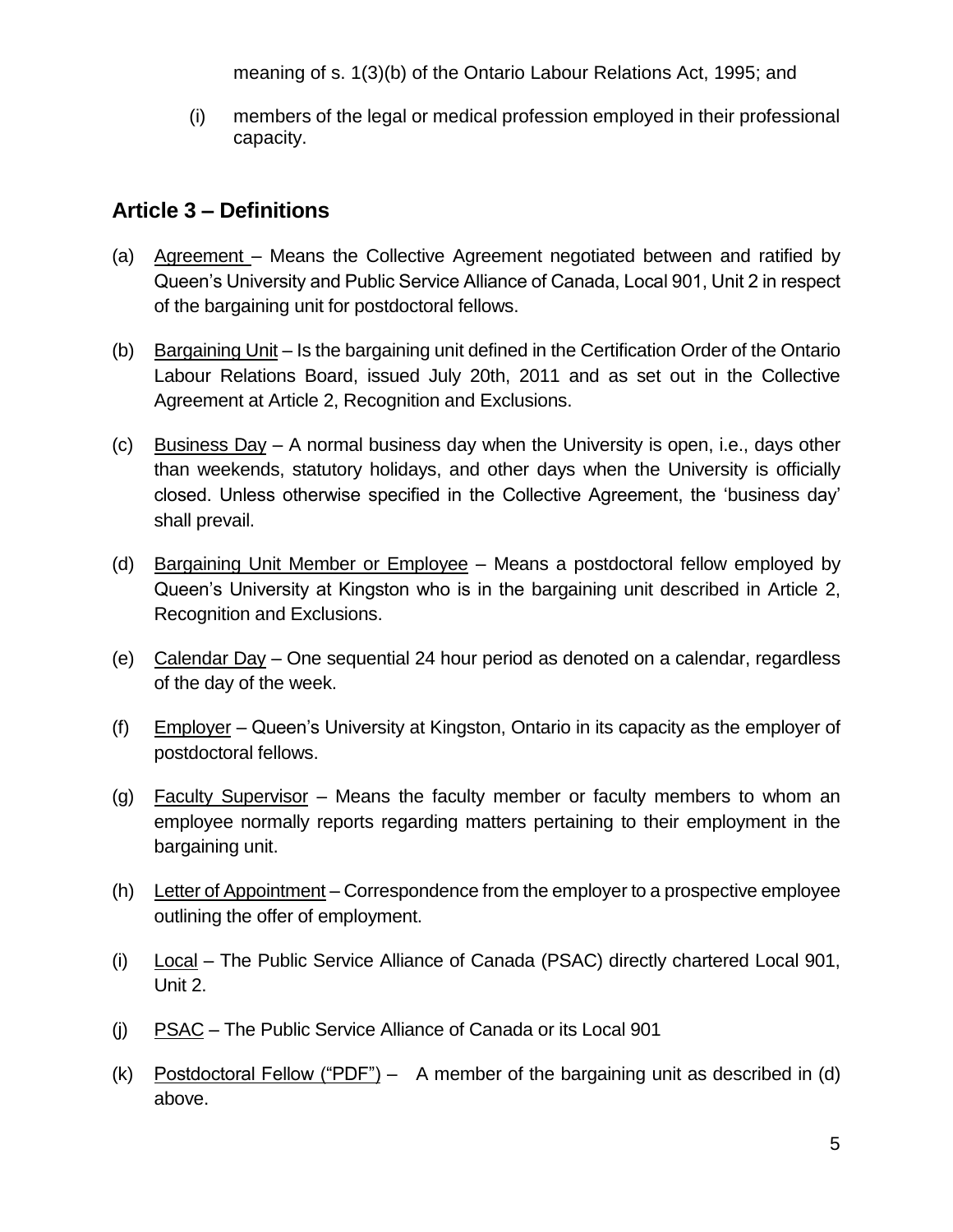meaning of s. 1(3)(b) of the Ontario Labour Relations Act, 1995; and

(i) members of the legal or medical profession employed in their professional capacity.

## **Article 3 – Definitions**

- (a) Agreement Means the Collective Agreement negotiated between and ratified by Queen's University and Public Service Alliance of Canada, Local 901, Unit 2 in respect of the bargaining unit for postdoctoral fellows.
- (b) Bargaining Unit Is the bargaining unit defined in the Certification Order of the Ontario Labour Relations Board, issued July 20th, 2011 and as set out in the Collective Agreement at Article 2, Recognition and Exclusions.
- (c) Business Day A normal business day when the University is open, i.e., days other than weekends, statutory holidays, and other days when the University is officially closed. Unless otherwise specified in the Collective Agreement, the 'business day' shall prevail.
- (d) Bargaining Unit Member or Employee Means a postdoctoral fellow employed by Queen's University at Kingston who is in the bargaining unit described in Article 2, Recognition and Exclusions.
- (e) Calendar Day One sequential 24 hour period as denoted on a calendar, regardless of the day of the week.
- (f) Employer Queen's University at Kingston, Ontario in its capacity as the employer of postdoctoral fellows.
- (g) Faculty Supervisor Means the faculty member or faculty members to whom an employee normally reports regarding matters pertaining to their employment in the bargaining unit.
- (h) Letter of Appointment Correspondence from the employer to a prospective employee outlining the offer of employment.
- (i) Local The Public Service Alliance of Canada (PSAC) directly chartered Local 901, Unit 2.
- (j) PSAC The Public Service Alliance of Canada or its Local 901
- (k) Postdoctoral Fellow ("PDF") A member of the bargaining unit as described in (d) above.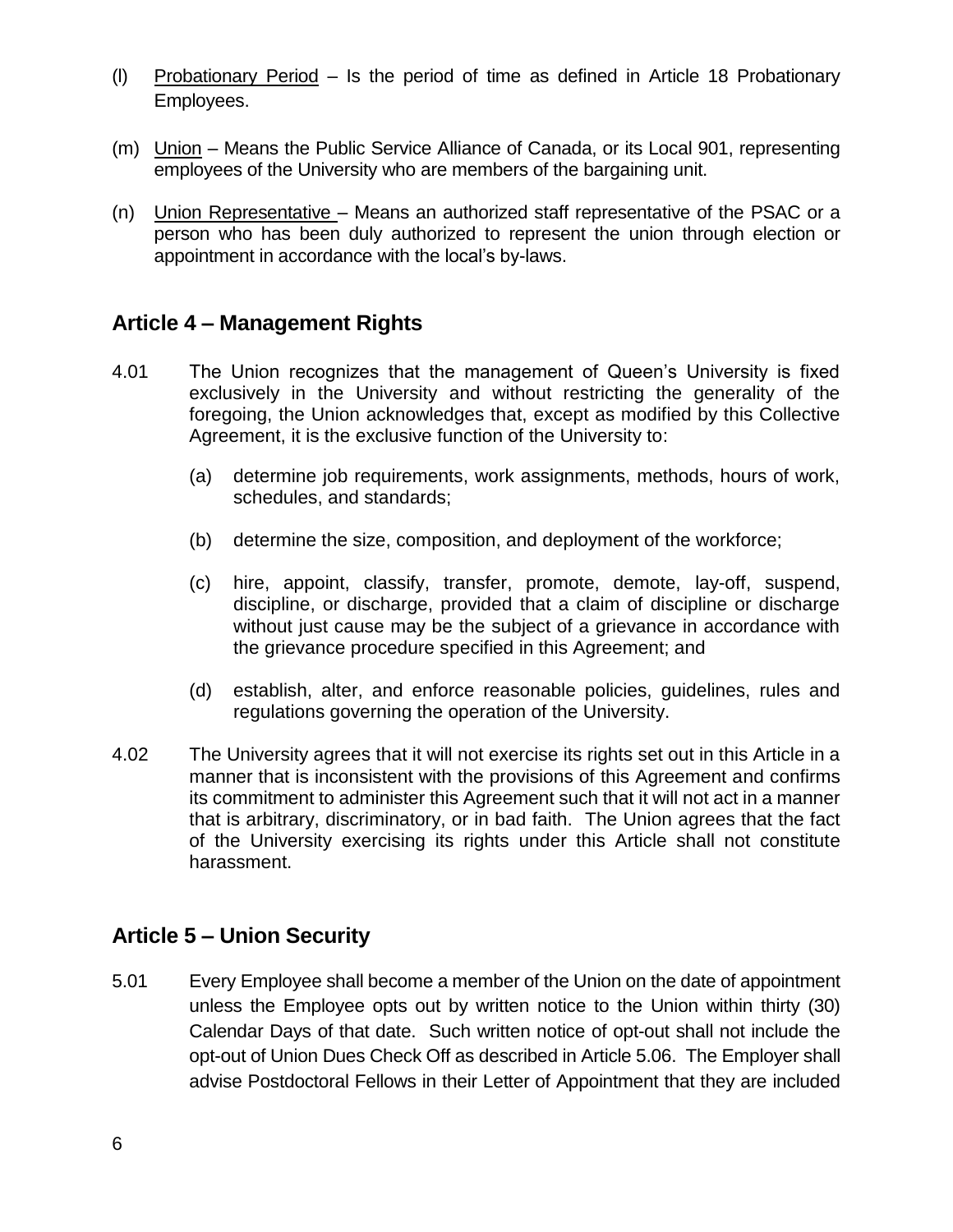- (l) Probationary Period Is the period of time as defined in Article 18 Probationary Employees.
- (m) Union Means the Public Service Alliance of Canada, or its Local 901, representing employees of the University who are members of the bargaining unit.
- (n) Union Representative Means an authorized staff representative of the PSAC or a person who has been duly authorized to represent the union through election or appointment in accordance with the local's by-laws.

## **Article 4 – Management Rights**

- 4.01 The Union recognizes that the management of Queen's University is fixed exclusively in the University and without restricting the generality of the foregoing, the Union acknowledges that, except as modified by this Collective Agreement, it is the exclusive function of the University to:
	- (a) determine job requirements, work assignments, methods, hours of work, schedules, and standards;
	- (b) determine the size, composition, and deployment of the workforce;
	- (c) hire, appoint, classify, transfer, promote, demote, lay-off, suspend, discipline, or discharge, provided that a claim of discipline or discharge without just cause may be the subject of a grievance in accordance with the grievance procedure specified in this Agreement; and
	- (d) establish, alter, and enforce reasonable policies, guidelines, rules and regulations governing the operation of the University.
- 4.02 The University agrees that it will not exercise its rights set out in this Article in a manner that is inconsistent with the provisions of this Agreement and confirms its commitment to administer this Agreement such that it will not act in a manner that is arbitrary, discriminatory, or in bad faith. The Union agrees that the fact of the University exercising its rights under this Article shall not constitute harassment.

## **Article 5 – Union Security**

5.01 Every Employee shall become a member of the Union on the date of appointment unless the Employee opts out by written notice to the Union within thirty (30) Calendar Days of that date. Such written notice of opt-out shall not include the opt-out of Union Dues Check Off as described in Article 5.06. The Employer shall advise Postdoctoral Fellows in their Letter of Appointment that they are included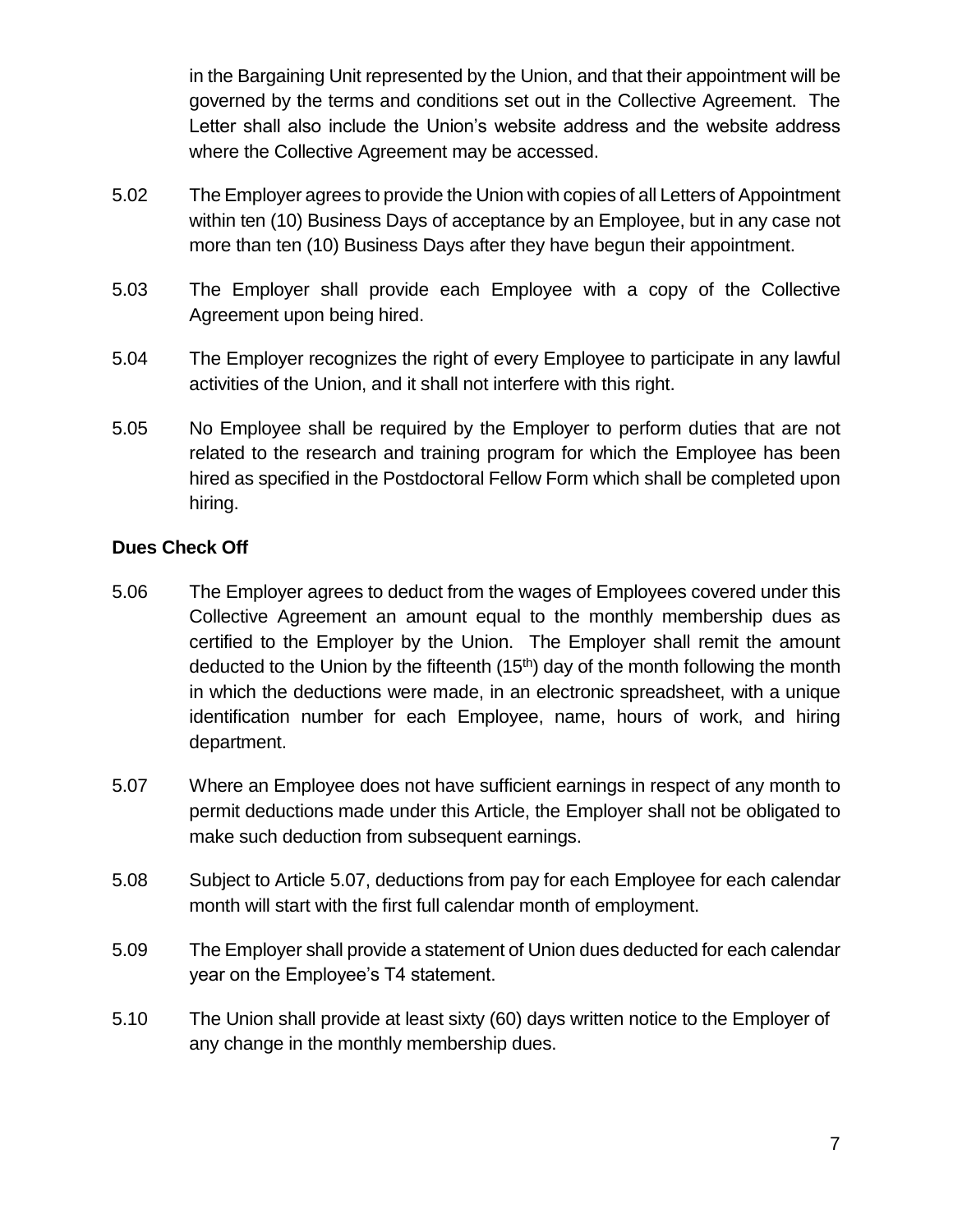in the Bargaining Unit represented by the Union, and that their appointment will be governed by the terms and conditions set out in the Collective Agreement. The Letter shall also include the Union's website address and the website address where the Collective Agreement may be accessed.

- 5.02 The Employer agrees to provide the Union with copies of all Letters of Appointment within ten (10) Business Days of acceptance by an Employee, but in any case not more than ten (10) Business Days after they have begun their appointment.
- 5.03 The Employer shall provide each Employee with a copy of the Collective Agreement upon being hired.
- 5.04 The Employer recognizes the right of every Employee to participate in any lawful activities of the Union, and it shall not interfere with this right.
- 5.05 No Employee shall be required by the Employer to perform duties that are not related to the research and training program for which the Employee has been hired as specified in the Postdoctoral Fellow Form which shall be completed upon hiring.

### **Dues Check Off**

- 5.06 The Employer agrees to deduct from the wages of Employees covered under this Collective Agreement an amount equal to the monthly membership dues as certified to the Employer by the Union. The Employer shall remit the amount deducted to the Union by the fifteenth (15<sup>th</sup>) day of the month following the month in which the deductions were made, in an electronic spreadsheet, with a unique identification number for each Employee, name, hours of work, and hiring department.
- 5.07 Where an Employee does not have sufficient earnings in respect of any month to permit deductions made under this Article, the Employer shall not be obligated to make such deduction from subsequent earnings.
- 5.08 Subject to Article 5.07, deductions from pay for each Employee for each calendar month will start with the first full calendar month of employment.
- 5.09 The Employer shall provide a statement of Union dues deducted for each calendar year on the Employee's T4 statement.
- 5.10 The Union shall provide at least sixty (60) days written notice to the Employer of any change in the monthly membership dues.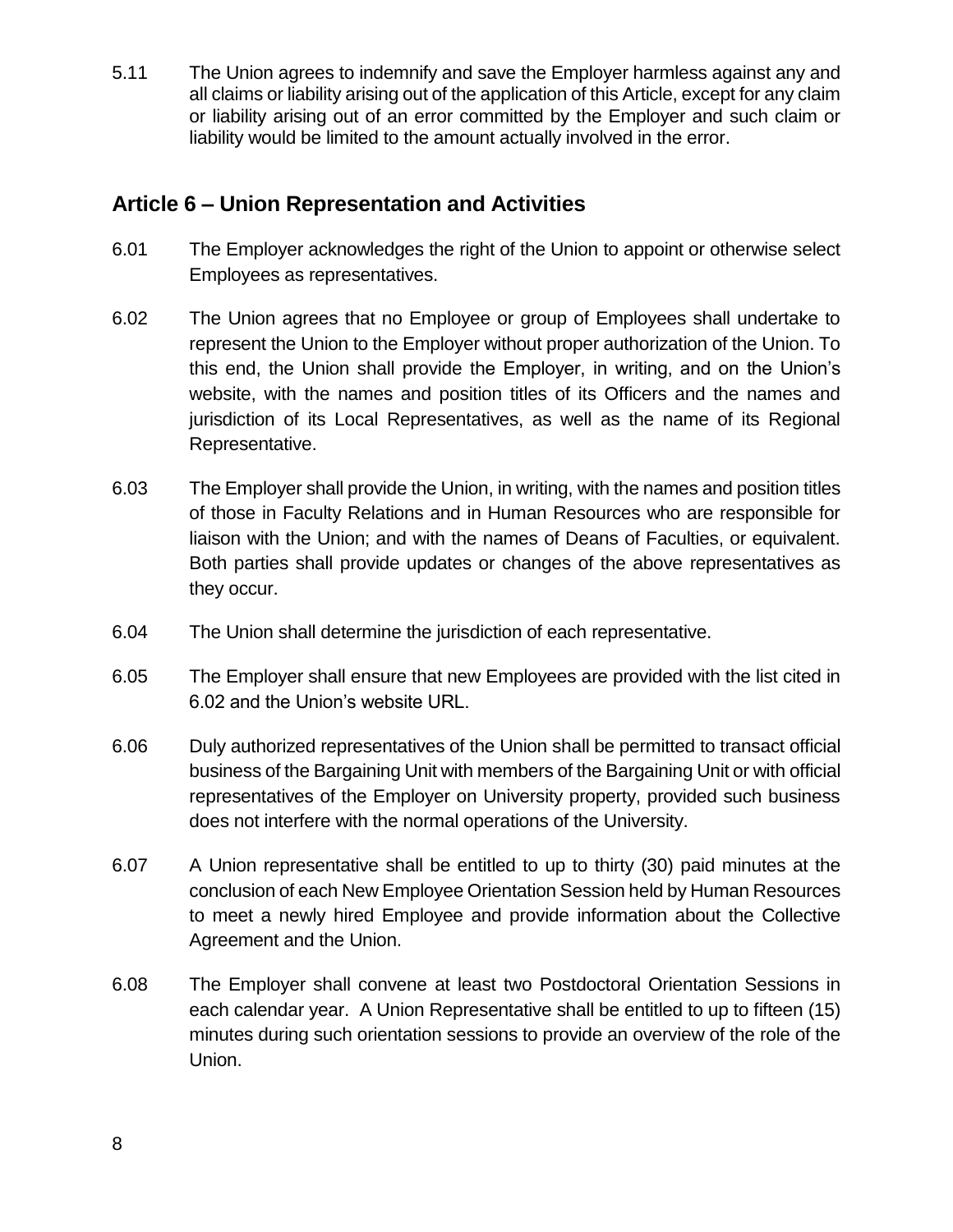5.11 The Union agrees to indemnify and save the Employer harmless against any and all claims or liability arising out of the application of this Article, except for any claim or liability arising out of an error committed by the Employer and such claim or liability would be limited to the amount actually involved in the error.

## **Article 6 – Union Representation and Activities**

- 6.01 The Employer acknowledges the right of the Union to appoint or otherwise select Employees as representatives.
- 6.02 The Union agrees that no Employee or group of Employees shall undertake to represent the Union to the Employer without proper authorization of the Union. To this end, the Union shall provide the Employer, in writing, and on the Union's website, with the names and position titles of its Officers and the names and jurisdiction of its Local Representatives, as well as the name of its Regional Representative.
- 6.03 The Employer shall provide the Union, in writing, with the names and position titles of those in Faculty Relations and in Human Resources who are responsible for liaison with the Union; and with the names of Deans of Faculties, or equivalent. Both parties shall provide updates or changes of the above representatives as they occur.
- 6.04 The Union shall determine the jurisdiction of each representative.
- 6.05 The Employer shall ensure that new Employees are provided with the list cited in 6.02 and the Union's website URL.
- 6.06 Duly authorized representatives of the Union shall be permitted to transact official business of the Bargaining Unit with members of the Bargaining Unit or with official representatives of the Employer on University property, provided such business does not interfere with the normal operations of the University.
- 6.07 A Union representative shall be entitled to up to thirty (30) paid minutes at the conclusion of each New Employee Orientation Session held by Human Resources to meet a newly hired Employee and provide information about the Collective Agreement and the Union.
- 6.08 The Employer shall convene at least two Postdoctoral Orientation Sessions in each calendar year. A Union Representative shall be entitled to up to fifteen (15) minutes during such orientation sessions to provide an overview of the role of the Union.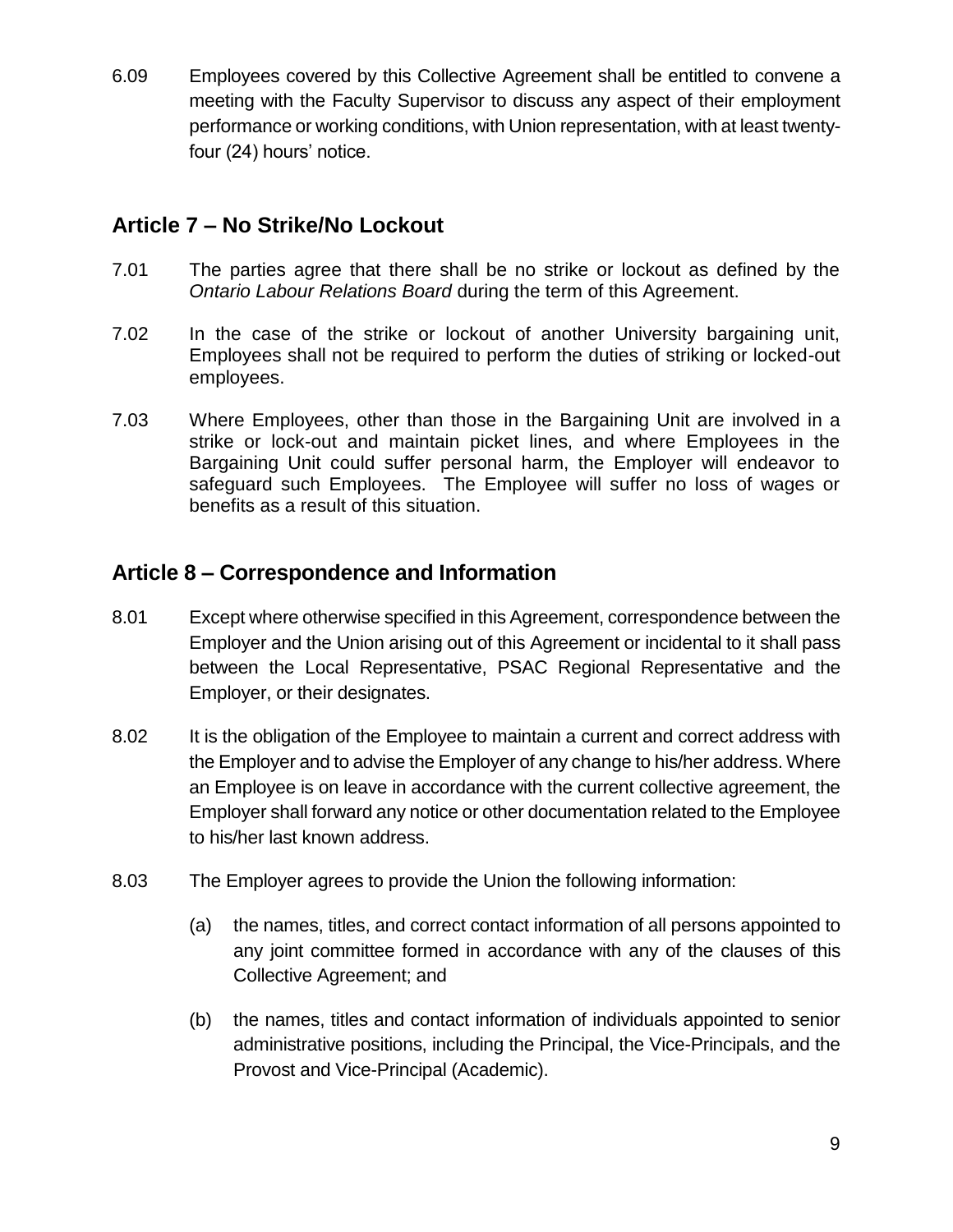6.09 Employees covered by this Collective Agreement shall be entitled to convene a meeting with the Faculty Supervisor to discuss any aspect of their employment performance or working conditions, with Union representation, with at least twentyfour (24) hours' notice.

## **Article 7 – No Strike/No Lockout**

- 7.01 The parties agree that there shall be no strike or lockout as defined by the *Ontario Labour Relations Board* during the term of this Agreement.
- 7.02 In the case of the strike or lockout of another University bargaining unit, Employees shall not be required to perform the duties of striking or locked-out employees.
- 7.03 Where Employees, other than those in the Bargaining Unit are involved in a strike or lock-out and maintain picket lines, and where Employees in the Bargaining Unit could suffer personal harm, the Employer will endeavor to safeguard such Employees. The Employee will suffer no loss of wages or benefits as a result of this situation.

## **Article 8 – Correspondence and Information**

- 8.01 Except where otherwise specified in this Agreement, correspondence between the Employer and the Union arising out of this Agreement or incidental to it shall pass between the Local Representative, PSAC Regional Representative and the Employer, or their designates.
- 8.02 It is the obligation of the Employee to maintain a current and correct address with the Employer and to advise the Employer of any change to his/her address. Where an Employee is on leave in accordance with the current collective agreement, the Employer shall forward any notice or other documentation related to the Employee to his/her last known address.
- 8.03 The Employer agrees to provide the Union the following information:
	- (a) the names, titles, and correct contact information of all persons appointed to any joint committee formed in accordance with any of the clauses of this Collective Agreement; and
	- (b) the names, titles and contact information of individuals appointed to senior administrative positions, including the Principal, the Vice-Principals, and the Provost and Vice-Principal (Academic).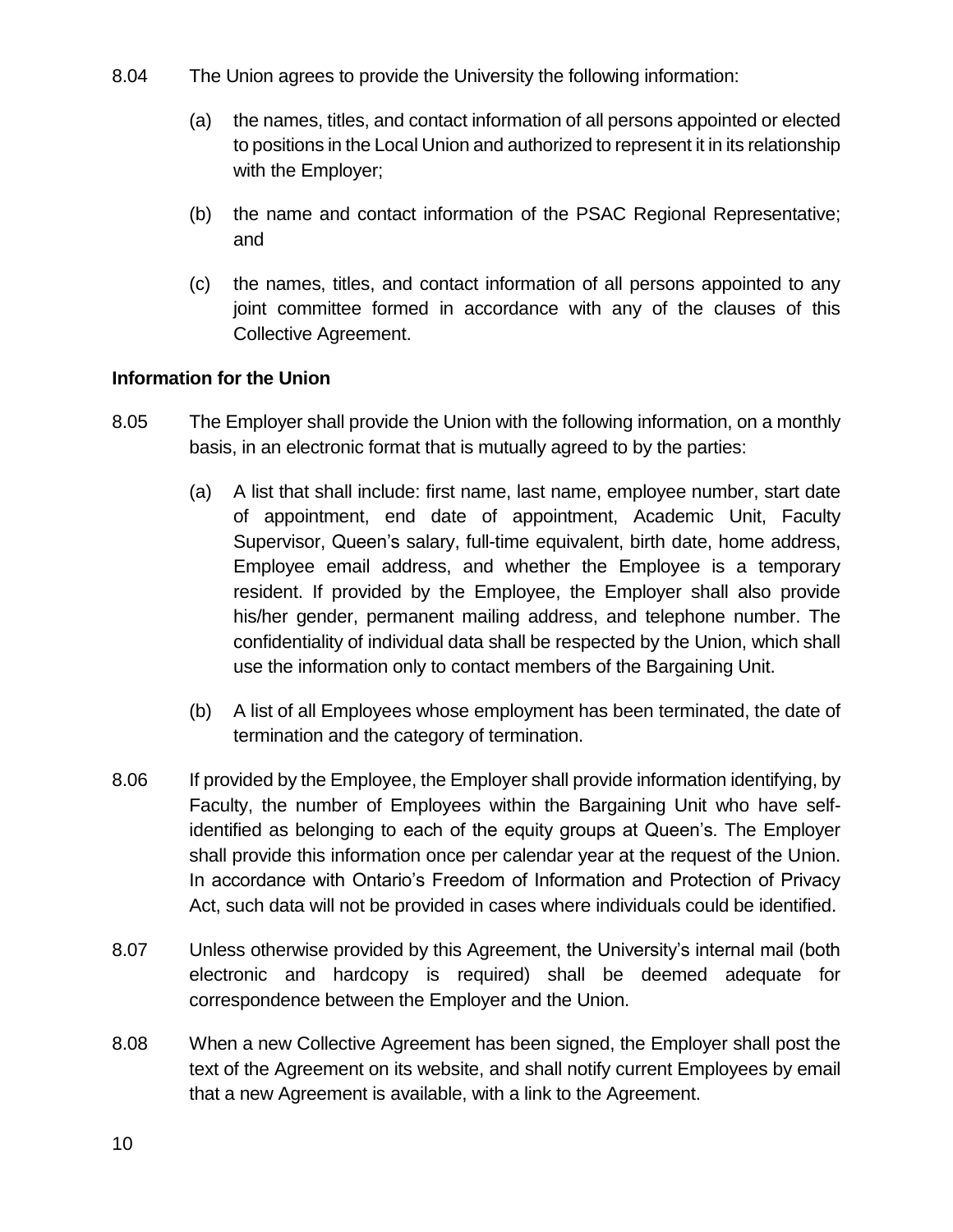- 8.04 The Union agrees to provide the University the following information:
	- (a) the names, titles, and contact information of all persons appointed or elected to positions in the Local Union and authorized to represent it in its relationship with the Employer;
	- (b) the name and contact information of the PSAC Regional Representative; and
	- (c) the names, titles, and contact information of all persons appointed to any joint committee formed in accordance with any of the clauses of this Collective Agreement.

### **Information for the Union**

- 8.05 The Employer shall provide the Union with the following information, on a monthly basis, in an electronic format that is mutually agreed to by the parties:
	- (a) A list that shall include: first name, last name, employee number, start date of appointment, end date of appointment, Academic Unit, Faculty Supervisor, Queen's salary, full-time equivalent, birth date, home address, Employee email address, and whether the Employee is a temporary resident. If provided by the Employee, the Employer shall also provide his/her gender, permanent mailing address, and telephone number. The confidentiality of individual data shall be respected by the Union, which shall use the information only to contact members of the Bargaining Unit.
	- (b) A list of all Employees whose employment has been terminated, the date of termination and the category of termination.
- 8.06 If provided by the Employee, the Employer shall provide information identifying, by Faculty, the number of Employees within the Bargaining Unit who have selfidentified as belonging to each of the equity groups at Queen's. The Employer shall provide this information once per calendar year at the request of the Union. In accordance with Ontario's Freedom of Information and Protection of Privacy Act, such data will not be provided in cases where individuals could be identified.
- 8.07 Unless otherwise provided by this Agreement, the University's internal mail (both electronic and hardcopy is required) shall be deemed adequate for correspondence between the Employer and the Union.
- 8.08 When a new Collective Agreement has been signed, the Employer shall post the text of the Agreement on its website, and shall notify current Employees by email that a new Agreement is available, with a link to the Agreement.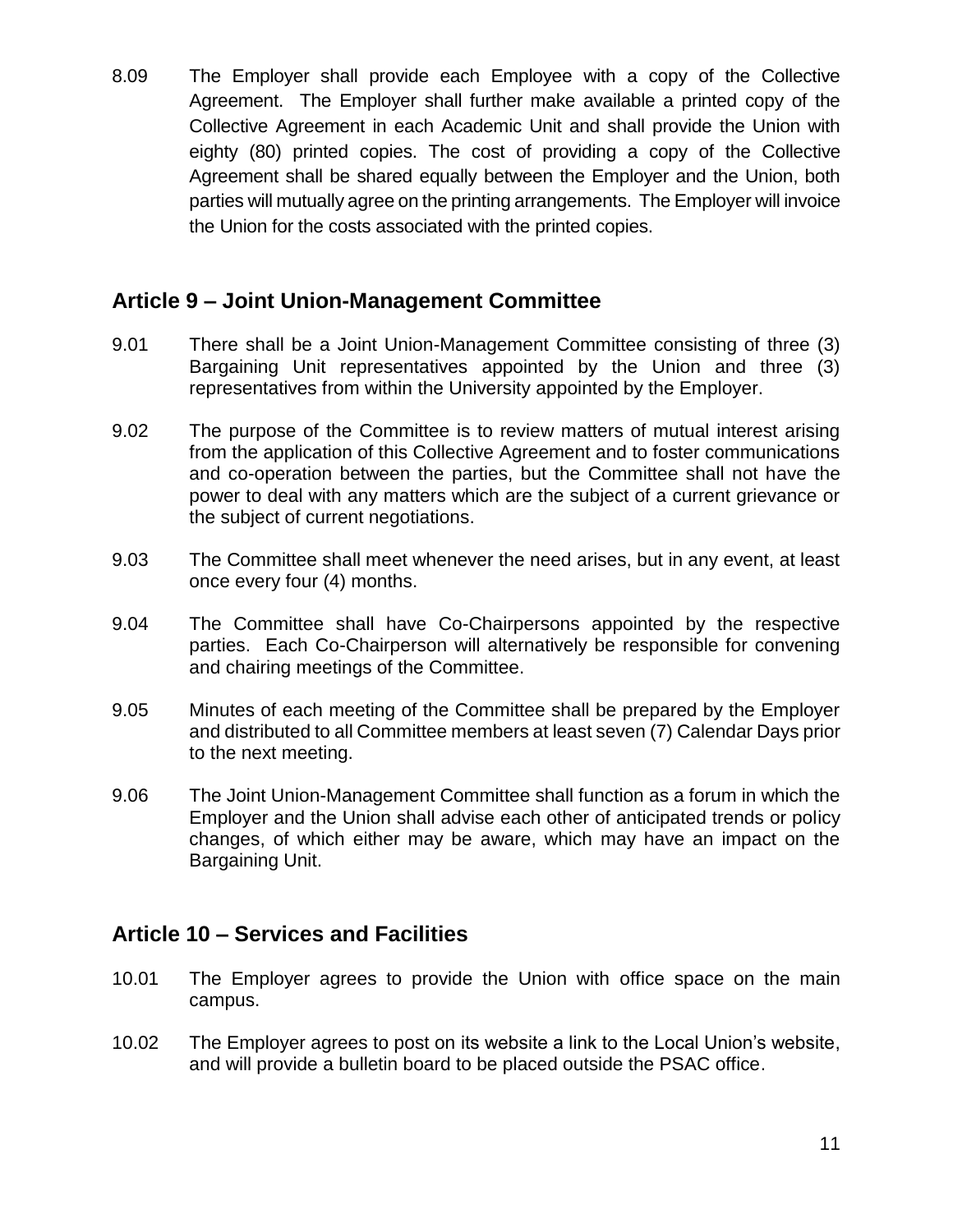8.09 The Employer shall provide each Employee with a copy of the Collective Agreement. The Employer shall further make available a printed copy of the Collective Agreement in each Academic Unit and shall provide the Union with eighty (80) printed copies. The cost of providing a copy of the Collective Agreement shall be shared equally between the Employer and the Union, both parties will mutually agree on the printing arrangements. The Employer will invoice the Union for the costs associated with the printed copies.

## **Article 9 – Joint Union-Management Committee**

- 9.01 There shall be a Joint Union-Management Committee consisting of three (3) Bargaining Unit representatives appointed by the Union and three (3) representatives from within the University appointed by the Employer.
- 9.02 The purpose of the Committee is to review matters of mutual interest arising from the application of this Collective Agreement and to foster communications and co-operation between the parties, but the Committee shall not have the power to deal with any matters which are the subject of a current grievance or the subject of current negotiations.
- 9.03 The Committee shall meet whenever the need arises, but in any event, at least once every four (4) months.
- 9.04 The Committee shall have Co-Chairpersons appointed by the respective parties. Each Co-Chairperson will alternatively be responsible for convening and chairing meetings of the Committee.
- 9.05 Minutes of each meeting of the Committee shall be prepared by the Employer and distributed to all Committee members at least seven (7) Calendar Days prior to the next meeting.
- 9.06 The Joint Union-Management Committee shall function as a forum in which the Employer and the Union shall advise each other of anticipated trends or policy changes, of which either may be aware, which may have an impact on the Bargaining Unit.

## **Article 10 – Services and Facilities**

- 10.01 The Employer agrees to provide the Union with office space on the main campus.
- 10.02 The Employer agrees to post on its website a link to the Local Union's website, and will provide a bulletin board to be placed outside the PSAC office.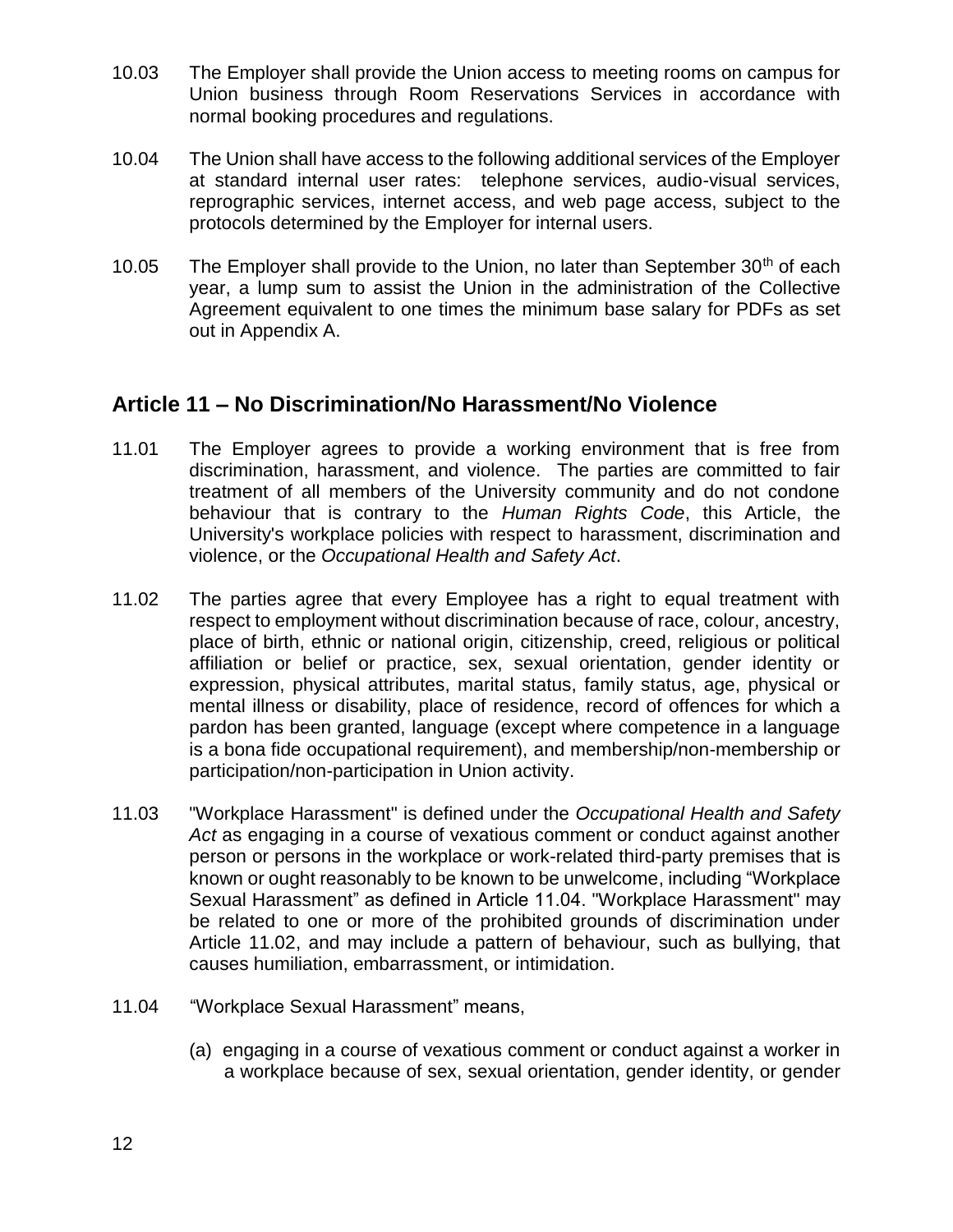- 10.03 The Employer shall provide the Union access to meeting rooms on campus for Union business through Room Reservations Services in accordance with normal booking procedures and regulations.
- 10.04 The Union shall have access to the following additional services of the Employer at standard internal user rates: telephone services, audio-visual services, reprographic services, internet access, and web page access, subject to the protocols determined by the Employer for internal users.
- 10.05 The Employer shall provide to the Union, no later than September  $30<sup>th</sup>$  of each year, a lump sum to assist the Union in the administration of the Collective Agreement equivalent to one times the minimum base salary for PDFs as set out in Appendix A.

## **Article 11 – No Discrimination/No Harassment/No Violence**

- 11.01 The Employer agrees to provide a working environment that is free from discrimination, harassment, and violence. The parties are committed to fair treatment of all members of the University community and do not condone behaviour that is contrary to the *Human Rights Code*, this Article, the University's workplace policies with respect to harassment, discrimination and violence, or the *Occupational Health and Safety Act*.
- 11.02 The parties agree that every Employee has a right to equal treatment with respect to employment without discrimination because of race, colour, ancestry, place of birth, ethnic or national origin, citizenship, creed, religious or political affiliation or belief or practice, sex, sexual orientation, gender identity or expression, physical attributes, marital status, family status, age, physical or mental illness or disability, place of residence, record of offences for which a pardon has been granted, language (except where competence in a language is a bona fide occupational requirement), and membership/non-membership or participation/non-participation in Union activity.
- 11.03 "Workplace Harassment" is defined under the *Occupational Health and Safety Act* as engaging in a course of vexatious comment or conduct against another person or persons in the workplace or work-related third-party premises that is known or ought reasonably to be known to be unwelcome, including "Workplace Sexual Harassment" as defined in Article 11.04. "Workplace Harassment" may be related to one or more of the prohibited grounds of discrimination under Article 11.02, and may include a pattern of behaviour, such as bullying, that causes humiliation, embarrassment, or intimidation.
- 11.04 "Workplace Sexual Harassment" means,
	- (a) engaging in a course of vexatious comment or conduct against a worker in a workplace because of sex, sexual orientation, gender identity, or gender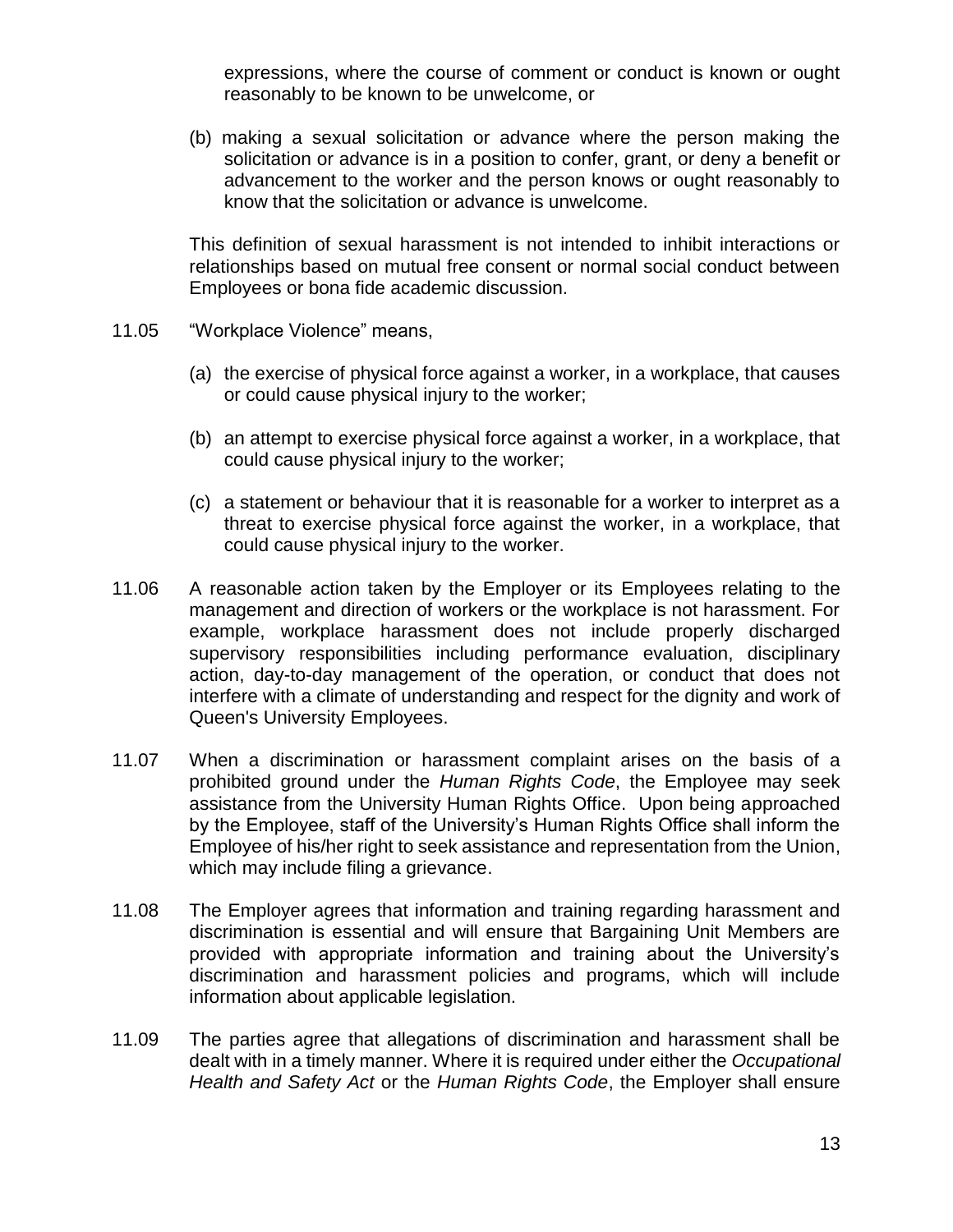expressions, where the course of comment or conduct is known or ought reasonably to be known to be unwelcome, or

(b) making a sexual solicitation or advance where the person making the solicitation or advance is in a position to confer, grant, or deny a benefit or advancement to the worker and the person knows or ought reasonably to know that the solicitation or advance is unwelcome.

This definition of sexual harassment is not intended to inhibit interactions or relationships based on mutual free consent or normal social conduct between Employees or bona fide academic discussion.

- 11.05 "Workplace Violence" means,
	- (a) the exercise of physical force against a worker, in a workplace, that causes or could cause physical injury to the worker;
	- (b) an attempt to exercise physical force against a worker, in a workplace, that could cause physical injury to the worker;
	- (c) a statement or behaviour that it is reasonable for a worker to interpret as a threat to exercise physical force against the worker, in a workplace, that could cause physical injury to the worker.
- 11.06 A reasonable action taken by the Employer or its Employees relating to the management and direction of workers or the workplace is not harassment. For example, workplace harassment does not include properly discharged supervisory responsibilities including performance evaluation, disciplinary action, day-to-day management of the operation, or conduct that does not interfere with a climate of understanding and respect for the dignity and work of Queen's University Employees.
- 11.07 When a discrimination or harassment complaint arises on the basis of a prohibited ground under the *Human Rights Code*, the Employee may seek assistance from the University Human Rights Office. Upon being approached by the Employee, staff of the University's Human Rights Office shall inform the Employee of his/her right to seek assistance and representation from the Union, which may include filing a grievance.
- 11.08 The Employer agrees that information and training regarding harassment and discrimination is essential and will ensure that Bargaining Unit Members are provided with appropriate information and training about the University's discrimination and harassment policies and programs, which will include information about applicable legislation.
- 11.09 The parties agree that allegations of discrimination and harassment shall be dealt with in a timely manner. Where it is required under either the *Occupational Health and Safety Act* or the *Human Rights Code*, the Employer shall ensure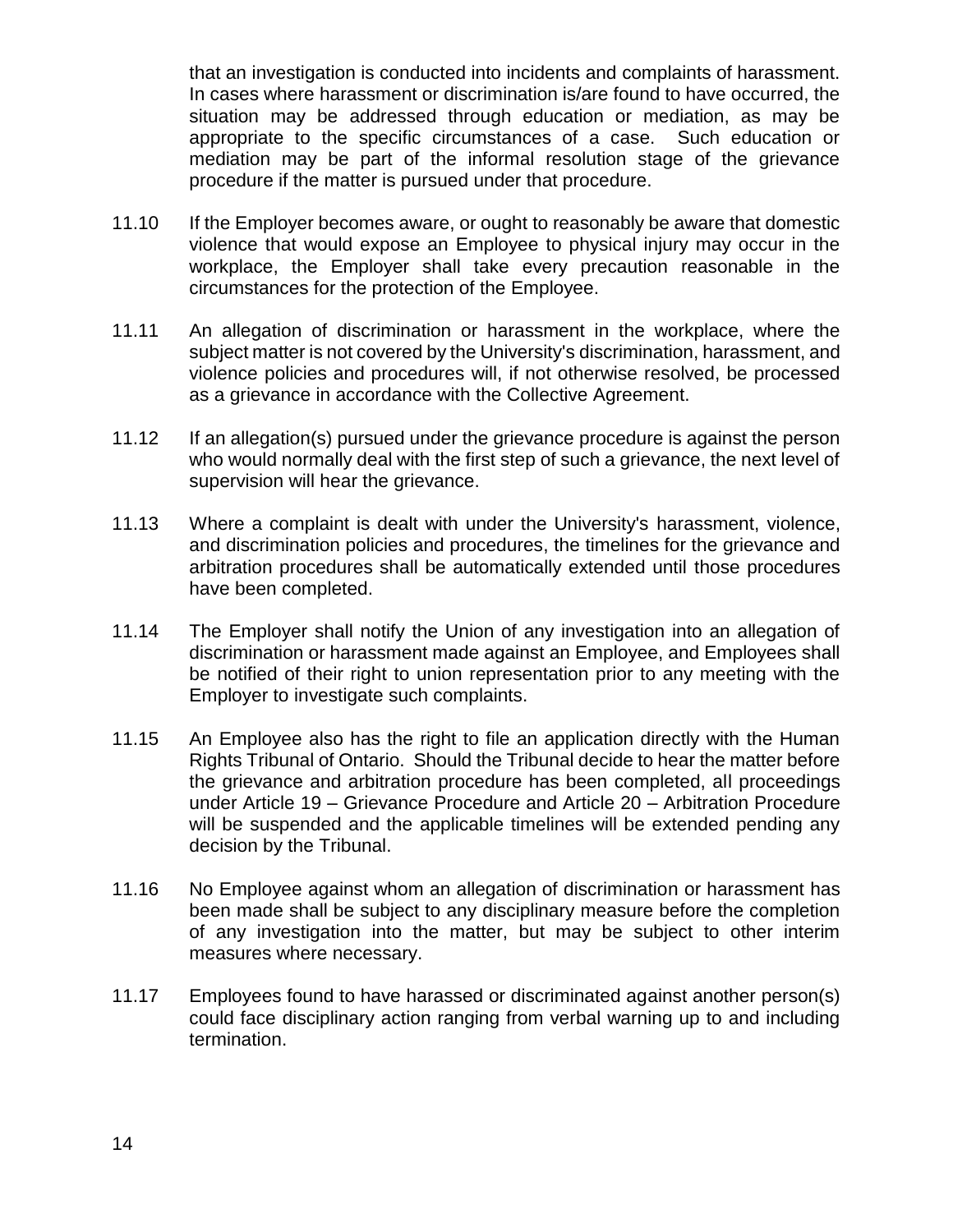that an investigation is conducted into incidents and complaints of harassment. In cases where harassment or discrimination is/are found to have occurred, the situation may be addressed through education or mediation, as may be appropriate to the specific circumstances of a case. Such education or mediation may be part of the informal resolution stage of the grievance procedure if the matter is pursued under that procedure.

- 11.10 If the Employer becomes aware, or ought to reasonably be aware that domestic violence that would expose an Employee to physical injury may occur in the workplace, the Employer shall take every precaution reasonable in the circumstances for the protection of the Employee.
- 11.11 An allegation of discrimination or harassment in the workplace, where the subject matter is not covered by the University's discrimination, harassment, and violence policies and procedures will, if not otherwise resolved, be processed as a grievance in accordance with the Collective Agreement.
- 11.12 If an allegation(s) pursued under the grievance procedure is against the person who would normally deal with the first step of such a grievance, the next level of supervision will hear the grievance.
- 11.13 Where a complaint is dealt with under the University's harassment, violence, and discrimination policies and procedures, the timelines for the grievance and arbitration procedures shall be automatically extended until those procedures have been completed.
- 11.14 The Employer shall notify the Union of any investigation into an allegation of discrimination or harassment made against an Employee, and Employees shall be notified of their right to union representation prior to any meeting with the Employer to investigate such complaints.
- 11.15 An Employee also has the right to file an application directly with the Human Rights Tribunal of Ontario. Should the Tribunal decide to hear the matter before the grievance and arbitration procedure has been completed, all proceedings under Article 19 – Grievance Procedure and Article 20 – Arbitration Procedure will be suspended and the applicable timelines will be extended pending any decision by the Tribunal.
- 11.16 No Employee against whom an allegation of discrimination or harassment has been made shall be subject to any disciplinary measure before the completion of any investigation into the matter, but may be subject to other interim measures where necessary.
- 11.17 Employees found to have harassed or discriminated against another person(s) could face disciplinary action ranging from verbal warning up to and including termination.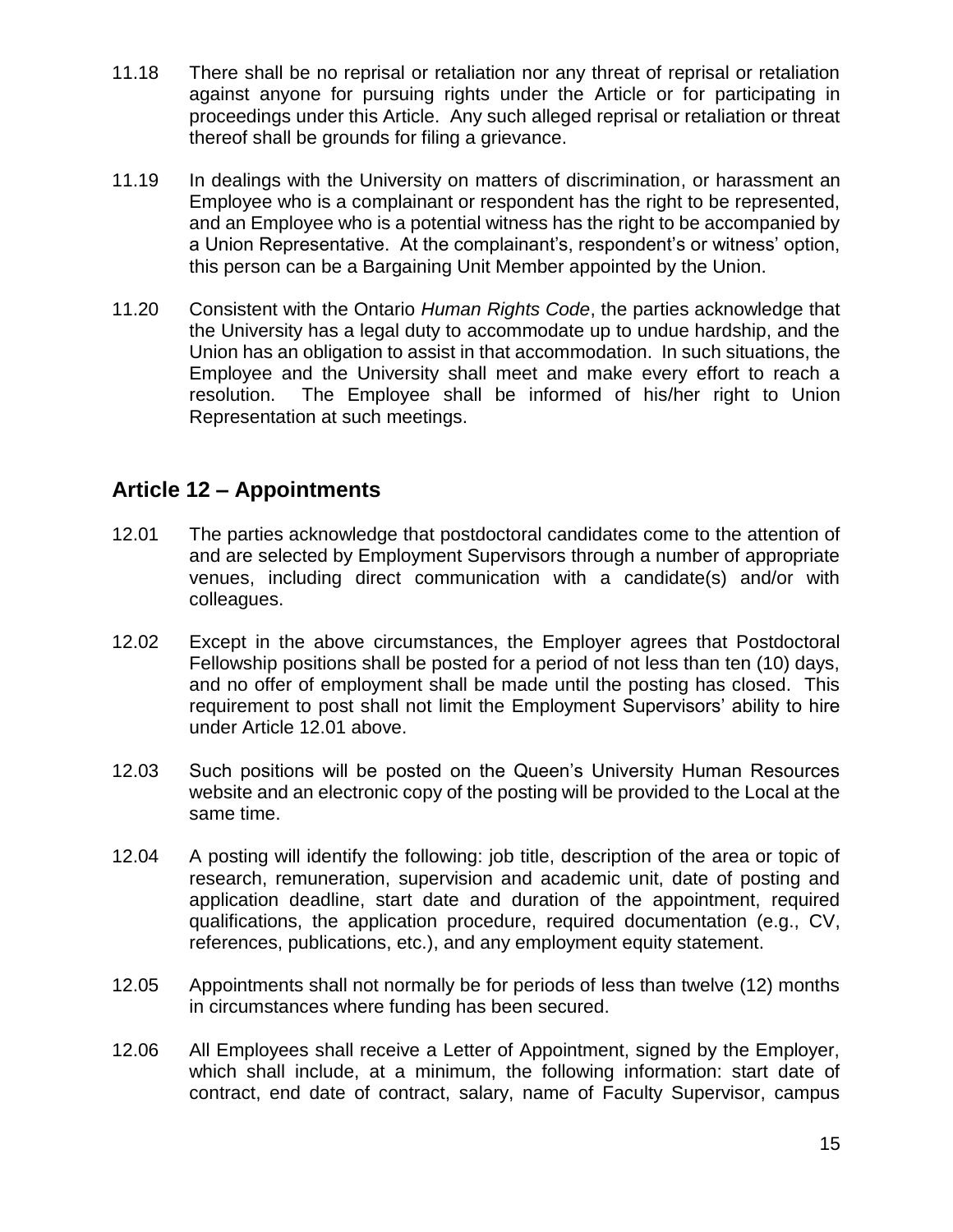- 11.18 There shall be no reprisal or retaliation nor any threat of reprisal or retaliation against anyone for pursuing rights under the Article or for participating in proceedings under this Article. Any such alleged reprisal or retaliation or threat thereof shall be grounds for filing a grievance.
- 11.19 In dealings with the University on matters of discrimination, or harassment an Employee who is a complainant or respondent has the right to be represented, and an Employee who is a potential witness has the right to be accompanied by a Union Representative. At the complainant's, respondent's or witness' option, this person can be a Bargaining Unit Member appointed by the Union.
- 11.20 Consistent with the Ontario *Human Rights Code*, the parties acknowledge that the University has a legal duty to accommodate up to undue hardship, and the Union has an obligation to assist in that accommodation. In such situations, the Employee and the University shall meet and make every effort to reach a resolution. The Employee shall be informed of his/her right to Union Representation at such meetings.

## **Article 12 – Appointments**

- 12.01 The parties acknowledge that postdoctoral candidates come to the attention of and are selected by Employment Supervisors through a number of appropriate venues, including direct communication with a candidate(s) and/or with colleagues.
- 12.02 Except in the above circumstances, the Employer agrees that Postdoctoral Fellowship positions shall be posted for a period of not less than ten (10) days, and no offer of employment shall be made until the posting has closed. This requirement to post shall not limit the Employment Supervisors' ability to hire under Article 12.01 above.
- 12.03 Such positions will be posted on the Queen's University Human Resources website and an electronic copy of the posting will be provided to the Local at the same time.
- 12.04 A posting will identify the following: job title, description of the area or topic of research, remuneration, supervision and academic unit, date of posting and application deadline, start date and duration of the appointment, required qualifications, the application procedure, required documentation (e.g., CV, references, publications, etc.), and any employment equity statement.
- 12.05 Appointments shall not normally be for periods of less than twelve (12) months in circumstances where funding has been secured.
- 12.06 All Employees shall receive a Letter of Appointment, signed by the Employer, which shall include, at a minimum, the following information: start date of contract, end date of contract, salary, name of Faculty Supervisor, campus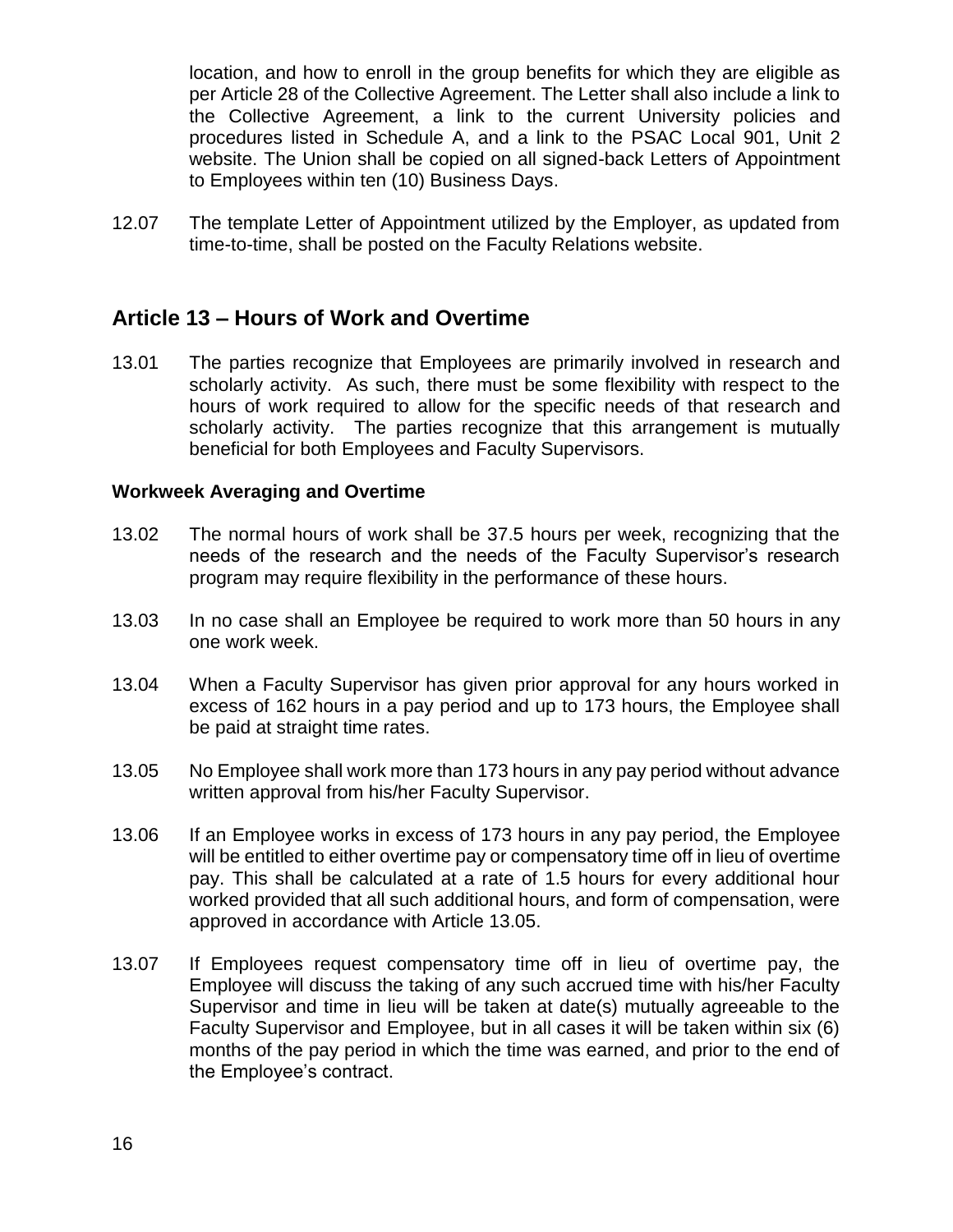location, and how to enroll in the group benefits for which they are eligible as per Article 28 of the Collective Agreement. The Letter shall also include a link to the Collective Agreement, a link to the current University policies and procedures listed in Schedule A, and a link to the PSAC Local 901, Unit 2 website. The Union shall be copied on all signed-back Letters of Appointment to Employees within ten (10) Business Days.

12.07 The template Letter of Appointment utilized by the Employer, as updated from time-to-time, shall be posted on the Faculty Relations website.

## **Article 13 – Hours of Work and Overtime**

13.01 The parties recognize that Employees are primarily involved in research and scholarly activity. As such, there must be some flexibility with respect to the hours of work required to allow for the specific needs of that research and scholarly activity. The parties recognize that this arrangement is mutually beneficial for both Employees and Faculty Supervisors.

#### **Workweek Averaging and Overtime**

- 13.02 The normal hours of work shall be 37.5 hours per week, recognizing that the needs of the research and the needs of the Faculty Supervisor's research program may require flexibility in the performance of these hours.
- 13.03 In no case shall an Employee be required to work more than 50 hours in any one work week.
- 13.04 When a Faculty Supervisor has given prior approval for any hours worked in excess of 162 hours in a pay period and up to 173 hours, the Employee shall be paid at straight time rates.
- 13.05 No Employee shall work more than 173 hours in any pay period without advance written approval from his/her Faculty Supervisor.
- 13.06 If an Employee works in excess of 173 hours in any pay period, the Employee will be entitled to either overtime pay or compensatory time off in lieu of overtime pay. This shall be calculated at a rate of 1.5 hours for every additional hour worked provided that all such additional hours, and form of compensation, were approved in accordance with Article 13.05.
- 13.07 If Employees request compensatory time off in lieu of overtime pay, the Employee will discuss the taking of any such accrued time with his/her Faculty Supervisor and time in lieu will be taken at date(s) mutually agreeable to the Faculty Supervisor and Employee, but in all cases it will be taken within six (6) months of the pay period in which the time was earned, and prior to the end of the Employee's contract.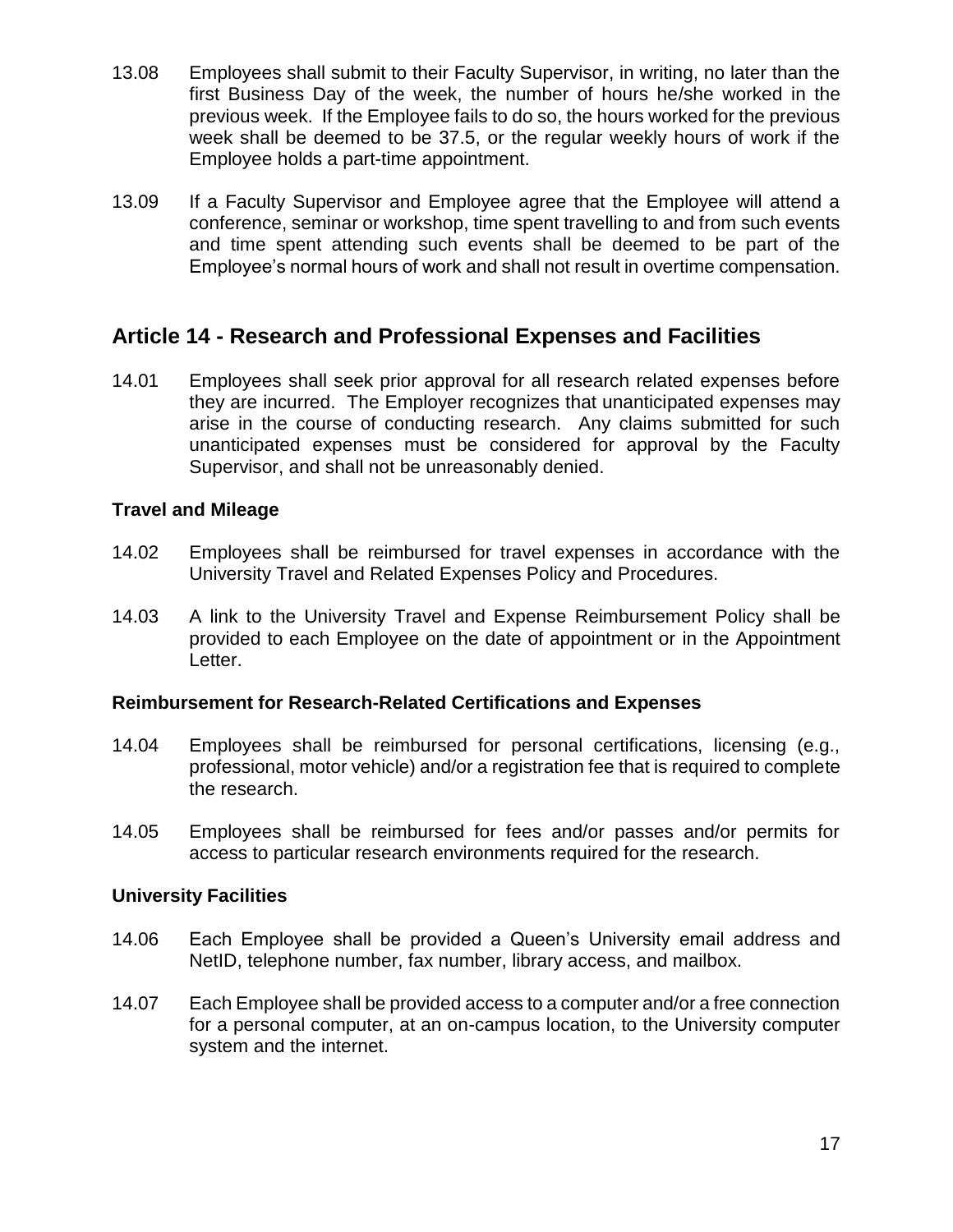- 13.08 Employees shall submit to their Faculty Supervisor, in writing, no later than the first Business Day of the week, the number of hours he/she worked in the previous week. If the Employee fails to do so, the hours worked for the previous week shall be deemed to be 37.5, or the regular weekly hours of work if the Employee holds a part-time appointment.
- 13.09 If a Faculty Supervisor and Employee agree that the Employee will attend a conference, seminar or workshop, time spent travelling to and from such events and time spent attending such events shall be deemed to be part of the Employee's normal hours of work and shall not result in overtime compensation.

## **Article 14 - Research and Professional Expenses and Facilities**

14.01 Employees shall seek prior approval for all research related expenses before they are incurred. The Employer recognizes that unanticipated expenses may arise in the course of conducting research. Any claims submitted for such unanticipated expenses must be considered for approval by the Faculty Supervisor, and shall not be unreasonably denied.

### **Travel and Mileage**

- 14.02 Employees shall be reimbursed for travel expenses in accordance with the University Travel and Related Expenses Policy and Procedures.
- 14.03 A link to the University Travel and Expense Reimbursement Policy shall be provided to each Employee on the date of appointment or in the Appointment Letter.

### **Reimbursement for Research-Related Certifications and Expenses**

- 14.04 Employees shall be reimbursed for personal certifications, licensing (e.g., professional, motor vehicle) and/or a registration fee that is required to complete the research.
- 14.05 Employees shall be reimbursed for fees and/or passes and/or permits for access to particular research environments required for the research.

### **University Facilities**

- 14.06 Each Employee shall be provided a Queen's University email address and NetID, telephone number, fax number, library access, and mailbox.
- 14.07 Each Employee shall be provided access to a computer and/or a free connection for a personal computer, at an on-campus location, to the University computer system and the internet.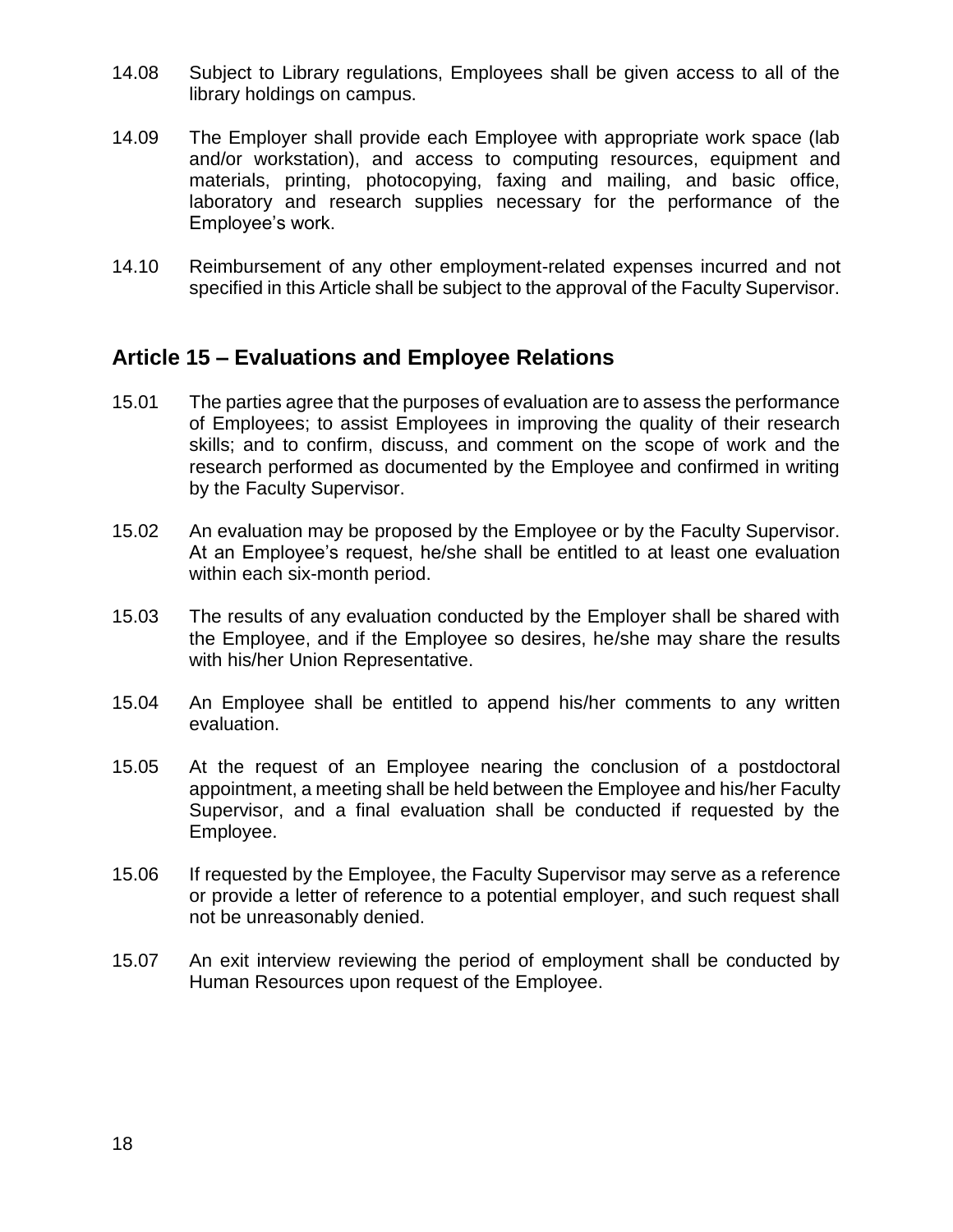- 14.08 Subject to Library regulations, Employees shall be given access to all of the library holdings on campus.
- 14.09 The Employer shall provide each Employee with appropriate work space (lab and/or workstation), and access to computing resources, equipment and materials, printing, photocopying, faxing and mailing, and basic office, laboratory and research supplies necessary for the performance of the Employee's work.
- 14.10 Reimbursement of any other employment-related expenses incurred and not specified in this Article shall be subject to the approval of the Faculty Supervisor.

## **Article 15 – Evaluations and Employee Relations**

- 15.01 The parties agree that the purposes of evaluation are to assess the performance of Employees; to assist Employees in improving the quality of their research skills; and to confirm, discuss, and comment on the scope of work and the research performed as documented by the Employee and confirmed in writing by the Faculty Supervisor.
- 15.02 An evaluation may be proposed by the Employee or by the Faculty Supervisor. At an Employee's request, he/she shall be entitled to at least one evaluation within each six-month period.
- 15.03 The results of any evaluation conducted by the Employer shall be shared with the Employee, and if the Employee so desires, he/she may share the results with his/her Union Representative.
- 15.04 An Employee shall be entitled to append his/her comments to any written evaluation.
- 15.05 At the request of an Employee nearing the conclusion of a postdoctoral appointment, a meeting shall be held between the Employee and his/her Faculty Supervisor, and a final evaluation shall be conducted if requested by the Employee.
- 15.06 If requested by the Employee, the Faculty Supervisor may serve as a reference or provide a letter of reference to a potential employer, and such request shall not be unreasonably denied.
- 15.07 An exit interview reviewing the period of employment shall be conducted by Human Resources upon request of the Employee.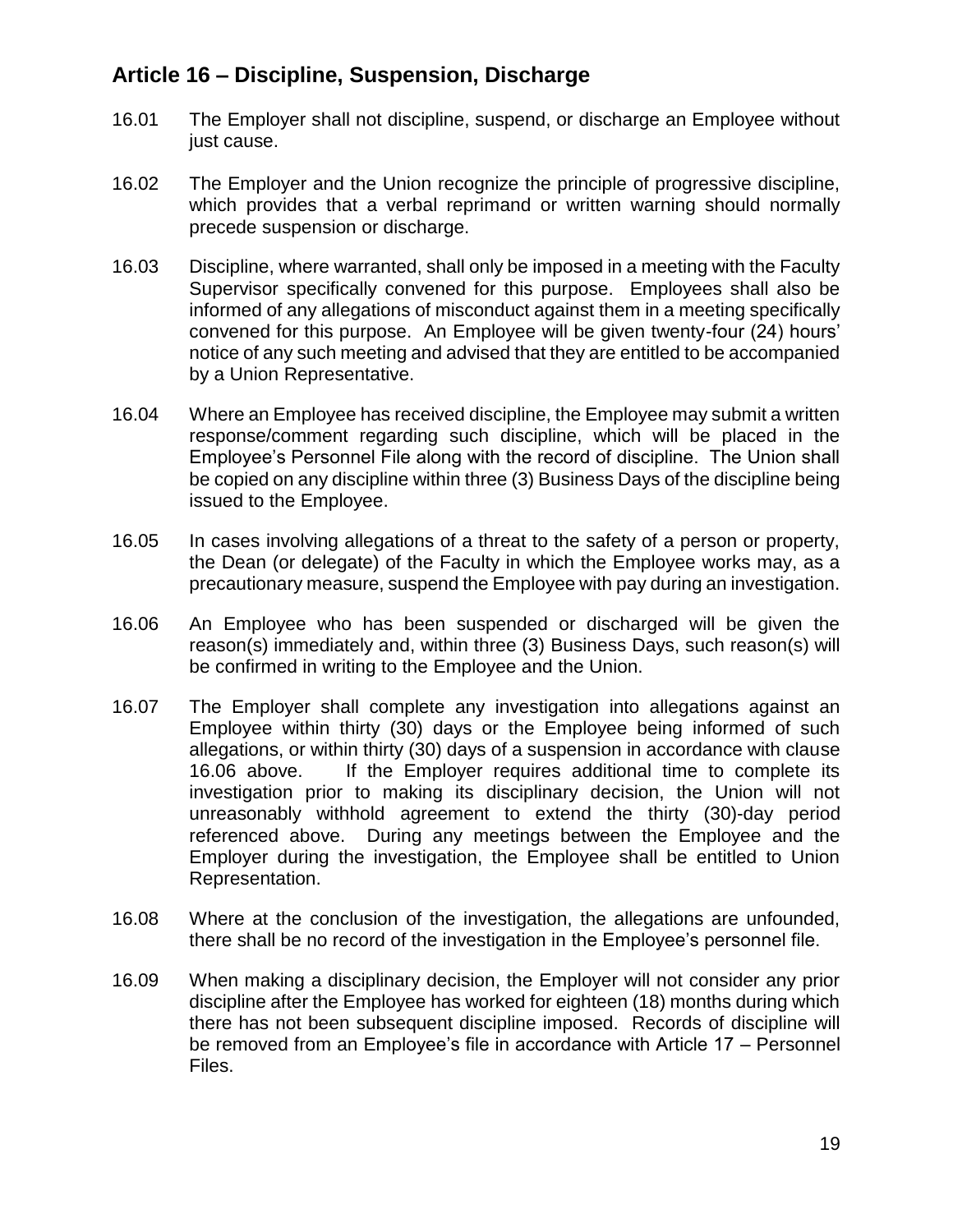## **Article 16 – Discipline, Suspension, Discharge**

- 16.01 The Employer shall not discipline, suspend, or discharge an Employee without just cause.
- 16.02 The Employer and the Union recognize the principle of progressive discipline, which provides that a verbal reprimand or written warning should normally precede suspension or discharge.
- 16.03 Discipline, where warranted, shall only be imposed in a meeting with the Faculty Supervisor specifically convened for this purpose. Employees shall also be informed of any allegations of misconduct against them in a meeting specifically convened for this purpose. An Employee will be given twenty-four (24) hours' notice of any such meeting and advised that they are entitled to be accompanied by a Union Representative.
- 16.04 Where an Employee has received discipline, the Employee may submit a written response/comment regarding such discipline, which will be placed in the Employee's Personnel File along with the record of discipline. The Union shall be copied on any discipline within three (3) Business Days of the discipline being issued to the Employee.
- 16.05 In cases involving allegations of a threat to the safety of a person or property, the Dean (or delegate) of the Faculty in which the Employee works may, as a precautionary measure, suspend the Employee with pay during an investigation.
- 16.06 An Employee who has been suspended or discharged will be given the reason(s) immediately and, within three (3) Business Days, such reason(s) will be confirmed in writing to the Employee and the Union.
- 16.07 The Employer shall complete any investigation into allegations against an Employee within thirty (30) days or the Employee being informed of such allegations, or within thirty (30) days of a suspension in accordance with clause 16.06 above. If the Employer requires additional time to complete its investigation prior to making its disciplinary decision, the Union will not unreasonably withhold agreement to extend the thirty (30)-day period referenced above. During any meetings between the Employee and the Employer during the investigation, the Employee shall be entitled to Union Representation.
- 16.08 Where at the conclusion of the investigation, the allegations are unfounded, there shall be no record of the investigation in the Employee's personnel file.
- 16.09 When making a disciplinary decision, the Employer will not consider any prior discipline after the Employee has worked for eighteen (18) months during which there has not been subsequent discipline imposed. Records of discipline will be removed from an Employee's file in accordance with Article 17 – Personnel Files.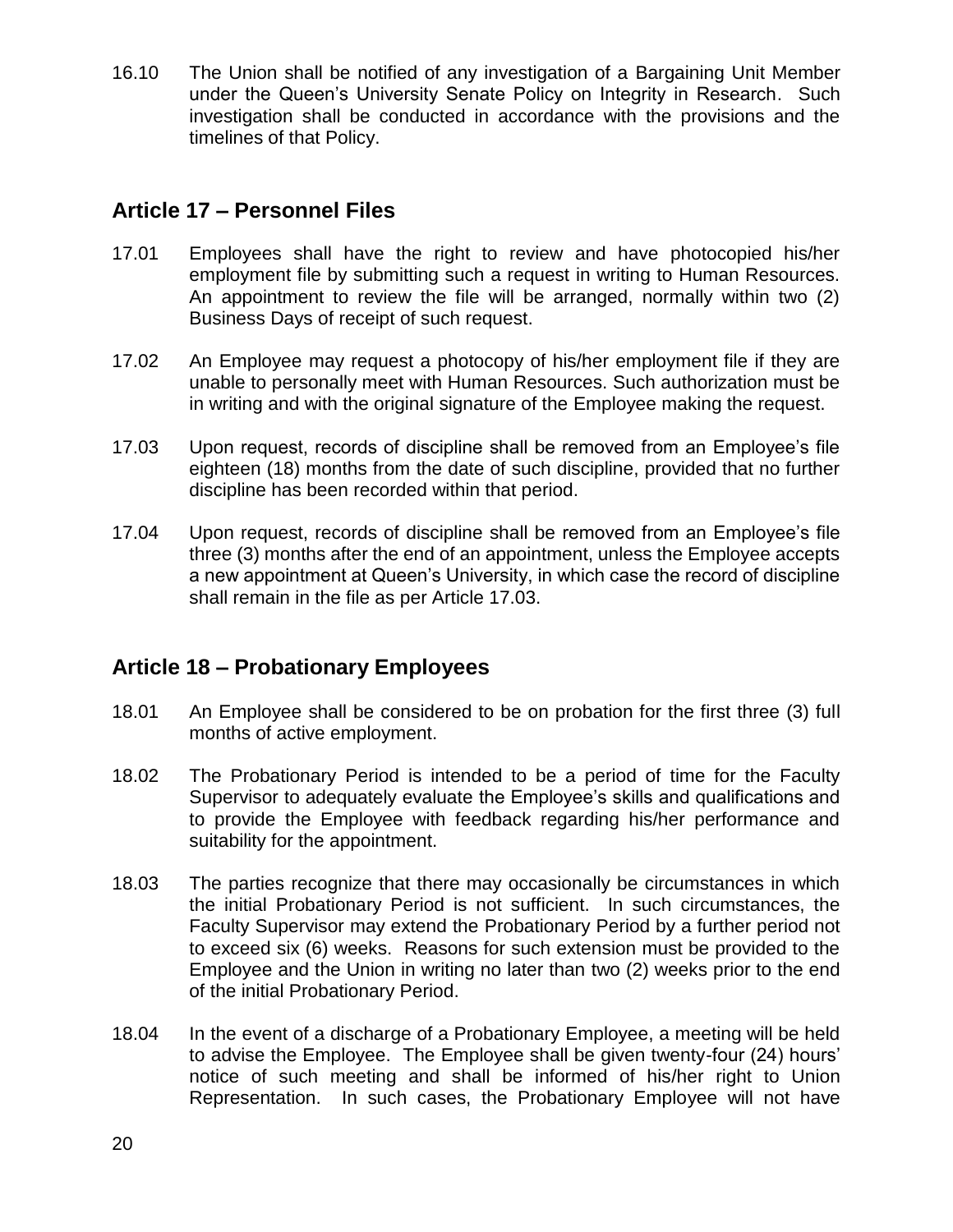16.10 The Union shall be notified of any investigation of a Bargaining Unit Member under the Queen's University Senate Policy on Integrity in Research. Such investigation shall be conducted in accordance with the provisions and the timelines of that Policy.

## **Article 17 – Personnel Files**

- 17.01 Employees shall have the right to review and have photocopied his/her employment file by submitting such a request in writing to Human Resources. An appointment to review the file will be arranged, normally within two (2) Business Days of receipt of such request.
- 17.02 An Employee may request a photocopy of his/her employment file if they are unable to personally meet with Human Resources. Such authorization must be in writing and with the original signature of the Employee making the request.
- 17.03 Upon request, records of discipline shall be removed from an Employee's file eighteen (18) months from the date of such discipline, provided that no further discipline has been recorded within that period.
- 17.04 Upon request, records of discipline shall be removed from an Employee's file three (3) months after the end of an appointment, unless the Employee accepts a new appointment at Queen's University, in which case the record of discipline shall remain in the file as per Article 17.03.

## **Article 18 – Probationary Employees**

- 18.01 An Employee shall be considered to be on probation for the first three (3) full months of active employment.
- 18.02 The Probationary Period is intended to be a period of time for the Faculty Supervisor to adequately evaluate the Employee's skills and qualifications and to provide the Employee with feedback regarding his/her performance and suitability for the appointment.
- 18.03 The parties recognize that there may occasionally be circumstances in which the initial Probationary Period is not sufficient. In such circumstances, the Faculty Supervisor may extend the Probationary Period by a further period not to exceed six (6) weeks. Reasons for such extension must be provided to the Employee and the Union in writing no later than two (2) weeks prior to the end of the initial Probationary Period.
- 18.04 In the event of a discharge of a Probationary Employee, a meeting will be held to advise the Employee. The Employee shall be given twenty-four (24) hours' notice of such meeting and shall be informed of his/her right to Union Representation. In such cases, the Probationary Employee will not have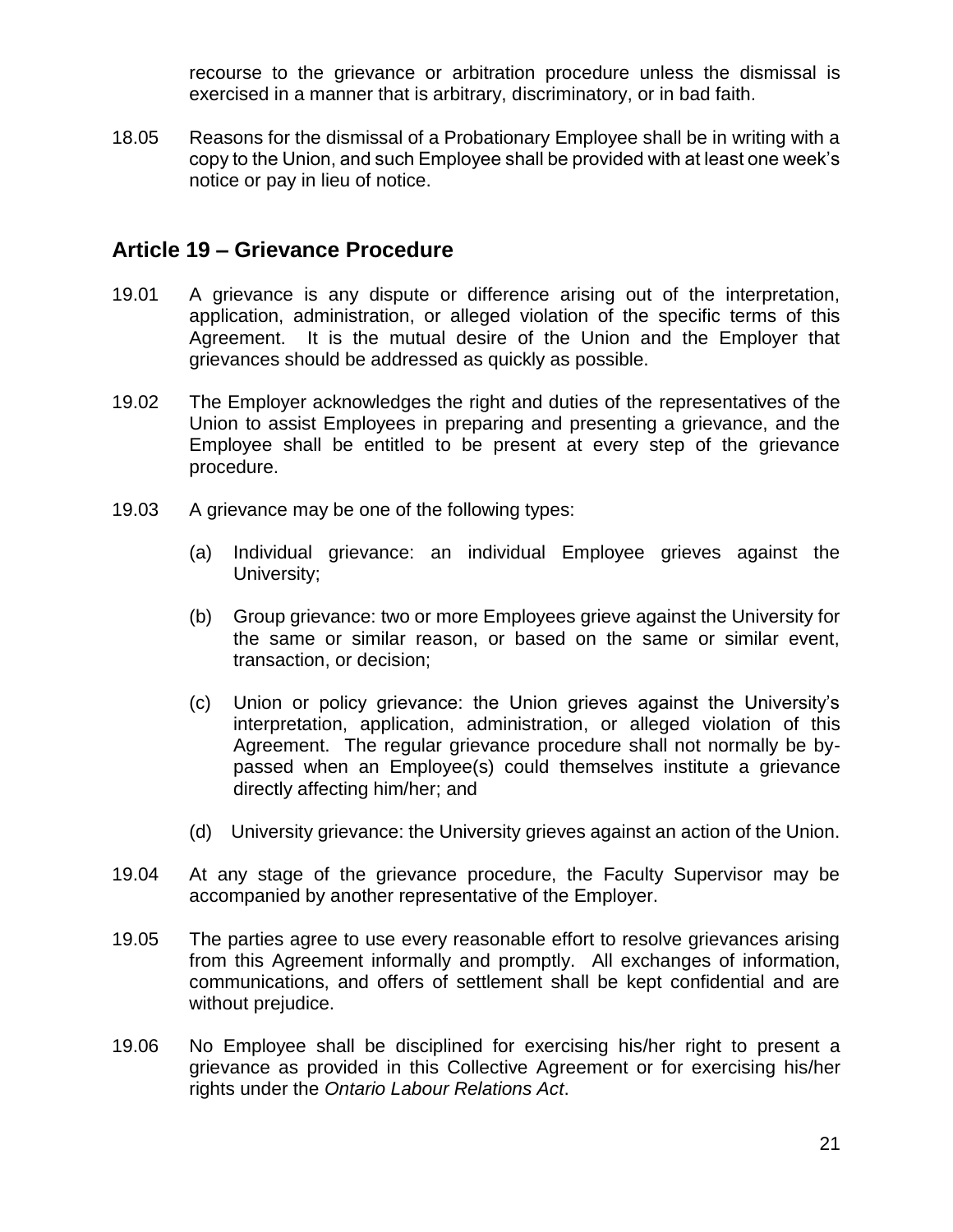recourse to the grievance or arbitration procedure unless the dismissal is exercised in a manner that is arbitrary, discriminatory, or in bad faith.

18.05 Reasons for the dismissal of a Probationary Employee shall be in writing with a copy to the Union, and such Employee shall be provided with at least one week's notice or pay in lieu of notice.

## **Article 19 – Grievance Procedure**

- 19.01 A grievance is any dispute or difference arising out of the interpretation, application, administration, or alleged violation of the specific terms of this Agreement. It is the mutual desire of the Union and the Employer that grievances should be addressed as quickly as possible.
- 19.02 The Employer acknowledges the right and duties of the representatives of the Union to assist Employees in preparing and presenting a grievance, and the Employee shall be entitled to be present at every step of the grievance procedure.
- 19.03 A grievance may be one of the following types:
	- (a) Individual grievance: an individual Employee grieves against the University;
	- (b) Group grievance: two or more Employees grieve against the University for the same or similar reason, or based on the same or similar event, transaction, or decision;
	- (c) Union or policy grievance: the Union grieves against the University's interpretation, application, administration, or alleged violation of this Agreement. The regular grievance procedure shall not normally be bypassed when an Employee(s) could themselves institute a grievance directly affecting him/her; and
	- (d) University grievance: the University grieves against an action of the Union.
- 19.04 At any stage of the grievance procedure, the Faculty Supervisor may be accompanied by another representative of the Employer.
- 19.05 The parties agree to use every reasonable effort to resolve grievances arising from this Agreement informally and promptly. All exchanges of information, communications, and offers of settlement shall be kept confidential and are without prejudice.
- 19.06 No Employee shall be disciplined for exercising his/her right to present a grievance as provided in this Collective Agreement or for exercising his/her rights under the *Ontario Labour Relations Act*.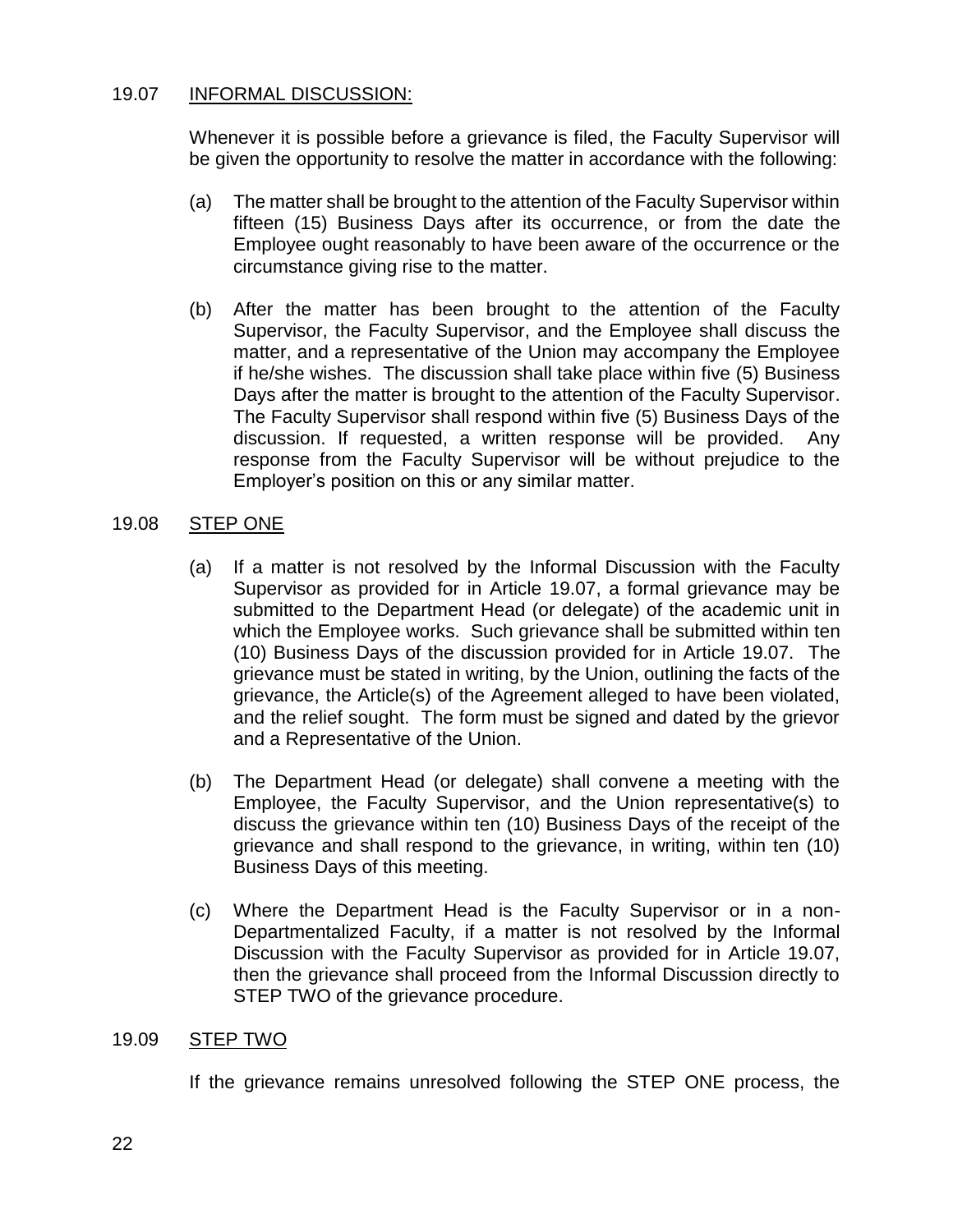### 19.07 INFORMAL DISCUSSION:

Whenever it is possible before a grievance is filed, the Faculty Supervisor will be given the opportunity to resolve the matter in accordance with the following:

- (a) The matter shall be brought to the attention of the Faculty Supervisor within fifteen (15) Business Days after its occurrence, or from the date the Employee ought reasonably to have been aware of the occurrence or the circumstance giving rise to the matter.
- (b) After the matter has been brought to the attention of the Faculty Supervisor, the Faculty Supervisor, and the Employee shall discuss the matter, and a representative of the Union may accompany the Employee if he/she wishes. The discussion shall take place within five (5) Business Days after the matter is brought to the attention of the Faculty Supervisor. The Faculty Supervisor shall respond within five (5) Business Days of the discussion. If requested, a written response will be provided. Any response from the Faculty Supervisor will be without prejudice to the Employer's position on this or any similar matter.

### 19.08 STEP ONE

- (a) If a matter is not resolved by the Informal Discussion with the Faculty Supervisor as provided for in Article 19.07, a formal grievance may be submitted to the Department Head (or delegate) of the academic unit in which the Employee works. Such grievance shall be submitted within ten (10) Business Days of the discussion provided for in Article 19.07. The grievance must be stated in writing, by the Union, outlining the facts of the grievance, the Article(s) of the Agreement alleged to have been violated, and the relief sought. The form must be signed and dated by the grievor and a Representative of the Union.
- (b) The Department Head (or delegate) shall convene a meeting with the Employee, the Faculty Supervisor, and the Union representative(s) to discuss the grievance within ten (10) Business Days of the receipt of the grievance and shall respond to the grievance, in writing, within ten (10) Business Days of this meeting.
- (c) Where the Department Head is the Faculty Supervisor or in a non-Departmentalized Faculty, if a matter is not resolved by the Informal Discussion with the Faculty Supervisor as provided for in Article 19.07, then the grievance shall proceed from the Informal Discussion directly to STEP TWO of the grievance procedure.

### 19.09 STEP TWO

If the grievance remains unresolved following the STEP ONE process, the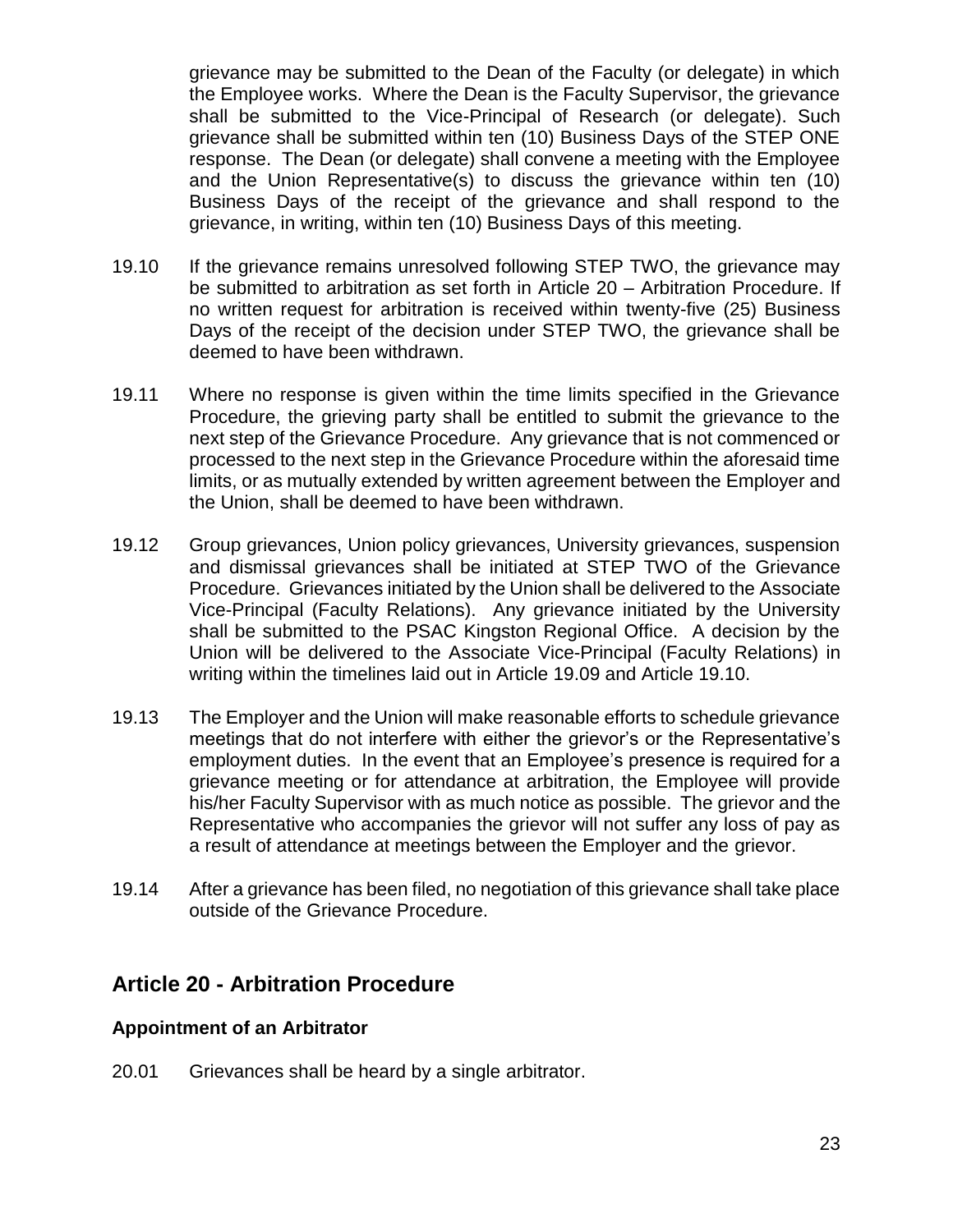grievance may be submitted to the Dean of the Faculty (or delegate) in which the Employee works. Where the Dean is the Faculty Supervisor, the grievance shall be submitted to the Vice-Principal of Research (or delegate). Such grievance shall be submitted within ten (10) Business Days of the STEP ONE response. The Dean (or delegate) shall convene a meeting with the Employee and the Union Representative(s) to discuss the grievance within ten (10) Business Days of the receipt of the grievance and shall respond to the grievance, in writing, within ten (10) Business Days of this meeting.

- 19.10 If the grievance remains unresolved following STEP TWO, the grievance may be submitted to arbitration as set forth in Article 20 – Arbitration Procedure. If no written request for arbitration is received within twenty-five (25) Business Days of the receipt of the decision under STEP TWO, the grievance shall be deemed to have been withdrawn.
- 19.11 Where no response is given within the time limits specified in the Grievance Procedure, the grieving party shall be entitled to submit the grievance to the next step of the Grievance Procedure. Any grievance that is not commenced or processed to the next step in the Grievance Procedure within the aforesaid time limits, or as mutually extended by written agreement between the Employer and the Union, shall be deemed to have been withdrawn.
- 19.12 Group grievances, Union policy grievances, University grievances, suspension and dismissal grievances shall be initiated at STEP TWO of the Grievance Procedure. Grievances initiated by the Union shall be delivered to the Associate Vice-Principal (Faculty Relations). Any grievance initiated by the University shall be submitted to the PSAC Kingston Regional Office. A decision by the Union will be delivered to the Associate Vice-Principal (Faculty Relations) in writing within the timelines laid out in Article 19.09 and Article 19.10.
- 19.13 The Employer and the Union will make reasonable efforts to schedule grievance meetings that do not interfere with either the grievor's or the Representative's employment duties. In the event that an Employee's presence is required for a grievance meeting or for attendance at arbitration, the Employee will provide his/her Faculty Supervisor with as much notice as possible. The grievor and the Representative who accompanies the grievor will not suffer any loss of pay as a result of attendance at meetings between the Employer and the grievor.
- 19.14 After a grievance has been filed, no negotiation of this grievance shall take place outside of the Grievance Procedure.

## **Article 20 - Arbitration Procedure**

### **Appointment of an Arbitrator**

20.01 Grievances shall be heard by a single arbitrator.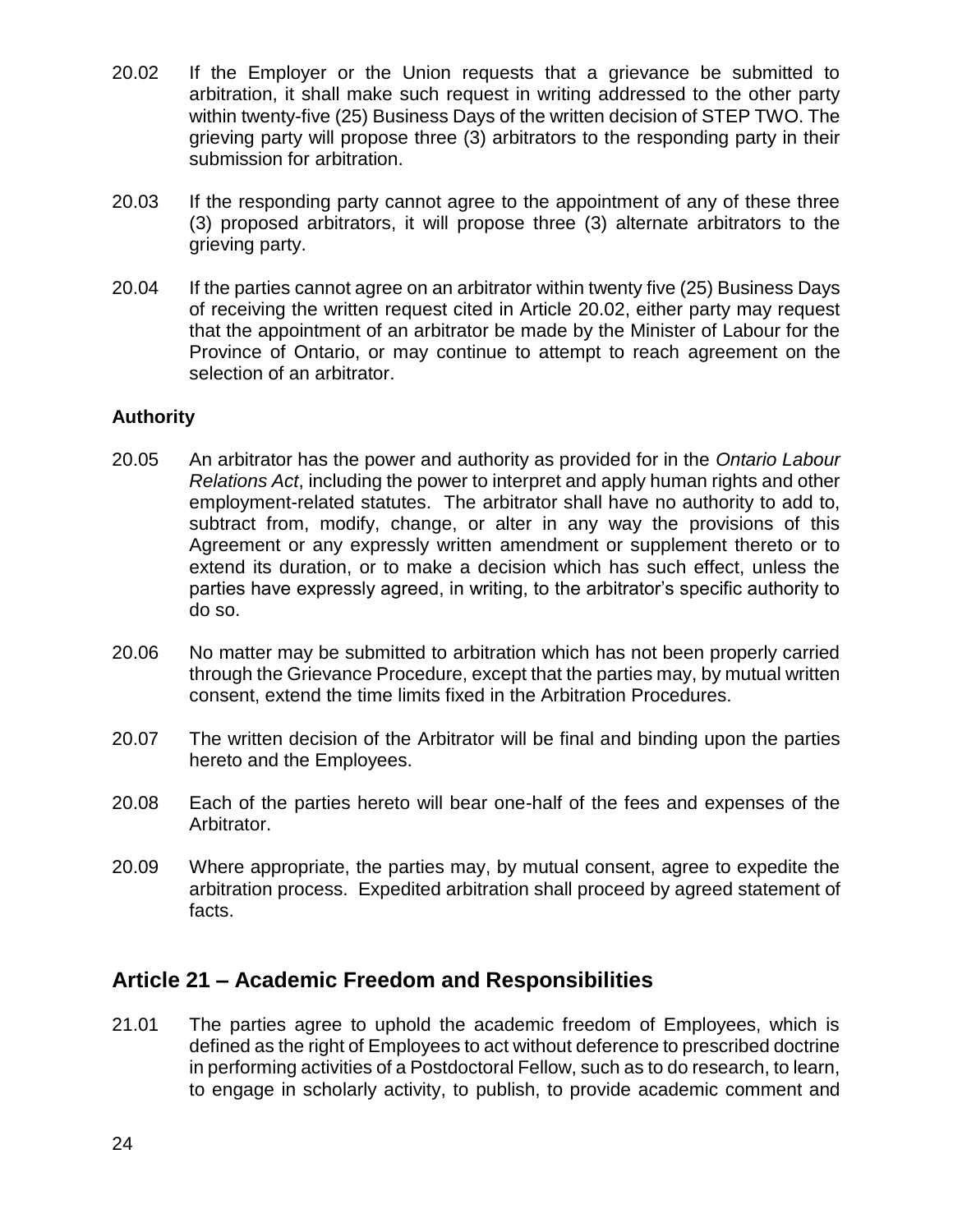- 20.02 If the Employer or the Union requests that a grievance be submitted to arbitration, it shall make such request in writing addressed to the other party within twenty-five (25) Business Days of the written decision of STEP TWO. The grieving party will propose three (3) arbitrators to the responding party in their submission for arbitration.
- 20.03 If the responding party cannot agree to the appointment of any of these three (3) proposed arbitrators, it will propose three (3) alternate arbitrators to the grieving party.
- 20.04 If the parties cannot agree on an arbitrator within twenty five (25) Business Days of receiving the written request cited in Article 20.02, either party may request that the appointment of an arbitrator be made by the Minister of Labour for the Province of Ontario, or may continue to attempt to reach agreement on the selection of an arbitrator.

### **Authority**

- 20.05 An arbitrator has the power and authority as provided for in the *Ontario Labour Relations Act*, including the power to interpret and apply human rights and other employment-related statutes. The arbitrator shall have no authority to add to, subtract from, modify, change, or alter in any way the provisions of this Agreement or any expressly written amendment or supplement thereto or to extend its duration, or to make a decision which has such effect, unless the parties have expressly agreed, in writing, to the arbitrator's specific authority to do so.
- 20.06 No matter may be submitted to arbitration which has not been properly carried through the Grievance Procedure, except that the parties may, by mutual written consent, extend the time limits fixed in the Arbitration Procedures.
- 20.07 The written decision of the Arbitrator will be final and binding upon the parties hereto and the Employees.
- 20.08 Each of the parties hereto will bear one-half of the fees and expenses of the Arbitrator.
- 20.09 Where appropriate, the parties may, by mutual consent, agree to expedite the arbitration process. Expedited arbitration shall proceed by agreed statement of facts.

## **Article 21 – Academic Freedom and Responsibilities**

21.01 The parties agree to uphold the academic freedom of Employees, which is defined as the right of Employees to act without deference to prescribed doctrine in performing activities of a Postdoctoral Fellow, such as to do research, to learn, to engage in scholarly activity, to publish, to provide academic comment and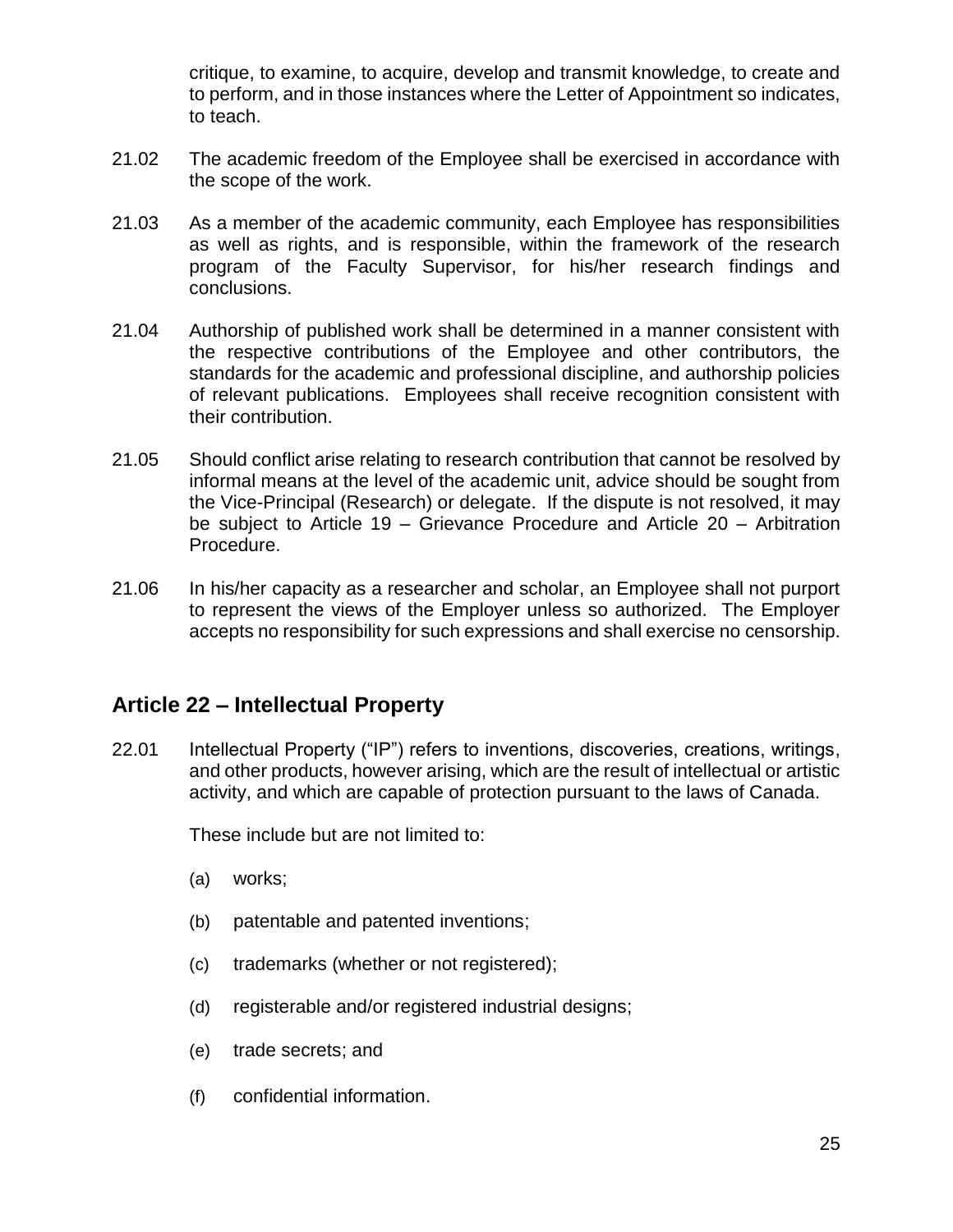critique, to examine, to acquire, develop and transmit knowledge, to create and to perform, and in those instances where the Letter of Appointment so indicates, to teach.

- 21.02 The academic freedom of the Employee shall be exercised in accordance with the scope of the work.
- 21.03 As a member of the academic community, each Employee has responsibilities as well as rights, and is responsible, within the framework of the research program of the Faculty Supervisor, for his/her research findings and conclusions.
- 21.04 Authorship of published work shall be determined in a manner consistent with the respective contributions of the Employee and other contributors, the standards for the academic and professional discipline, and authorship policies of relevant publications. Employees shall receive recognition consistent with their contribution.
- 21.05 Should conflict arise relating to research contribution that cannot be resolved by informal means at the level of the academic unit, advice should be sought from the Vice-Principal (Research) or delegate. If the dispute is not resolved, it may be subject to Article 19 – Grievance Procedure and Article 20 – Arbitration Procedure.
- 21.06 In his/her capacity as a researcher and scholar, an Employee shall not purport to represent the views of the Employer unless so authorized. The Employer accepts no responsibility for such expressions and shall exercise no censorship.

## **Article 22 – Intellectual Property**

22.01 Intellectual Property ("IP") refers to inventions, discoveries, creations, writings, and other products, however arising, which are the result of intellectual or artistic activity, and which are capable of protection pursuant to the laws of Canada.

These include but are not limited to:

- (a) works;
- (b) patentable and patented inventions;
- (c) trademarks (whether or not registered);
- (d) registerable and/or registered industrial designs;
- (e) trade secrets; and
- (f) confidential information.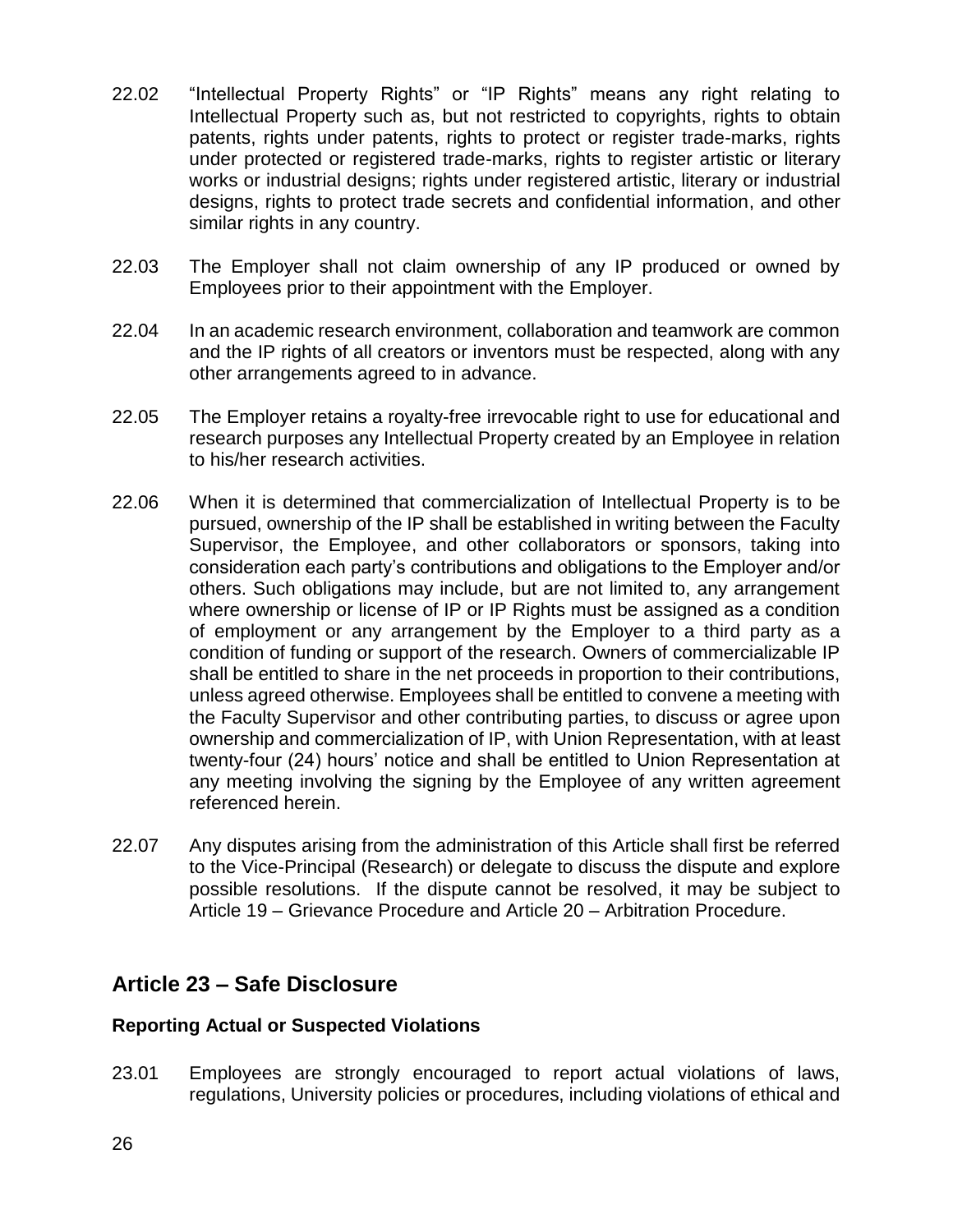- 22.02 "Intellectual Property Rights" or "IP Rights" means any right relating to Intellectual Property such as, but not restricted to copyrights, rights to obtain patents, rights under patents, rights to protect or register trade-marks, rights under protected or registered trade-marks, rights to register artistic or literary works or industrial designs; rights under registered artistic, literary or industrial designs, rights to protect trade secrets and confidential information, and other similar rights in any country.
- 22.03 The Employer shall not claim ownership of any IP produced or owned by Employees prior to their appointment with the Employer.
- 22.04 In an academic research environment, collaboration and teamwork are common and the IP rights of all creators or inventors must be respected, along with any other arrangements agreed to in advance.
- 22.05 The Employer retains a royalty-free irrevocable right to use for educational and research purposes any Intellectual Property created by an Employee in relation to his/her research activities.
- 22.06 When it is determined that commercialization of Intellectual Property is to be pursued, ownership of the IP shall be established in writing between the Faculty Supervisor, the Employee, and other collaborators or sponsors, taking into consideration each party's contributions and obligations to the Employer and/or others. Such obligations may include, but are not limited to, any arrangement where ownership or license of IP or IP Rights must be assigned as a condition of employment or any arrangement by the Employer to a third party as a condition of funding or support of the research. Owners of commercializable IP shall be entitled to share in the net proceeds in proportion to their contributions, unless agreed otherwise. Employees shall be entitled to convene a meeting with the Faculty Supervisor and other contributing parties, to discuss or agree upon ownership and commercialization of IP, with Union Representation, with at least twenty-four (24) hours' notice and shall be entitled to Union Representation at any meeting involving the signing by the Employee of any written agreement referenced herein.
- 22.07 Any disputes arising from the administration of this Article shall first be referred to the Vice-Principal (Research) or delegate to discuss the dispute and explore possible resolutions. If the dispute cannot be resolved, it may be subject to Article 19 – Grievance Procedure and Article 20 – Arbitration Procedure.

## **Article 23 – Safe Disclosure**

### **Reporting Actual or Suspected Violations**

23.01 Employees are strongly encouraged to report actual violations of laws, regulations, University policies or procedures, including violations of ethical and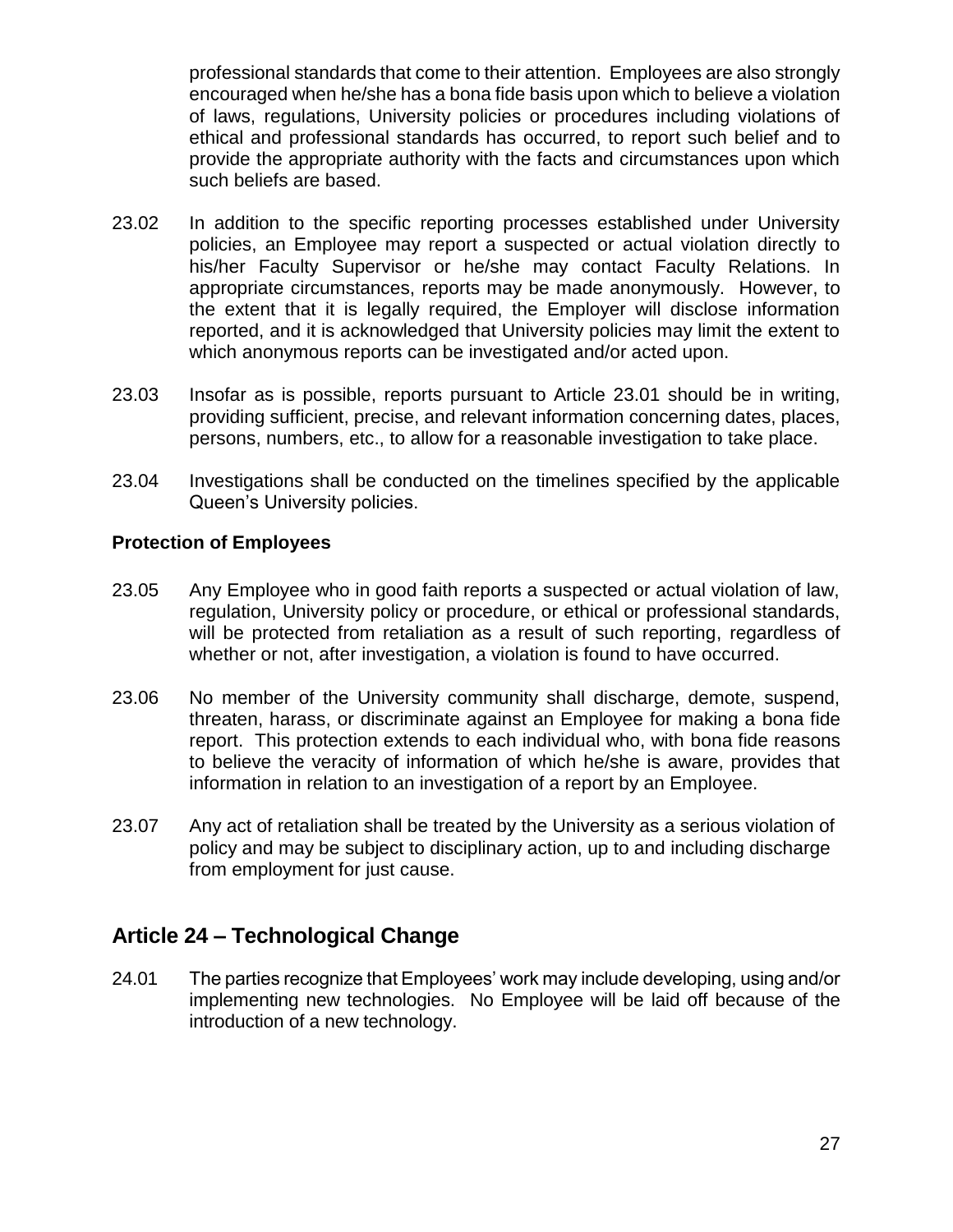professional standards that come to their attention. Employees are also strongly encouraged when he/she has a bona fide basis upon which to believe a violation of laws, regulations, University policies or procedures including violations of ethical and professional standards has occurred, to report such belief and to provide the appropriate authority with the facts and circumstances upon which such beliefs are based.

- 23.02 In addition to the specific reporting processes established under University policies, an Employee may report a suspected or actual violation directly to his/her Faculty Supervisor or he/she may contact Faculty Relations. In appropriate circumstances, reports may be made anonymously. However, to the extent that it is legally required, the Employer will disclose information reported, and it is acknowledged that University policies may limit the extent to which anonymous reports can be investigated and/or acted upon.
- 23.03 Insofar as is possible, reports pursuant to Article 23.01 should be in writing, providing sufficient, precise, and relevant information concerning dates, places, persons, numbers, etc., to allow for a reasonable investigation to take place.
- 23.04 Investigations shall be conducted on the timelines specified by the applicable Queen's University policies.

### **Protection of Employees**

- 23.05 Any Employee who in good faith reports a suspected or actual violation of law, regulation, University policy or procedure, or ethical or professional standards, will be protected from retaliation as a result of such reporting, regardless of whether or not, after investigation, a violation is found to have occurred.
- 23.06 No member of the University community shall discharge, demote, suspend, threaten, harass, or discriminate against an Employee for making a bona fide report. This protection extends to each individual who, with bona fide reasons to believe the veracity of information of which he/she is aware, provides that information in relation to an investigation of a report by an Employee.
- 23.07 Any act of retaliation shall be treated by the University as a serious violation of policy and may be subject to disciplinary action, up to and including discharge from employment for just cause.

## **Article 24 – Technological Change**

24.01 The parties recognize that Employees' work may include developing, using and/or implementing new technologies. No Employee will be laid off because of the introduction of a new technology.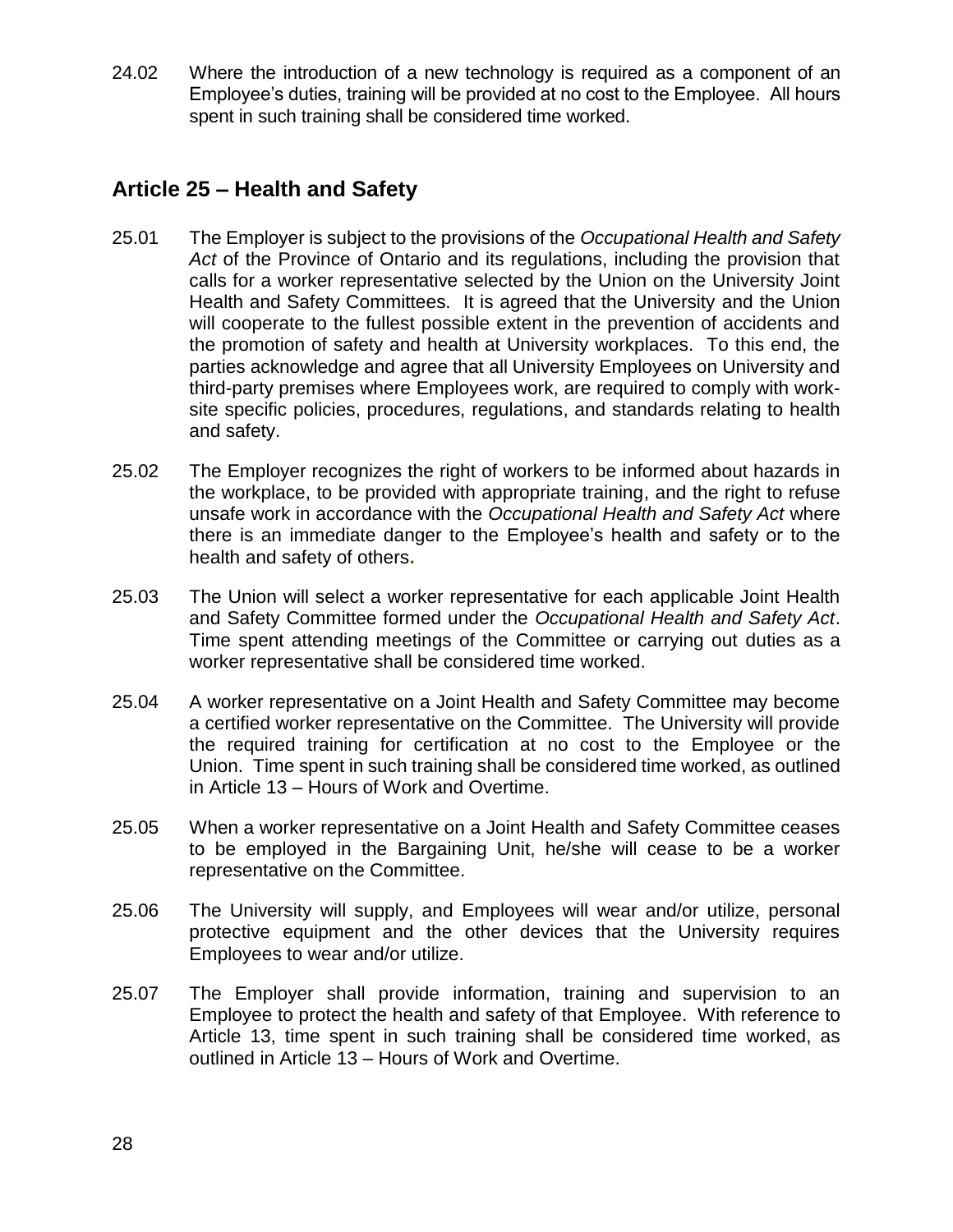24.02 Where the introduction of a new technology is required as a component of an Employee's duties, training will be provided at no cost to the Employee. All hours spent in such training shall be considered time worked.

## **Article 25 – Health and Safety**

- 25.01 The Employer is subject to the provisions of the *Occupational Health and Safety*  Act of the Province of Ontario and its regulations, including the provision that calls for a worker representative selected by the Union on the University Joint Health and Safety Committees. It is agreed that the University and the Union will cooperate to the fullest possible extent in the prevention of accidents and the promotion of safety and health at University workplaces. To this end, the parties acknowledge and agree that all University Employees on University and third-party premises where Employees work, are required to comply with worksite specific policies, procedures, regulations, and standards relating to health and safety.
- 25.02 The Employer recognizes the right of workers to be informed about hazards in the workplace, to be provided with appropriate training, and the right to refuse unsafe work in accordance with the *Occupational Health and Safety Act* where there is an immediate danger to the Employee's health and safety or to the health and safety of others**.**
- 25.03 The Union will select a worker representative for each applicable Joint Health and Safety Committee formed under the *Occupational Health and Safety Act*. Time spent attending meetings of the Committee or carrying out duties as a worker representative shall be considered time worked.
- 25.04 A worker representative on a Joint Health and Safety Committee may become a certified worker representative on the Committee. The University will provide the required training for certification at no cost to the Employee or the Union. Time spent in such training shall be considered time worked, as outlined in Article 13 – Hours of Work and Overtime.
- 25.05 When a worker representative on a Joint Health and Safety Committee ceases to be employed in the Bargaining Unit, he/she will cease to be a worker representative on the Committee.
- 25.06 The University will supply, and Employees will wear and/or utilize, personal protective equipment and the other devices that the University requires Employees to wear and/or utilize.
- 25.07 The Employer shall provide information, training and supervision to an Employee to protect the health and safety of that Employee. With reference to Article 13, time spent in such training shall be considered time worked, as outlined in Article 13 – Hours of Work and Overtime.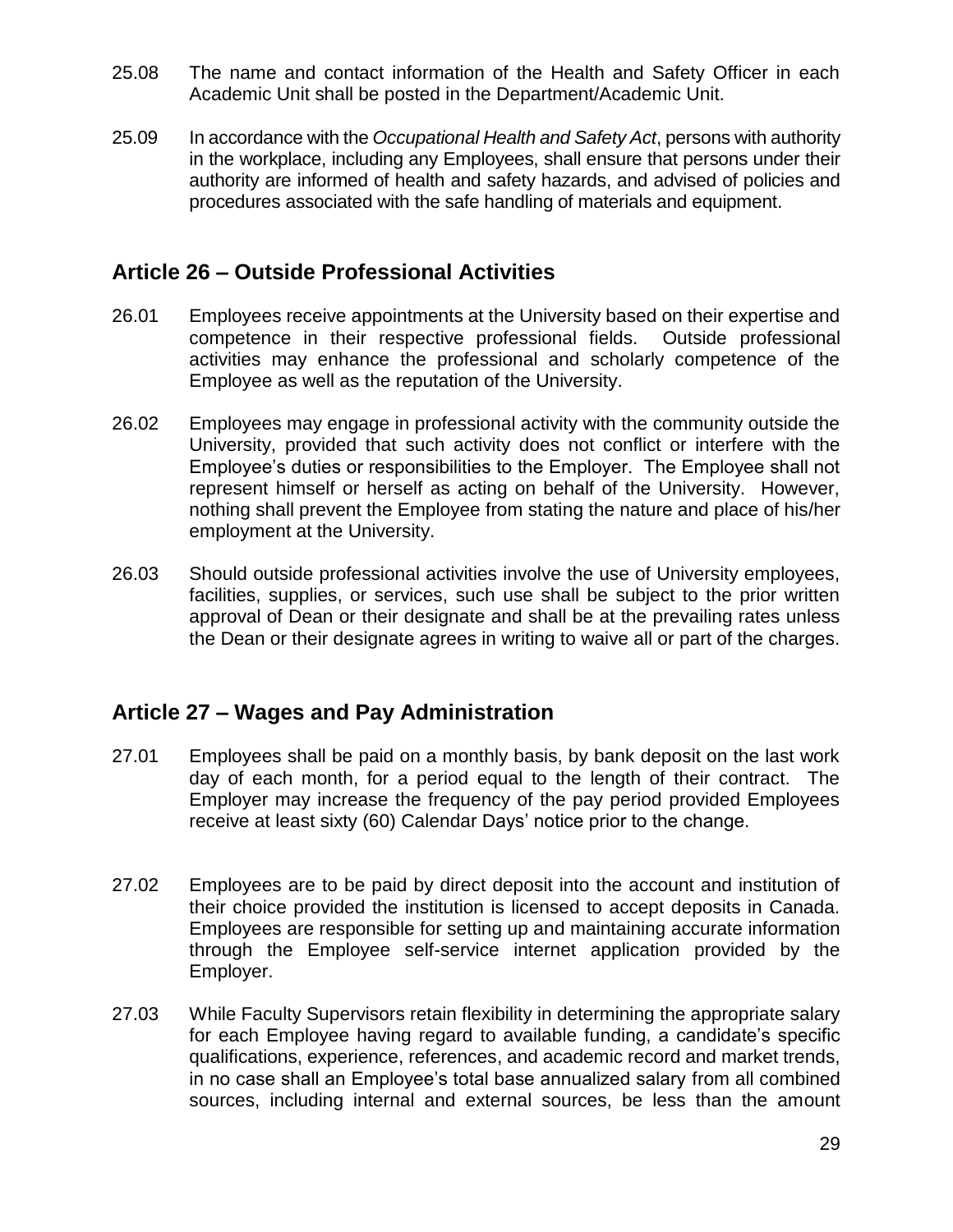- 25.08 The name and contact information of the Health and Safety Officer in each Academic Unit shall be posted in the Department/Academic Unit.
- 25.09 In accordance with the *Occupational Health and Safety Act*, persons with authority in the workplace, including any Employees, shall ensure that persons under their authority are informed of health and safety hazards, and advised of policies and procedures associated with the safe handling of materials and equipment.

## **Article 26 – Outside Professional Activities**

- 26.01 Employees receive appointments at the University based on their expertise and competence in their respective professional fields. Outside professional activities may enhance the professional and scholarly competence of the Employee as well as the reputation of the University.
- 26.02 Employees may engage in professional activity with the community outside the University, provided that such activity does not conflict or interfere with the Employee's duties or responsibilities to the Employer. The Employee shall not represent himself or herself as acting on behalf of the University. However, nothing shall prevent the Employee from stating the nature and place of his/her employment at the University.
- 26.03 Should outside professional activities involve the use of University employees, facilities, supplies, or services, such use shall be subject to the prior written approval of Dean or their designate and shall be at the prevailing rates unless the Dean or their designate agrees in writing to waive all or part of the charges.

## **Article 27 – Wages and Pay Administration**

- 27.01 Employees shall be paid on a monthly basis, by bank deposit on the last work day of each month, for a period equal to the length of their contract. The Employer may increase the frequency of the pay period provided Employees receive at least sixty (60) Calendar Days' notice prior to the change.
- 27.02 Employees are to be paid by direct deposit into the account and institution of their choice provided the institution is licensed to accept deposits in Canada. Employees are responsible for setting up and maintaining accurate information through the Employee self-service internet application provided by the Employer.
- 27.03 While Faculty Supervisors retain flexibility in determining the appropriate salary for each Employee having regard to available funding, a candidate's specific qualifications, experience, references, and academic record and market trends, in no case shall an Employee's total base annualized salary from all combined sources, including internal and external sources, be less than the amount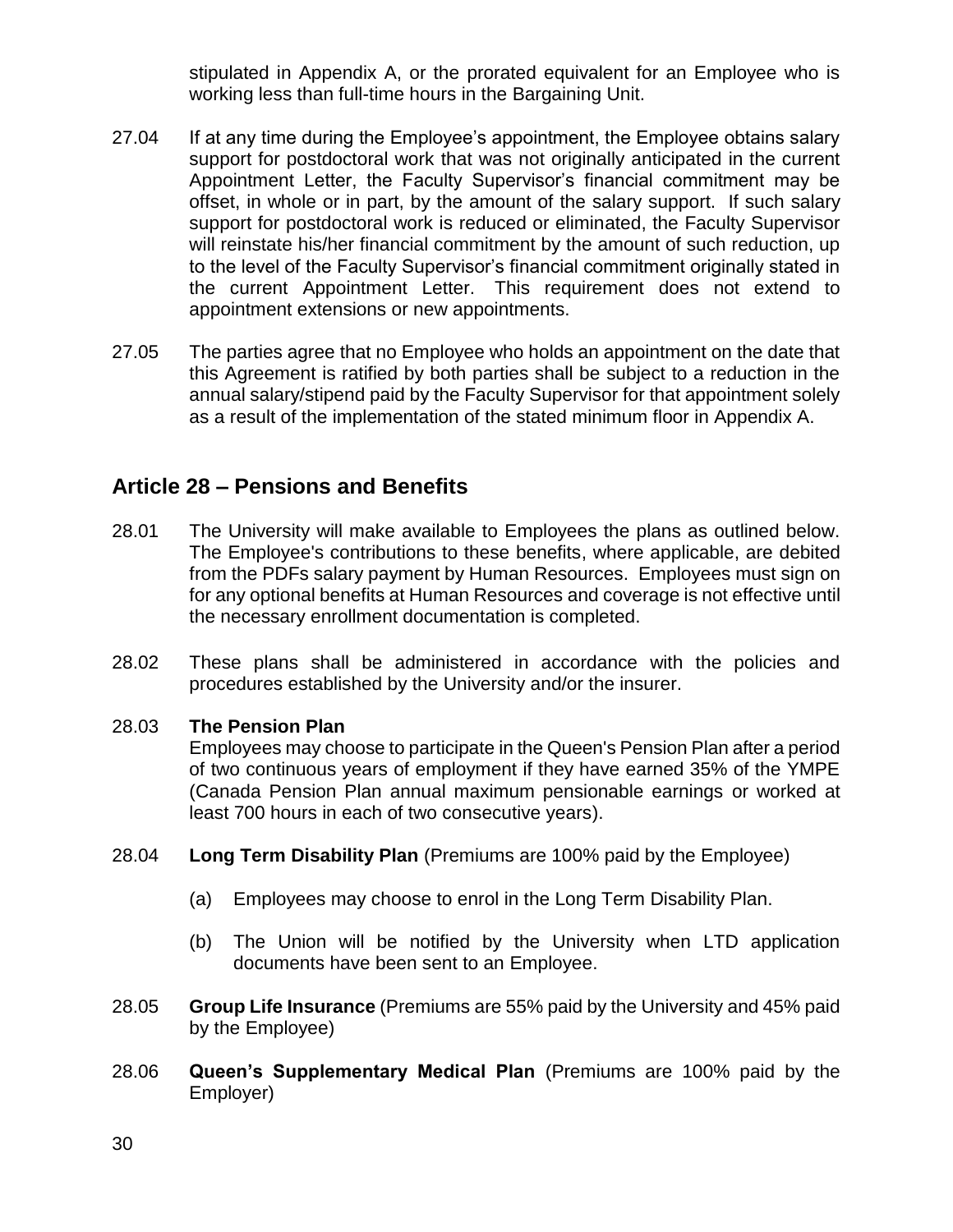stipulated in Appendix A, or the prorated equivalent for an Employee who is working less than full-time hours in the Bargaining Unit.

- 27.04 If at any time during the Employee's appointment, the Employee obtains salary support for postdoctoral work that was not originally anticipated in the current Appointment Letter, the Faculty Supervisor's financial commitment may be offset, in whole or in part, by the amount of the salary support. If such salary support for postdoctoral work is reduced or eliminated, the Faculty Supervisor will reinstate his/her financial commitment by the amount of such reduction, up to the level of the Faculty Supervisor's financial commitment originally stated in the current Appointment Letter. This requirement does not extend to appointment extensions or new appointments.
- 27.05 The parties agree that no Employee who holds an appointment on the date that this Agreement is ratified by both parties shall be subject to a reduction in the annual salary/stipend paid by the Faculty Supervisor for that appointment solely as a result of the implementation of the stated minimum floor in Appendix A.

## **Article 28 – Pensions and Benefits**

- 28.01 The University will make available to Employees the plans as outlined below. The Employee's contributions to these benefits, where applicable, are debited from the PDFs salary payment by Human Resources. Employees must sign on for any optional benefits at Human Resources and coverage is not effective until the necessary enrollment documentation is completed.
- 28.02 These plans shall be administered in accordance with the policies and procedures established by the University and/or the insurer.

### 28.03 **The Pension Plan**

Employees may choose to participate in the Queen's Pension Plan after a period of two continuous years of employment if they have earned 35% of the YMPE (Canada Pension Plan annual maximum pensionable earnings or worked at least 700 hours in each of two consecutive years).

- 28.04 **Long Term Disability Plan** (Premiums are 100% paid by the Employee)
	- (a) Employees may choose to enrol in the Long Term Disability Plan.
	- (b) The Union will be notified by the University when LTD application documents have been sent to an Employee.
- 28.05 **Group Life Insurance** (Premiums are 55% paid by the University and 45% paid by the Employee)
- 28.06 **Queen's Supplementary Medical Plan** (Premiums are 100% paid by the Employer)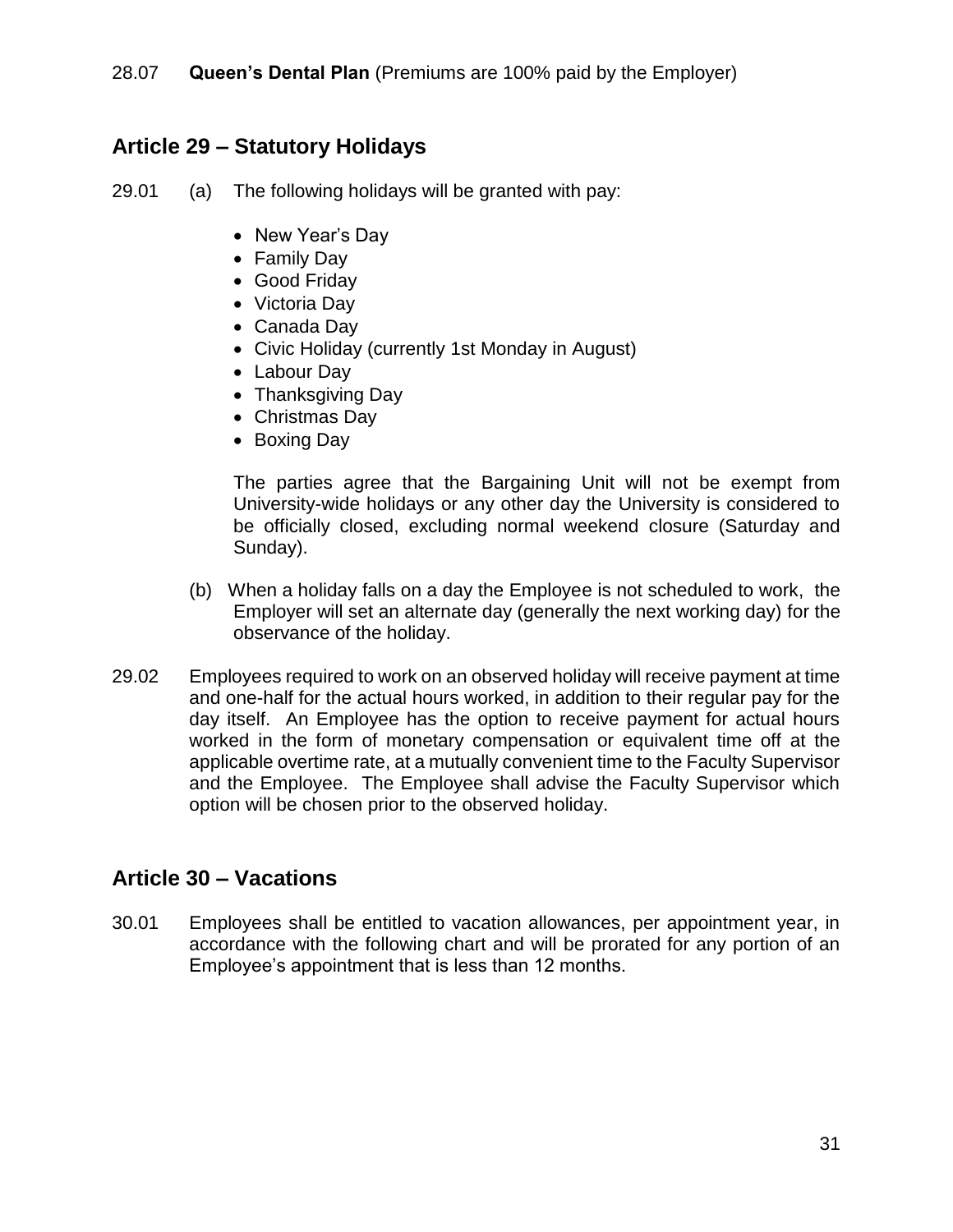## **Article 29 – Statutory Holidays**

29.01 (a) The following holidays will be granted with pay:

- New Year's Day
- Family Day
- Good Friday
- Victoria Day
- Canada Day
- Civic Holiday (currently 1st Monday in August)
- Labour Day
- Thanksgiving Day
- Christmas Day
- Boxing Day

The parties agree that the Bargaining Unit will not be exempt from University-wide holidays or any other day the University is considered to be officially closed, excluding normal weekend closure (Saturday and Sunday).

- (b) When a holiday falls on a day the Employee is not scheduled to work, the Employer will set an alternate day (generally the next working day) for the observance of the holiday.
- 29.02 Employees required to work on an observed holiday will receive payment at time and one-half for the actual hours worked, in addition to their regular pay for the day itself. An Employee has the option to receive payment for actual hours worked in the form of monetary compensation or equivalent time off at the applicable overtime rate, at a mutually convenient time to the Faculty Supervisor and the Employee. The Employee shall advise the Faculty Supervisor which option will be chosen prior to the observed holiday.

## **Article 30 – Vacations**

30.01 Employees shall be entitled to vacation allowances, per appointment year, in accordance with the following chart and will be prorated for any portion of an Employee's appointment that is less than 12 months.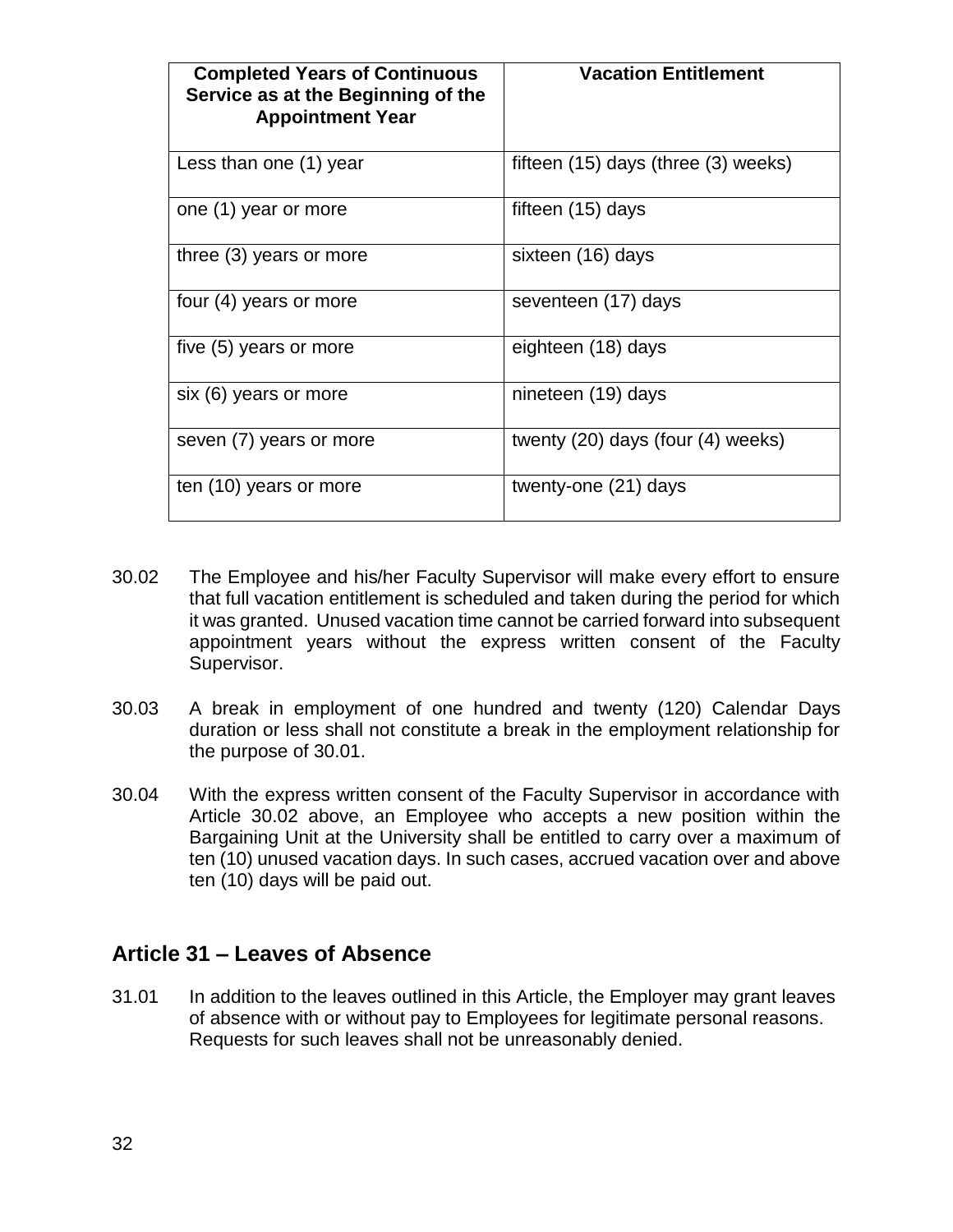| <b>Completed Years of Continuous</b><br>Service as at the Beginning of the<br><b>Appointment Year</b> | <b>Vacation Entitlement</b>             |
|-------------------------------------------------------------------------------------------------------|-----------------------------------------|
| Less than one (1) year                                                                                | fifteen $(15)$ days (three $(3)$ weeks) |
| one (1) year or more                                                                                  | fifteen (15) days                       |
| three (3) years or more                                                                               | sixteen (16) days                       |
| four (4) years or more                                                                                | seventeen (17) days                     |
| five (5) years or more                                                                                | eighteen (18) days                      |
| six (6) years or more                                                                                 | nineteen (19) days                      |
| seven (7) years or more                                                                               | twenty (20) days (four (4) weeks)       |
| ten (10) years or more                                                                                | twenty-one (21) days                    |

- 30.02 The Employee and his/her Faculty Supervisor will make every effort to ensure that full vacation entitlement is scheduled and taken during the period for which it was granted. Unused vacation time cannot be carried forward into subsequent appointment years without the express written consent of the Faculty Supervisor.
- 30.03 A break in employment of one hundred and twenty (120) Calendar Days duration or less shall not constitute a break in the employment relationship for the purpose of 30.01.
- 30.04 With the express written consent of the Faculty Supervisor in accordance with Article 30.02 above, an Employee who accepts a new position within the Bargaining Unit at the University shall be entitled to carry over a maximum of ten (10) unused vacation days. In such cases, accrued vacation over and above ten (10) days will be paid out.

## **Article 31 – Leaves of Absence**

31.01 In addition to the leaves outlined in this Article, the Employer may grant leaves of absence with or without pay to Employees for legitimate personal reasons. Requests for such leaves shall not be unreasonably denied.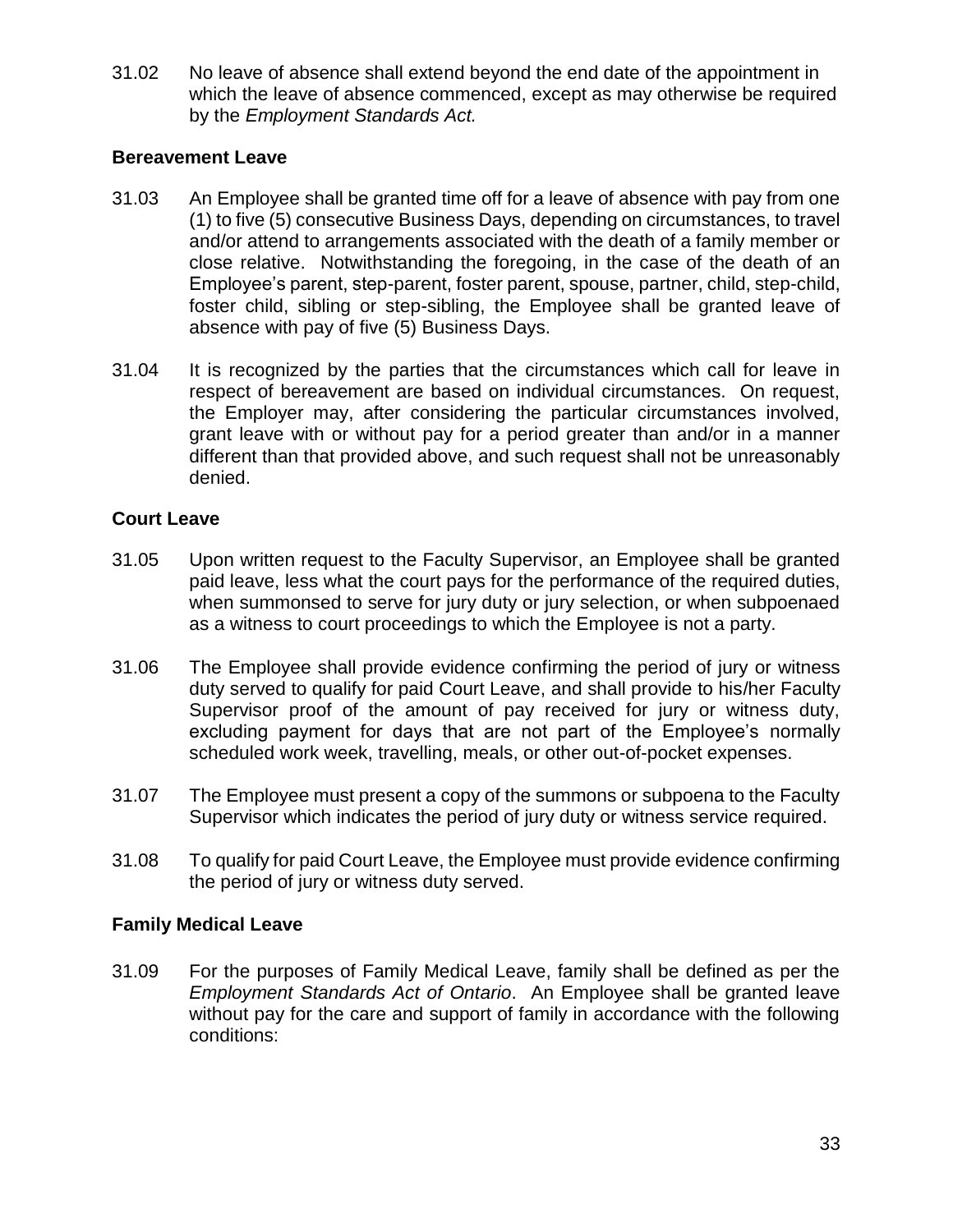31.02 No leave of absence shall extend beyond the end date of the appointment in which the leave of absence commenced, except as may otherwise be required by the *Employment Standards Act.*

### **Bereavement Leave**

- 31.03 An Employee shall be granted time off for a leave of absence with pay from one (1) to five (5) consecutive Business Days, depending on circumstances, to travel and/or attend to arrangements associated with the death of a family member or close relative. Notwithstanding the foregoing, in the case of the death of an Employee's parent, step-parent, foster parent, spouse, partner, child, step-child, foster child, sibling or step-sibling, the Employee shall be granted leave of absence with pay of five (5) Business Days.
- 31.04 It is recognized by the parties that the circumstances which call for leave in respect of bereavement are based on individual circumstances. On request, the Employer may, after considering the particular circumstances involved, grant leave with or without pay for a period greater than and/or in a manner different than that provided above, and such request shall not be unreasonably denied.

### **Court Leave**

- 31.05 Upon written request to the Faculty Supervisor, an Employee shall be granted paid leave, less what the court pays for the performance of the required duties, when summonsed to serve for jury duty or jury selection, or when subpoenaed as a witness to court proceedings to which the Employee is not a party.
- 31.06 The Employee shall provide evidence confirming the period of jury or witness duty served to qualify for paid Court Leave, and shall provide to his/her Faculty Supervisor proof of the amount of pay received for jury or witness duty, excluding payment for days that are not part of the Employee's normally scheduled work week, travelling, meals, or other out-of-pocket expenses.
- 31.07 The Employee must present a copy of the summons or subpoena to the Faculty Supervisor which indicates the period of jury duty or witness service required.
- 31.08 To qualify for paid Court Leave, the Employee must provide evidence confirming the period of jury or witness duty served.

#### **Family Medical Leave**

31.09 For the purposes of Family Medical Leave, family shall be defined as per the *Employment Standards Act of Ontario*. An Employee shall be granted leave without pay for the care and support of family in accordance with the following conditions: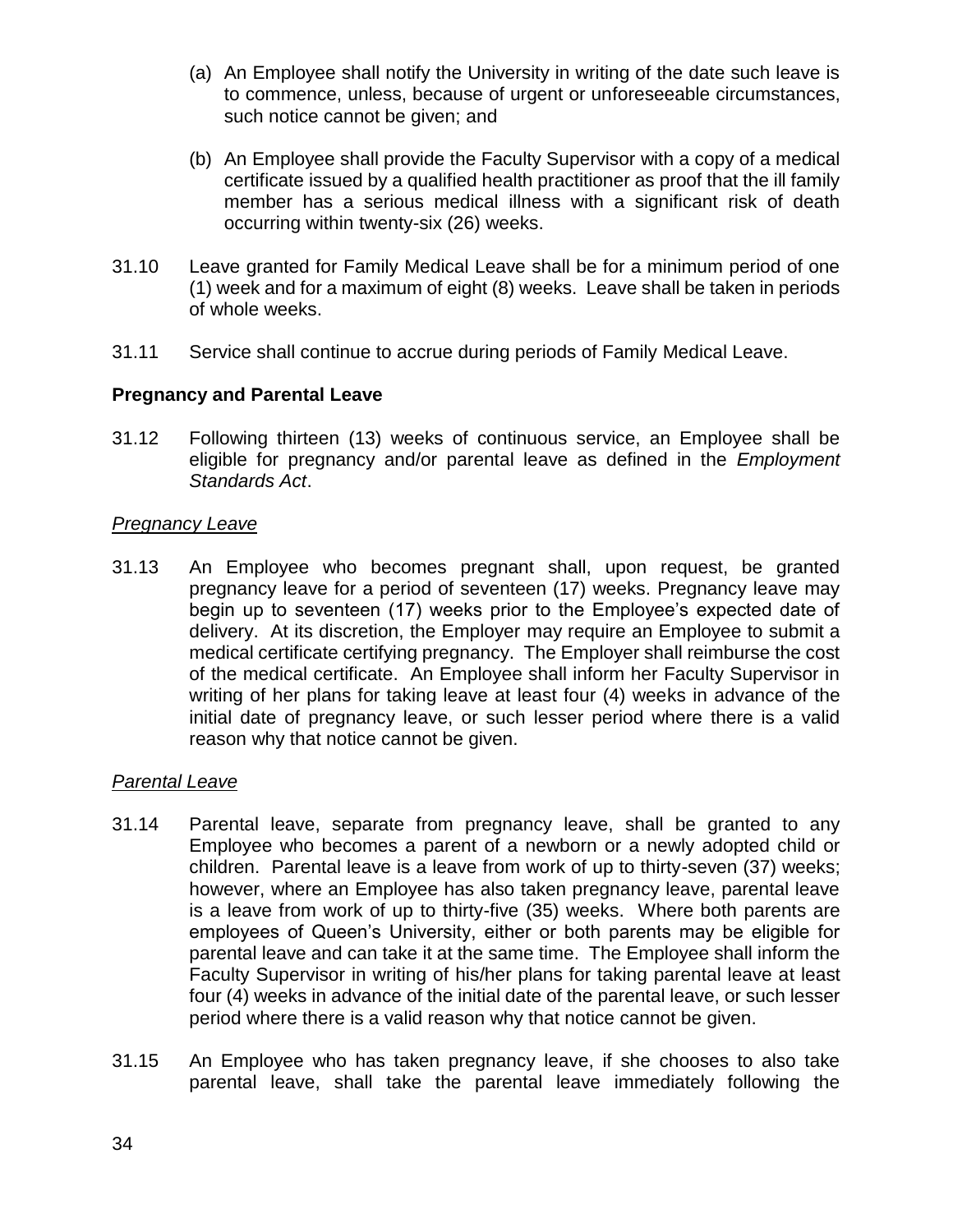- (a) An Employee shall notify the University in writing of the date such leave is to commence, unless, because of urgent or unforeseeable circumstances, such notice cannot be given; and
- (b) An Employee shall provide the Faculty Supervisor with a copy of a medical certificate issued by a qualified health practitioner as proof that the ill family member has a serious medical illness with a significant risk of death occurring within twenty-six (26) weeks.
- 31.10 Leave granted for Family Medical Leave shall be for a minimum period of one (1) week and for a maximum of eight (8) weeks. Leave shall be taken in periods of whole weeks.
- 31.11 Service shall continue to accrue during periods of Family Medical Leave.

### **Pregnancy and Parental Leave**

31.12 Following thirteen (13) weeks of continuous service, an Employee shall be eligible for pregnancy and/or parental leave as defined in the *Employment Standards Act*.

### *Pregnancy Leave*

31.13 An Employee who becomes pregnant shall, upon request, be granted pregnancy leave for a period of seventeen (17) weeks. Pregnancy leave may begin up to seventeen (17) weeks prior to the Employee's expected date of delivery. At its discretion, the Employer may require an Employee to submit a medical certificate certifying pregnancy. The Employer shall reimburse the cost of the medical certificate. An Employee shall inform her Faculty Supervisor in writing of her plans for taking leave at least four (4) weeks in advance of the initial date of pregnancy leave, or such lesser period where there is a valid reason why that notice cannot be given.

### *Parental Leave*

- 31.14 Parental leave, separate from pregnancy leave, shall be granted to any Employee who becomes a parent of a newborn or a newly adopted child or children. Parental leave is a leave from work of up to thirty-seven (37) weeks; however, where an Employee has also taken pregnancy leave, parental leave is a leave from work of up to thirty-five (35) weeks. Where both parents are employees of Queen's University, either or both parents may be eligible for parental leave and can take it at the same time. The Employee shall inform the Faculty Supervisor in writing of his/her plans for taking parental leave at least four (4) weeks in advance of the initial date of the parental leave, or such lesser period where there is a valid reason why that notice cannot be given.
- 31.15 An Employee who has taken pregnancy leave, if she chooses to also take parental leave, shall take the parental leave immediately following the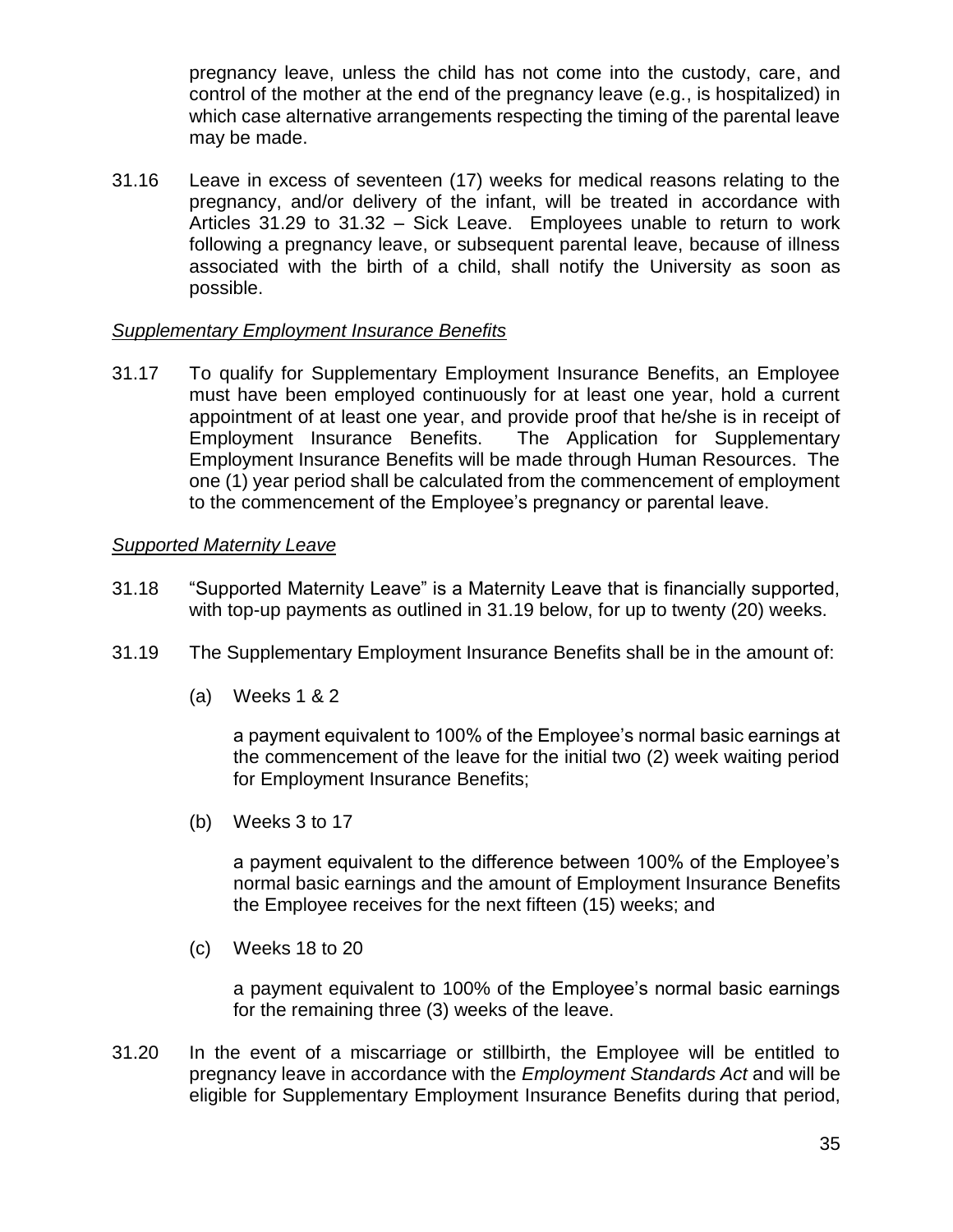pregnancy leave, unless the child has not come into the custody, care, and control of the mother at the end of the pregnancy leave (e.g., is hospitalized) in which case alternative arrangements respecting the timing of the parental leave may be made.

31.16 Leave in excess of seventeen (17) weeks for medical reasons relating to the pregnancy, and/or delivery of the infant, will be treated in accordance with Articles 31.29 to 31.32 – Sick Leave. Employees unable to return to work following a pregnancy leave, or subsequent parental leave, because of illness associated with the birth of a child, shall notify the University as soon as possible.

#### *Supplementary Employment Insurance Benefits*

31.17 To qualify for Supplementary Employment Insurance Benefits, an Employee must have been employed continuously for at least one year, hold a current appointment of at least one year, and provide proof that he/she is in receipt of Employment Insurance Benefits. The Application for Supplementary Employment Insurance Benefits will be made through Human Resources. The one (1) year period shall be calculated from the commencement of employment to the commencement of the Employee's pregnancy or parental leave.

#### *Supported Maternity Leave*

- 31.18 "Supported Maternity Leave" is a Maternity Leave that is financially supported, with top-up payments as outlined in 31.19 below, for up to twenty (20) weeks.
- 31.19 The Supplementary Employment Insurance Benefits shall be in the amount of:
	- (a) Weeks 1 & 2

a payment equivalent to 100% of the Employee's normal basic earnings at the commencement of the leave for the initial two (2) week waiting period for Employment Insurance Benefits;

(b) Weeks 3 to 17

a payment equivalent to the difference between 100% of the Employee's normal basic earnings and the amount of Employment Insurance Benefits the Employee receives for the next fifteen (15) weeks; and

(c) Weeks 18 to 20

a payment equivalent to 100% of the Employee's normal basic earnings for the remaining three (3) weeks of the leave.

31.20 In the event of a miscarriage or stillbirth, the Employee will be entitled to pregnancy leave in accordance with the *Employment Standards Act* and will be eligible for Supplementary Employment Insurance Benefits during that period,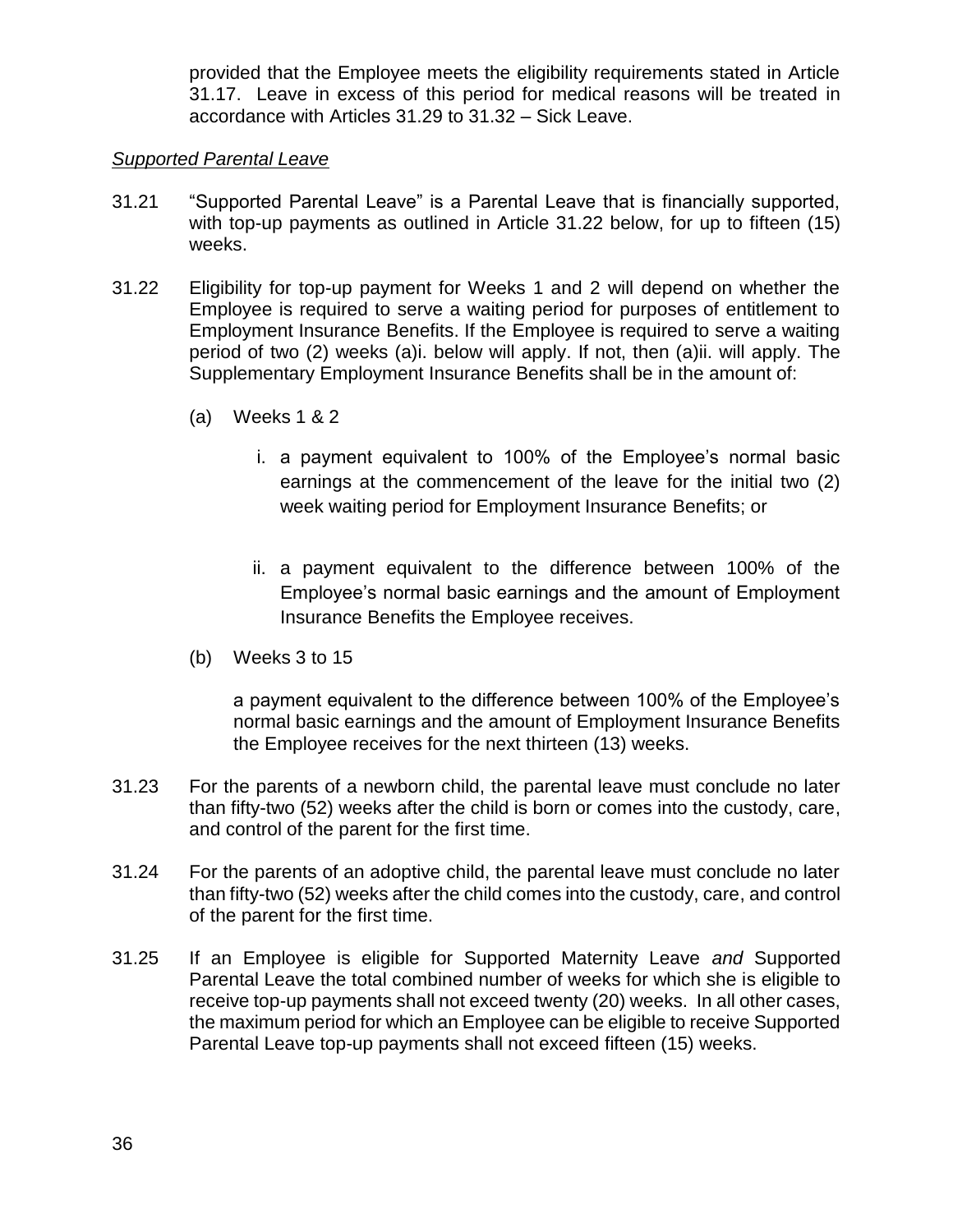provided that the Employee meets the eligibility requirements stated in Article 31.17. Leave in excess of this period for medical reasons will be treated in accordance with Articles 31.29 to 31.32 – Sick Leave.

### *Supported Parental Leave*

- 31.21 "Supported Parental Leave" is a Parental Leave that is financially supported, with top-up payments as outlined in Article 31.22 below, for up to fifteen (15) weeks.
- 31.22 Eligibility for top-up payment for Weeks 1 and 2 will depend on whether the Employee is required to serve a waiting period for purposes of entitlement to Employment Insurance Benefits. If the Employee is required to serve a waiting period of two (2) weeks (a)i. below will apply. If not, then (a)ii. will apply. The Supplementary Employment Insurance Benefits shall be in the amount of:
	- (a) Weeks 1 & 2
		- i. a payment equivalent to 100% of the Employee's normal basic earnings at the commencement of the leave for the initial two (2) week waiting period for Employment Insurance Benefits; or
		- ii. a payment equivalent to the difference between 100% of the Employee's normal basic earnings and the amount of Employment Insurance Benefits the Employee receives.
	- (b) Weeks 3 to 15

a payment equivalent to the difference between 100% of the Employee's normal basic earnings and the amount of Employment Insurance Benefits the Employee receives for the next thirteen (13) weeks.

- 31.23 For the parents of a newborn child, the parental leave must conclude no later than fifty-two (52) weeks after the child is born or comes into the custody, care, and control of the parent for the first time.
- 31.24 For the parents of an adoptive child, the parental leave must conclude no later than fifty-two (52) weeks after the child comes into the custody, care, and control of the parent for the first time.
- 31.25 If an Employee is eligible for Supported Maternity Leave *and* Supported Parental Leave the total combined number of weeks for which she is eligible to receive top-up payments shall not exceed twenty (20) weeks. In all other cases, the maximum period for which an Employee can be eligible to receive Supported Parental Leave top-up payments shall not exceed fifteen (15) weeks.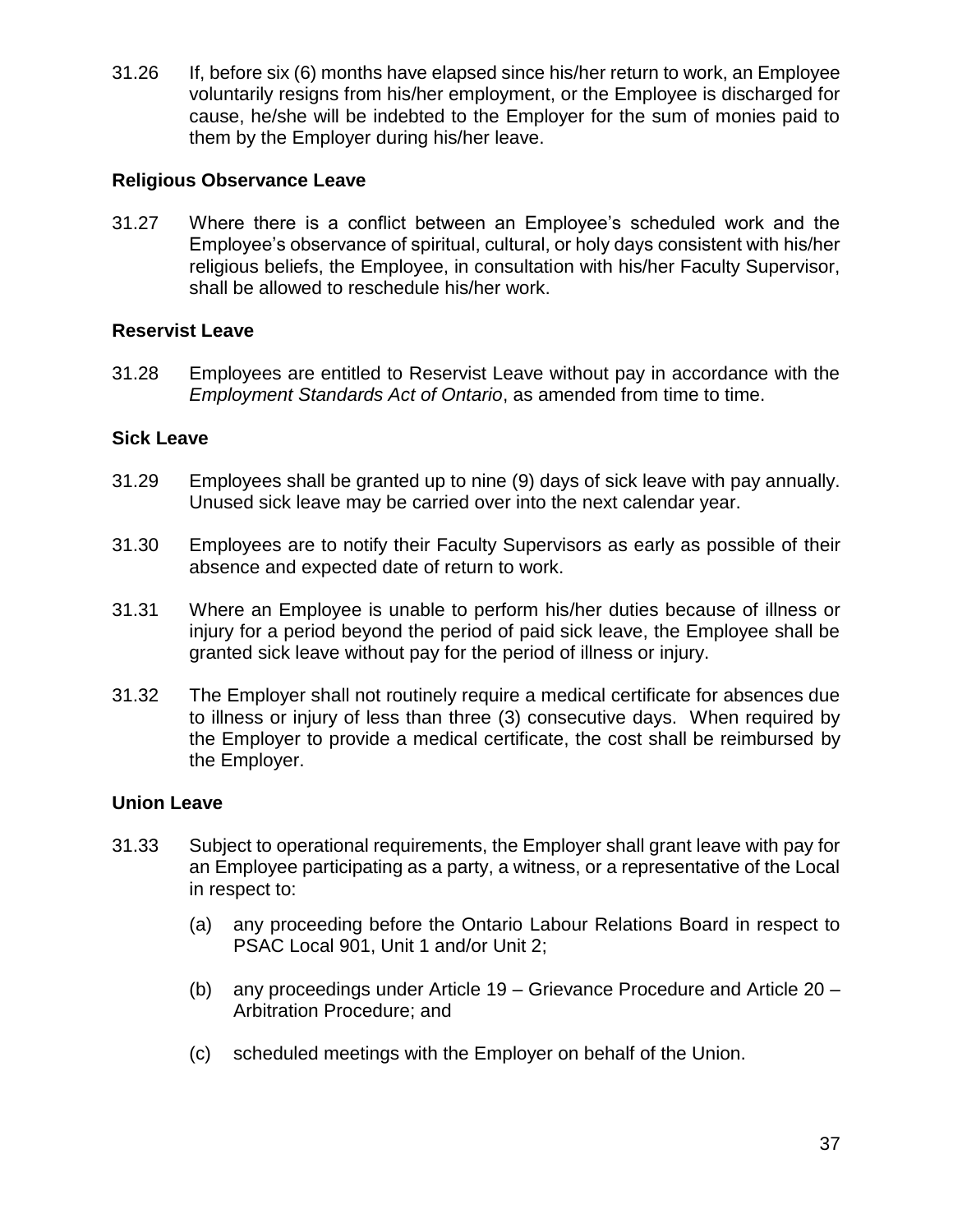31.26 If, before six (6) months have elapsed since his/her return to work, an Employee voluntarily resigns from his/her employment, or the Employee is discharged for cause, he/she will be indebted to the Employer for the sum of monies paid to them by the Employer during his/her leave.

### **Religious Observance Leave**

31.27 Where there is a conflict between an Employee's scheduled work and the Employee's observance of spiritual, cultural, or holy days consistent with his/her religious beliefs, the Employee, in consultation with his/her Faculty Supervisor, shall be allowed to reschedule his/her work.

### **Reservist Leave**

31.28 Employees are entitled to Reservist Leave without pay in accordance with the *Employment Standards Act of Ontario*, as amended from time to time.

### **Sick Leave**

- 31.29 Employees shall be granted up to nine (9) days of sick leave with pay annually. Unused sick leave may be carried over into the next calendar year.
- 31.30 Employees are to notify their Faculty Supervisors as early as possible of their absence and expected date of return to work.
- 31.31 Where an Employee is unable to perform his/her duties because of illness or injury for a period beyond the period of paid sick leave, the Employee shall be granted sick leave without pay for the period of illness or injury.
- 31.32 The Employer shall not routinely require a medical certificate for absences due to illness or injury of less than three (3) consecutive days. When required by the Employer to provide a medical certificate, the cost shall be reimbursed by the Employer.

### **Union Leave**

- 31.33 Subject to operational requirements, the Employer shall grant leave with pay for an Employee participating as a party, a witness, or a representative of the Local in respect to:
	- (a) any proceeding before the Ontario Labour Relations Board in respect to PSAC Local 901, Unit 1 and/or Unit 2;
	- (b) any proceedings under Article 19 Grievance Procedure and Article 20 Arbitration Procedure; and
	- (c) scheduled meetings with the Employer on behalf of the Union.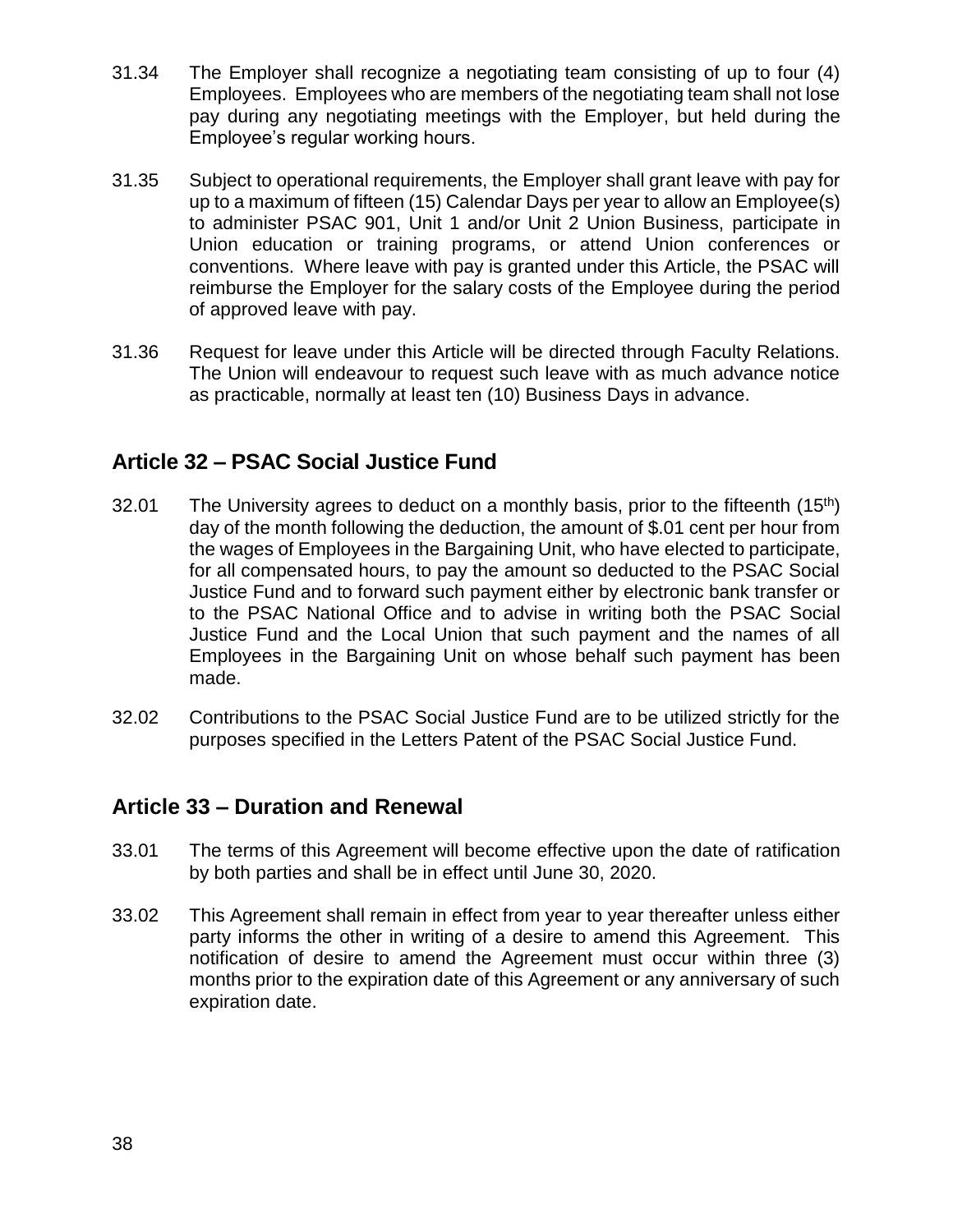- 31.34 The Employer shall recognize a negotiating team consisting of up to four (4) Employees. Employees who are members of the negotiating team shall not lose pay during any negotiating meetings with the Employer, but held during the Employee's regular working hours.
- 31.35 Subject to operational requirements, the Employer shall grant leave with pay for up to a maximum of fifteen (15) Calendar Days per year to allow an Employee(s) to administer PSAC 901, Unit 1 and/or Unit 2 Union Business, participate in Union education or training programs, or attend Union conferences or conventions. Where leave with pay is granted under this Article, the PSAC will reimburse the Employer for the salary costs of the Employee during the period of approved leave with pay.
- 31.36 Request for leave under this Article will be directed through Faculty Relations. The Union will endeavour to request such leave with as much advance notice as practicable, normally at least ten (10) Business Days in advance.

## **Article 32 – PSAC Social Justice Fund**

- 32.01 The University agrees to deduct on a monthly basis, prior to the fifteenth  $(15<sup>th</sup>)$ day of the month following the deduction, the amount of \$.01 cent per hour from the wages of Employees in the Bargaining Unit, who have elected to participate, for all compensated hours, to pay the amount so deducted to the PSAC Social Justice Fund and to forward such payment either by electronic bank transfer or to the PSAC National Office and to advise in writing both the PSAC Social Justice Fund and the Local Union that such payment and the names of all Employees in the Bargaining Unit on whose behalf such payment has been made.
- 32.02 Contributions to the PSAC Social Justice Fund are to be utilized strictly for the purposes specified in the Letters Patent of the PSAC Social Justice Fund.

## **Article 33 – Duration and Renewal**

- 33.01 The terms of this Agreement will become effective upon the date of ratification by both parties and shall be in effect until June 30, 2020.
- 33.02 This Agreement shall remain in effect from year to year thereafter unless either party informs the other in writing of a desire to amend this Agreement. This notification of desire to amend the Agreement must occur within three (3) months prior to the expiration date of this Agreement or any anniversary of such expiration date.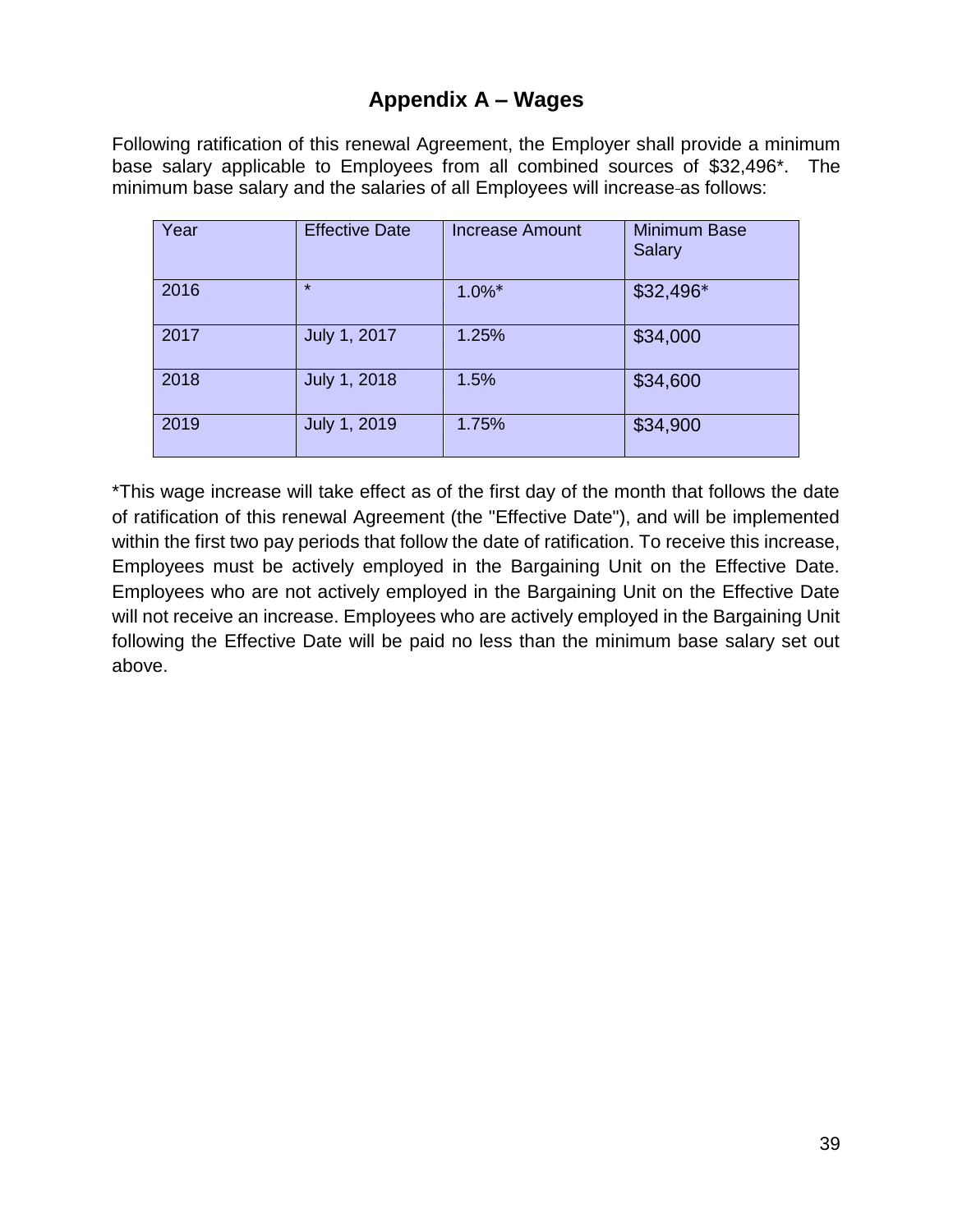## **Appendix A – Wages**

Following ratification of this renewal Agreement, the Employer shall provide a minimum base salary applicable to Employees from all combined sources of \$32,496\*. The minimum base salary and the salaries of all Employees will increase-as follows:

| Year | <b>Effective Date</b> | <b>Increase Amount</b> | <b>Minimum Base</b><br>Salary |
|------|-----------------------|------------------------|-------------------------------|
| 2016 | $\star$               | $1.0\%$ *              | \$32,496*                     |
| 2017 | July 1, 2017          | 1.25%                  | \$34,000                      |
| 2018 | July 1, 2018          | 1.5%                   | \$34,600                      |
| 2019 | July 1, 2019          | 1.75%                  | \$34,900                      |

\*This wage increase will take effect as of the first day of the month that follows the date of ratification of this renewal Agreement (the "Effective Date"), and will be implemented within the first two pay periods that follow the date of ratification. To receive this increase, Employees must be actively employed in the Bargaining Unit on the Effective Date. Employees who are not actively employed in the Bargaining Unit on the Effective Date will not receive an increase. Employees who are actively employed in the Bargaining Unit following the Effective Date will be paid no less than the minimum base salary set out above.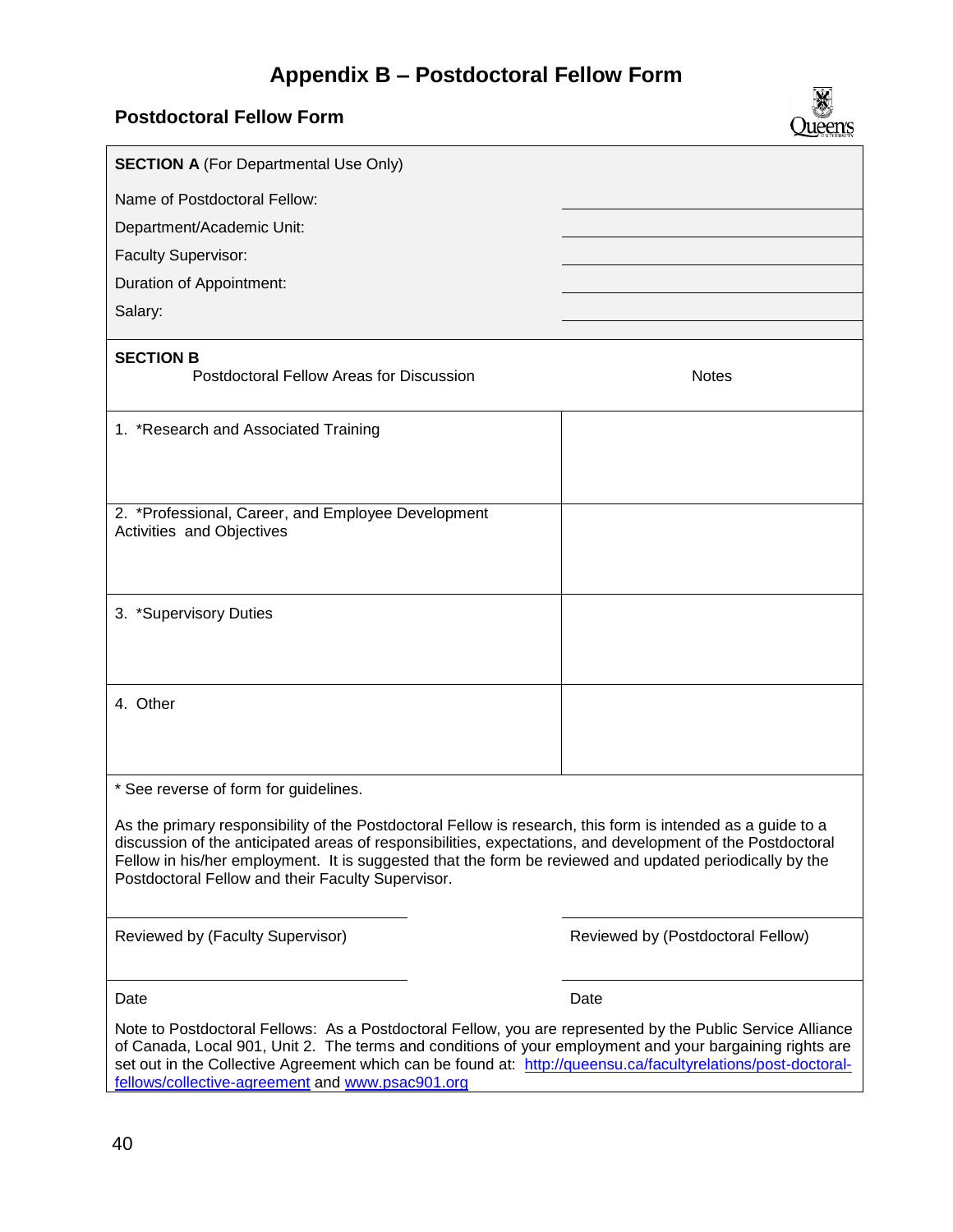# **Appendix B – Postdoctoral Fellow Form**

X Queen's

**Postdoctoral Fellow Form**

| <b>SECTION A (For Departmental Use Only)</b>                                                                                                                                                                                                                                                                                                                                               |                                   |  |
|--------------------------------------------------------------------------------------------------------------------------------------------------------------------------------------------------------------------------------------------------------------------------------------------------------------------------------------------------------------------------------------------|-----------------------------------|--|
| Name of Postdoctoral Fellow:                                                                                                                                                                                                                                                                                                                                                               |                                   |  |
| Department/Academic Unit:                                                                                                                                                                                                                                                                                                                                                                  |                                   |  |
| Faculty Supervisor:                                                                                                                                                                                                                                                                                                                                                                        |                                   |  |
| Duration of Appointment:                                                                                                                                                                                                                                                                                                                                                                   |                                   |  |
| Salary:                                                                                                                                                                                                                                                                                                                                                                                    |                                   |  |
| <b>SECTION B</b><br>Postdoctoral Fellow Areas for Discussion                                                                                                                                                                                                                                                                                                                               | <b>Notes</b>                      |  |
| 1. *Research and Associated Training                                                                                                                                                                                                                                                                                                                                                       |                                   |  |
| 2. *Professional, Career, and Employee Development<br>Activities and Objectives                                                                                                                                                                                                                                                                                                            |                                   |  |
| 3. *Supervisory Duties                                                                                                                                                                                                                                                                                                                                                                     |                                   |  |
| 4. Other                                                                                                                                                                                                                                                                                                                                                                                   |                                   |  |
| * See reverse of form for guidelines.                                                                                                                                                                                                                                                                                                                                                      |                                   |  |
| As the primary responsibility of the Postdoctoral Fellow is research, this form is intended as a guide to a<br>discussion of the anticipated areas of responsibilities, expectations, and development of the Postdoctoral<br>Fellow in his/her employment. It is suggested that the form be reviewed and updated periodically by the<br>Postdoctoral Fellow and their Faculty Supervisor.  |                                   |  |
| Reviewed by (Faculty Supervisor)                                                                                                                                                                                                                                                                                                                                                           | Reviewed by (Postdoctoral Fellow) |  |
| Date                                                                                                                                                                                                                                                                                                                                                                                       | Date                              |  |
| Note to Postdoctoral Fellows: As a Postdoctoral Fellow, you are represented by the Public Service Alliance<br>of Canada, Local 901, Unit 2. The terms and conditions of your employment and your bargaining rights are<br>set out in the Collective Agreement which can be found at: http://queensu.ca/facultyrelations/post-doctoral-<br>fellows/collective-agreement and www.psac901.org |                                   |  |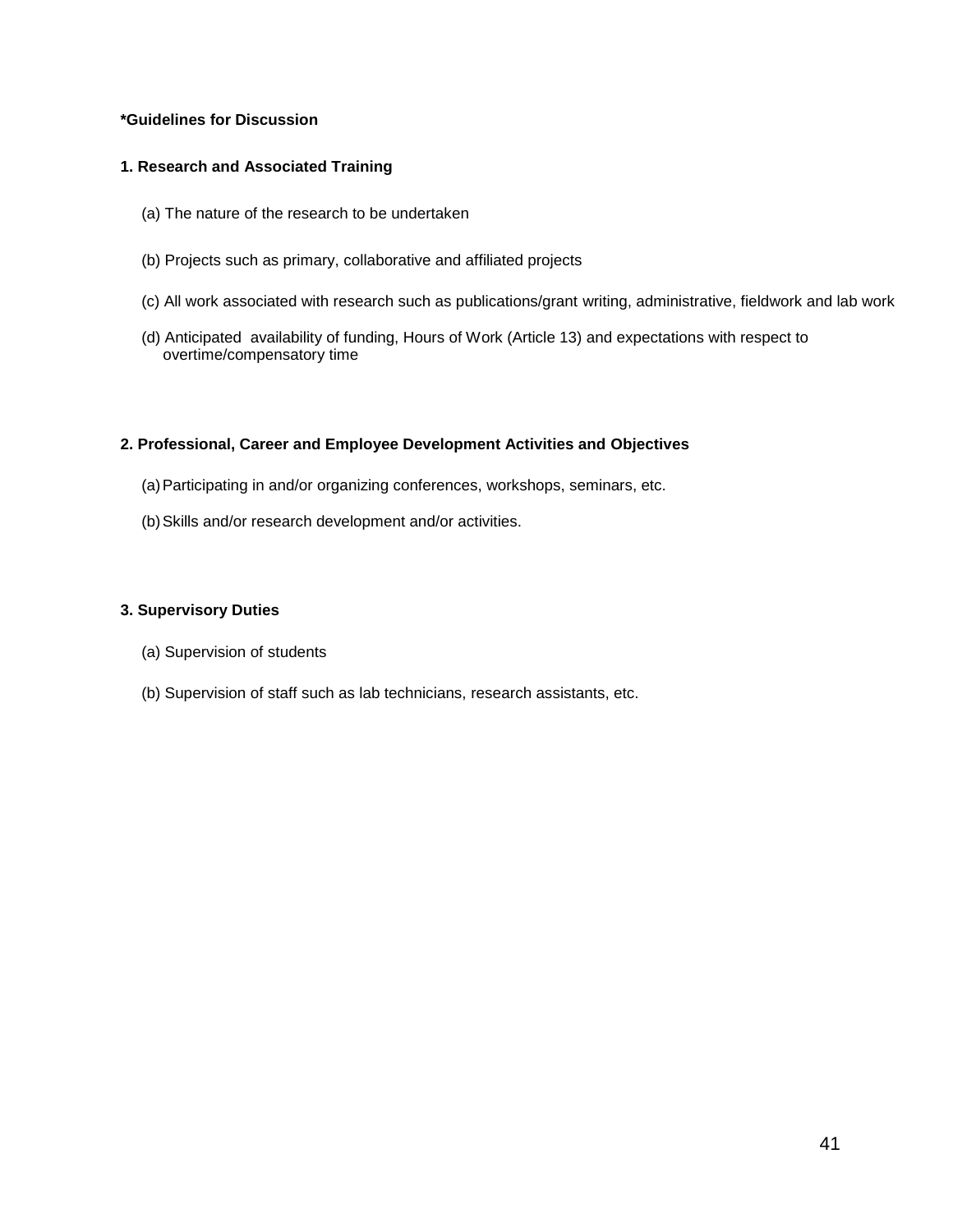#### **\*Guidelines for Discussion**

#### **1. Research and Associated Training**

- (a) The nature of the research to be undertaken
- (b) Projects such as primary, collaborative and affiliated projects
- (c) All work associated with research such as publications/grant writing, administrative, fieldwork and lab work
- (d) Anticipated availability of funding, Hours of Work (Article 13) and expectations with respect to overtime/compensatory time

#### **2. Professional, Career and Employee Development Activities and Objectives**

- (a)Participating in and/or organizing conferences, workshops, seminars, etc.
- (b)Skills and/or research development and/or activities.

#### **3. Supervisory Duties**

- (a) Supervision of students
- (b) Supervision of staff such as lab technicians, research assistants, etc.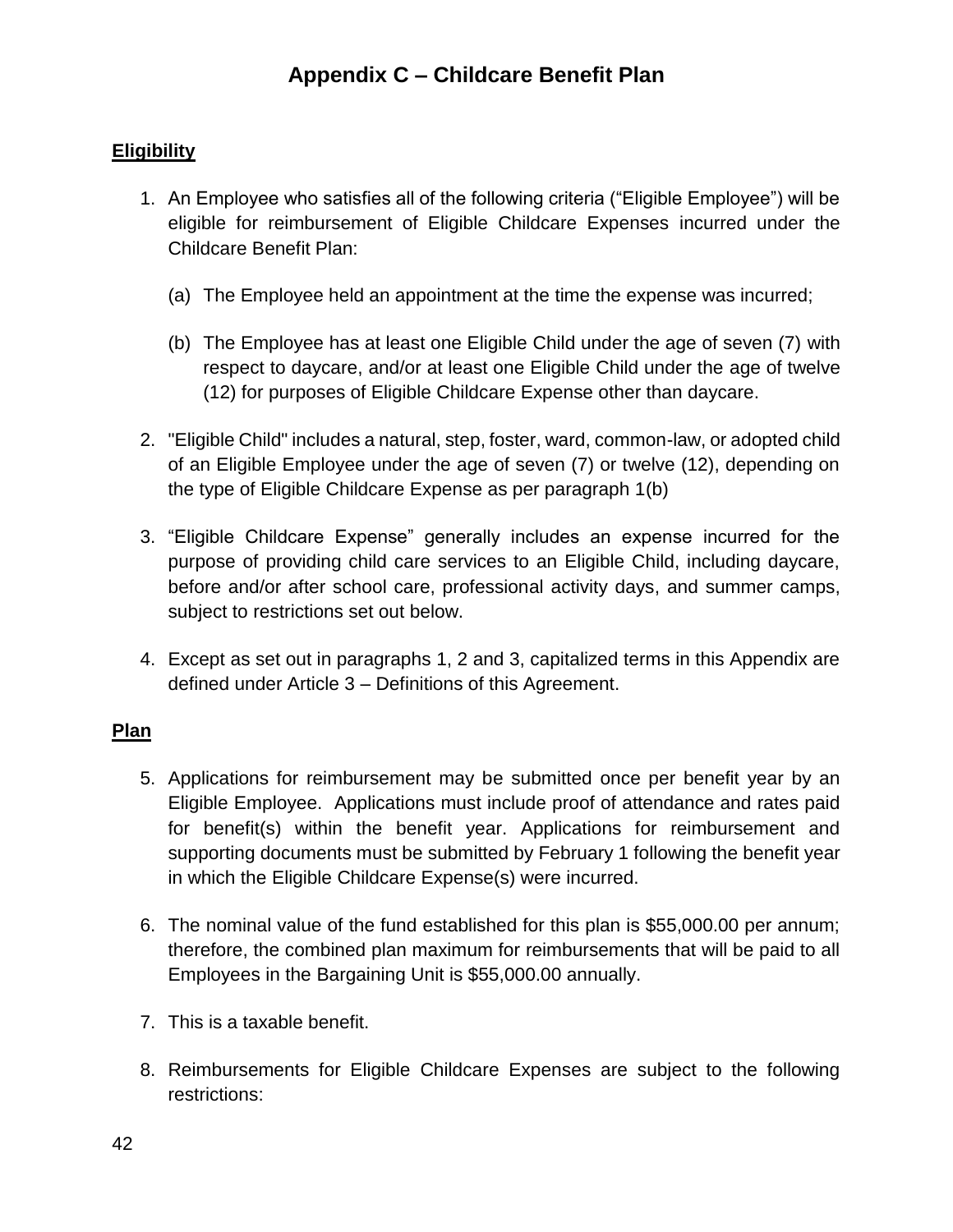### **Eligibility**

- 1. An Employee who satisfies all of the following criteria ("Eligible Employee") will be eligible for reimbursement of Eligible Childcare Expenses incurred under the Childcare Benefit Plan:
	- (a) The Employee held an appointment at the time the expense was incurred;
	- (b) The Employee has at least one Eligible Child under the age of seven (7) with respect to daycare, and/or at least one Eligible Child under the age of twelve (12) for purposes of Eligible Childcare Expense other than daycare.
- 2. "Eligible Child" includes a natural, step, foster, ward, common-law, or adopted child of an Eligible Employee under the age of seven (7) or twelve (12), depending on the type of Eligible Childcare Expense as per paragraph 1(b)
- 3. "Eligible Childcare Expense" generally includes an expense incurred for the purpose of providing child care services to an Eligible Child, including daycare, before and/or after school care, professional activity days, and summer camps, subject to restrictions set out below.
- 4. Except as set out in paragraphs 1, 2 and 3, capitalized terms in this Appendix are defined under Article 3 – Definitions of this Agreement.

### **Plan**

- 5. Applications for reimbursement may be submitted once per benefit year by an Eligible Employee. Applications must include proof of attendance and rates paid for benefit(s) within the benefit year. Applications for reimbursement and supporting documents must be submitted by February 1 following the benefit year in which the Eligible Childcare Expense(s) were incurred.
- 6. The nominal value of the fund established for this plan is \$55,000.00 per annum; therefore, the combined plan maximum for reimbursements that will be paid to all Employees in the Bargaining Unit is \$55,000.00 annually.
- 7. This is a taxable benefit.
- 8. Reimbursements for Eligible Childcare Expenses are subject to the following restrictions: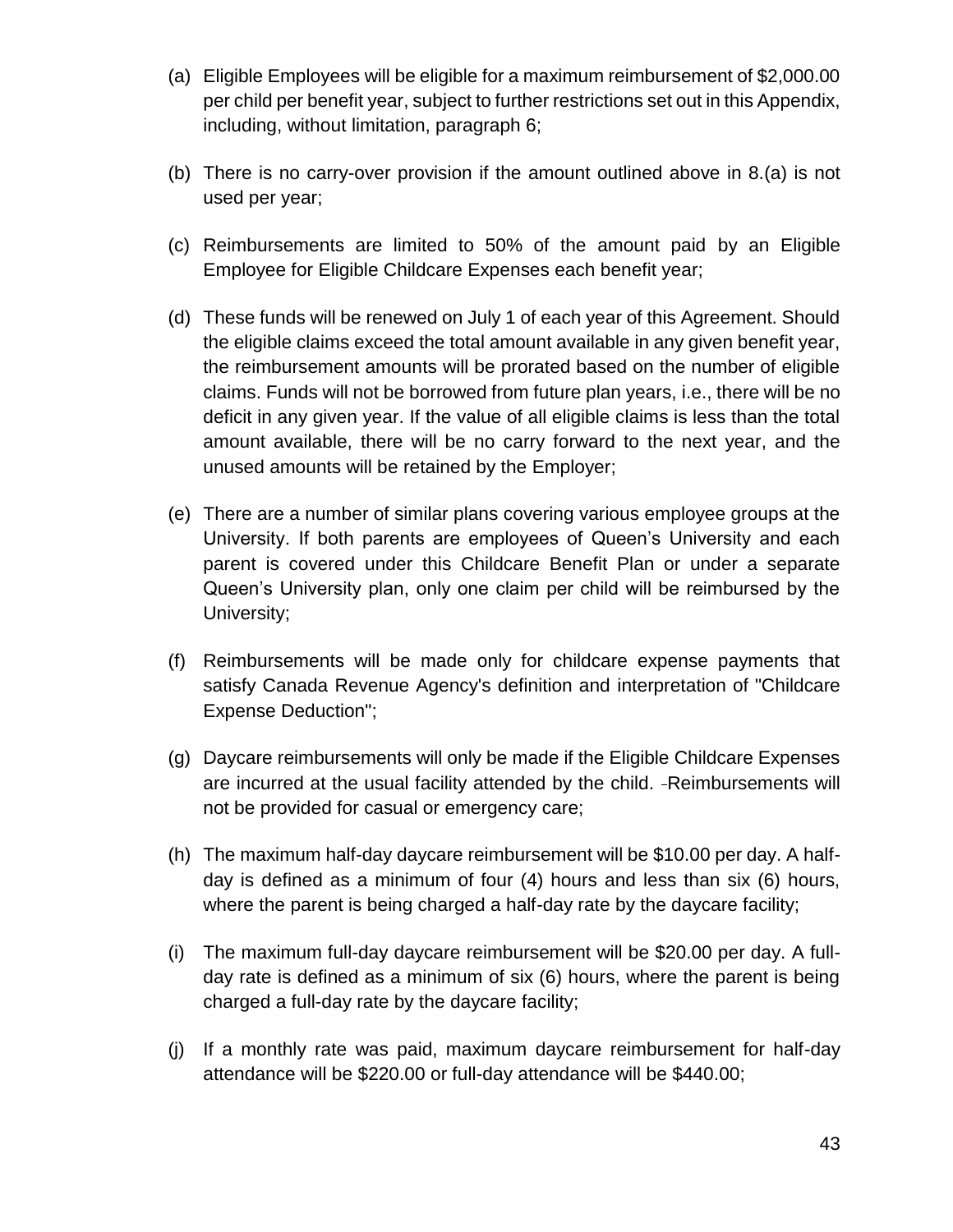- (a) Eligible Employees will be eligible for a maximum reimbursement of \$2,000.00 per child per benefit year, subject to further restrictions set out in this Appendix, including, without limitation, paragraph 6;
- (b) There is no carry-over provision if the amount outlined above in 8.(a) is not used per year;
- (c) Reimbursements are limited to 50% of the amount paid by an Eligible Employee for Eligible Childcare Expenses each benefit year;
- (d) These funds will be renewed on July 1 of each year of this Agreement. Should the eligible claims exceed the total amount available in any given benefit year, the reimbursement amounts will be prorated based on the number of eligible claims. Funds will not be borrowed from future plan years, i.e., there will be no deficit in any given year. If the value of all eligible claims is less than the total amount available, there will be no carry forward to the next year, and the unused amounts will be retained by the Employer;
- (e) There are a number of similar plans covering various employee groups at the University. If both parents are employees of Queen's University and each parent is covered under this Childcare Benefit Plan or under a separate Queen's University plan, only one claim per child will be reimbursed by the University;
- (f) Reimbursements will be made only for childcare expense payments that satisfy Canada Revenue Agency's definition and interpretation of "Childcare Expense Deduction";
- (g) Daycare reimbursements will only be made if the Eligible Childcare Expenses are incurred at the usual facility attended by the child. -Reimbursements will not be provided for casual or emergency care;
- (h) The maximum half-day daycare reimbursement will be \$10.00 per day. A halfday is defined as a minimum of four (4) hours and less than six (6) hours, where the parent is being charged a half-day rate by the daycare facility;
- (i) The maximum full-day daycare reimbursement will be \$20.00 per day. A fullday rate is defined as a minimum of six (6) hours, where the parent is being charged a full-day rate by the daycare facility;
- (j) If a monthly rate was paid, maximum daycare reimbursement for half-day attendance will be \$220.00 or full-day attendance will be \$440.00;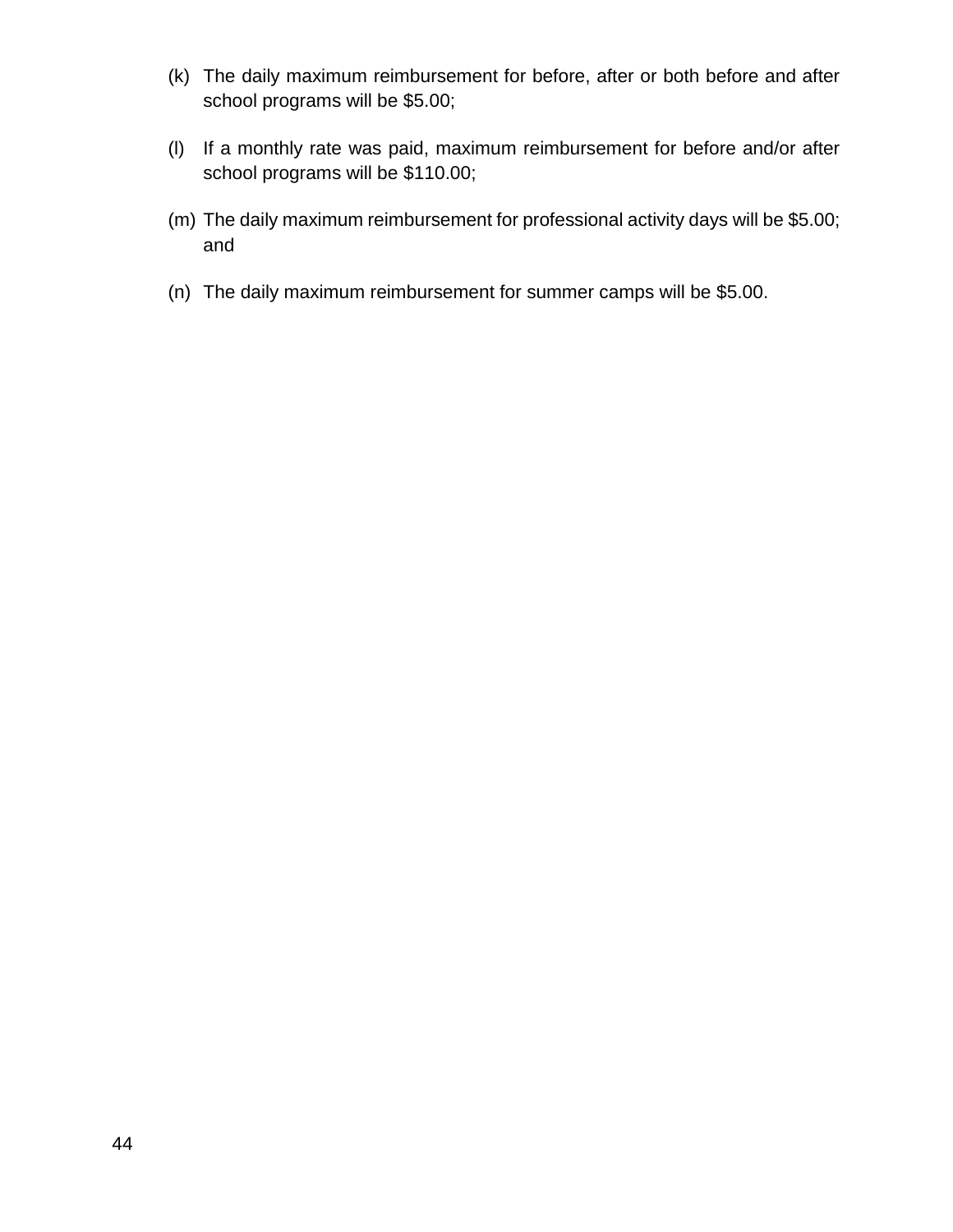- (k) The daily maximum reimbursement for before, after or both before and after school programs will be \$5.00;
- (l) If a monthly rate was paid, maximum reimbursement for before and/or after school programs will be \$110.00;
- (m) The daily maximum reimbursement for professional activity days will be \$5.00; and
- (n) The daily maximum reimbursement for summer camps will be \$5.00.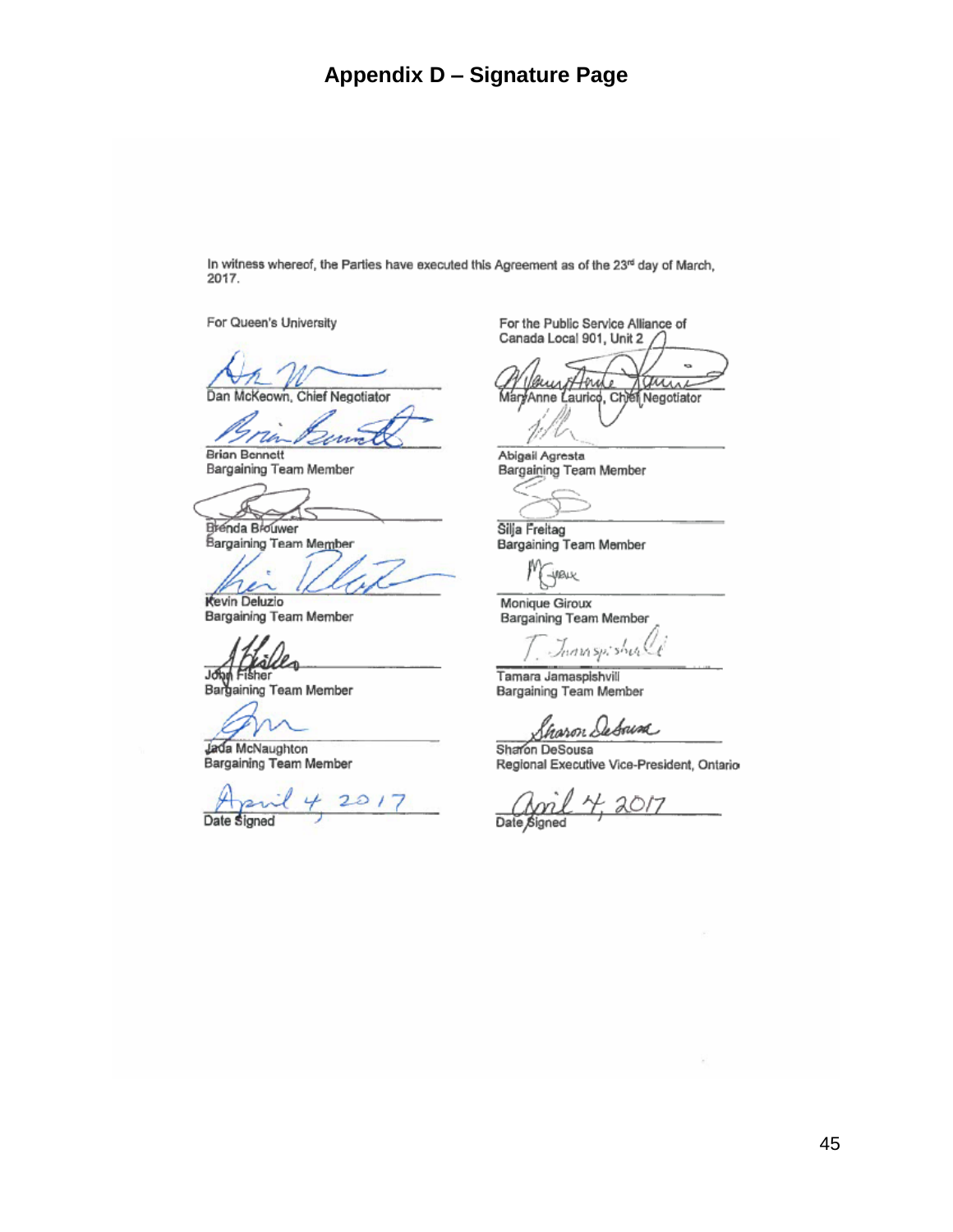## **Appendix D – Signature Page**

In witness whereof, the Parties have executed this Agreement as of the 23rd day of March, 2017.

For Queen's University

Dan McKeown, Chief Negotiator

**Brian Bennett** 

Bargaining Team Member

₩

Brenda Brouwer Bargaining Team Member

Kevin Deluzio

Bargaining Team Member

John Fisher<br>Bargaining Team Member

Jada McNaughton<br>Bargaining Team Member

 $201$ Date Signed

For the Public Service Alliance of Canada Local 901, Unit 2

ä, *8*Horu aune MaryAnne Laurico, Chef Negotiator

Abigail Agresta Bargaining Team Member

Silja Freitag Bargaining Team Member

-yeux

Monique Giroux Bargaining Team Member

Juan spishul

Tamara Jamaspishvill Bargaining Team Member

haron Sebaina

Sharon DeSousa Regional Executive Vice-President, Ontario

Date Signed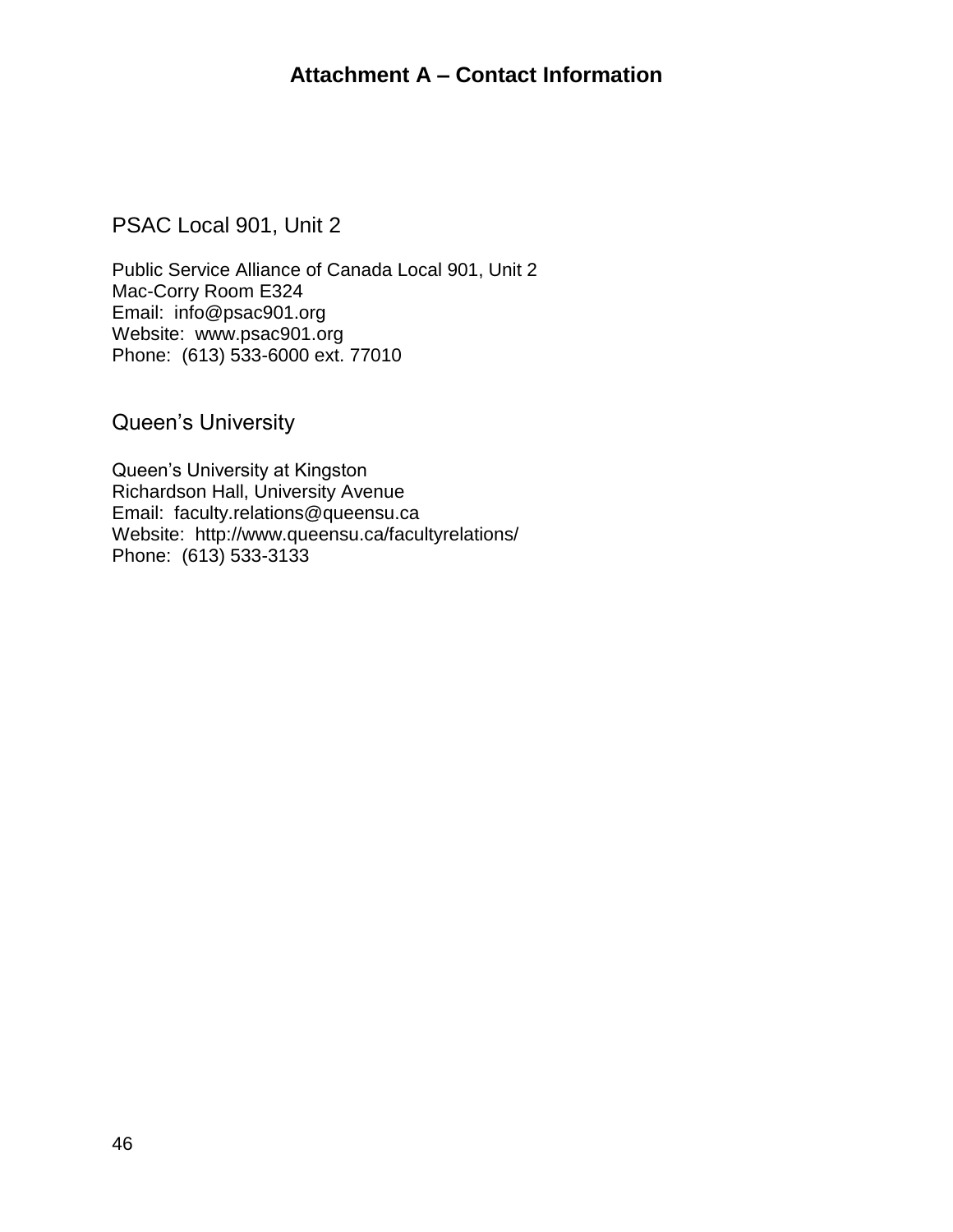## **Attachment A – Contact Information**

PSAC Local 901, Unit 2

Public Service Alliance of Canada Local 901, Unit 2 Mac-Corry Room E324 Email: info@psac901.org Website: www.psac901.org Phone: (613) 533-6000 ext. 77010

Queen's University

Queen's University at Kingston Richardson Hall, University Avenue Email: faculty.relations@queensu.ca Website: http://www.queensu.ca/facultyrelations/ Phone: (613) 533-3133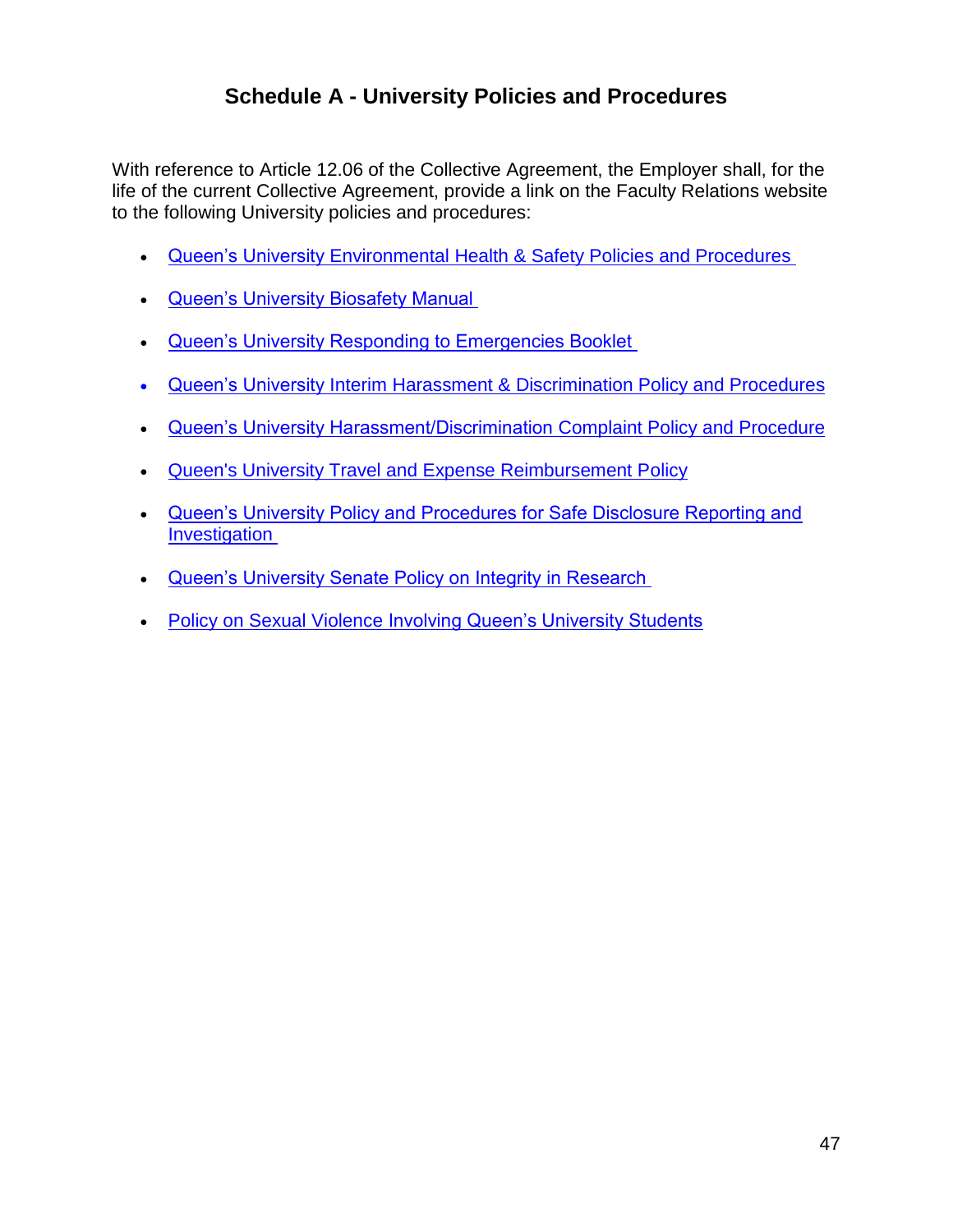## **Schedule A - University Policies and Procedures**

With reference to Article 12.06 of the Collective Agreement, the Employer shall, for the life of the current Collective Agreement, provide a link on the Faculty Relations website to the following University policies and procedures:

- [Queen's University Environmental Health & Safety Policies and Procedures](http://www.safety.queensu.ca/pol.htm)
- [Queen's University Biosafety Manual](http://www.safety.queensu.ca/biocom/manual/bioman.pdf)
- [Queen's University Responding to Emergencies Booklet](http://www.queensu.ca/security/sites/webpublish.queensu.ca.cseswww/files/files/emergency-booklet.pdf)
- Queen's University Interim Harassment [& Discrimination Policy and Procedures](http://www.queensu.ca/humanresources/policies/workplace-issues/prevention-and-resolution-harassment-workplace)
- **[Queen's University Harassment/Discrimination Complaint Policy and Procedure](http://www.queensu.ca/secretariat/policies/senate/harassmentdiscrimination-complaint-policy-and-procedure)**
- [Queen's University Travel and Expense Reimbursement Policy](http://www.queensu.ca/secretariat/sites/webpublish.queensu.ca.uslcwww/files/files/policies/Travel%20and%20Expense%20Reimbursement%20Policy%20Mar2017v3.pdf)
- [Queen's University Policy and Procedures for Safe Disclosure Reporting and](http://www.queensu.ca/secretariat/sites/webpublish.queensu.ca.uslcwww/files/files/policies/senateandtrustees/Safe_Disclosure_Policy.pdf)  [Investigation](http://www.queensu.ca/secretariat/sites/webpublish.queensu.ca.uslcwww/files/files/policies/senateandtrustees/Safe_Disclosure_Policy.pdf)
- [Queen's University Senate Policy on Integrity in Research](http://www.queensu.ca/secretariat/sites/webpublish.queensu.ca.uslcwww/files/files/policies/senateandtrustees/research_integrity.pdf)
- **Policy on [Sexual Violence I](http://www.queensu.ca/secretariat/sites/webpublish.queensu.ca.uslcwww/files/files/policies/board/SexualViolencePolicyFinal.pdf)nvolving Queen's University Students**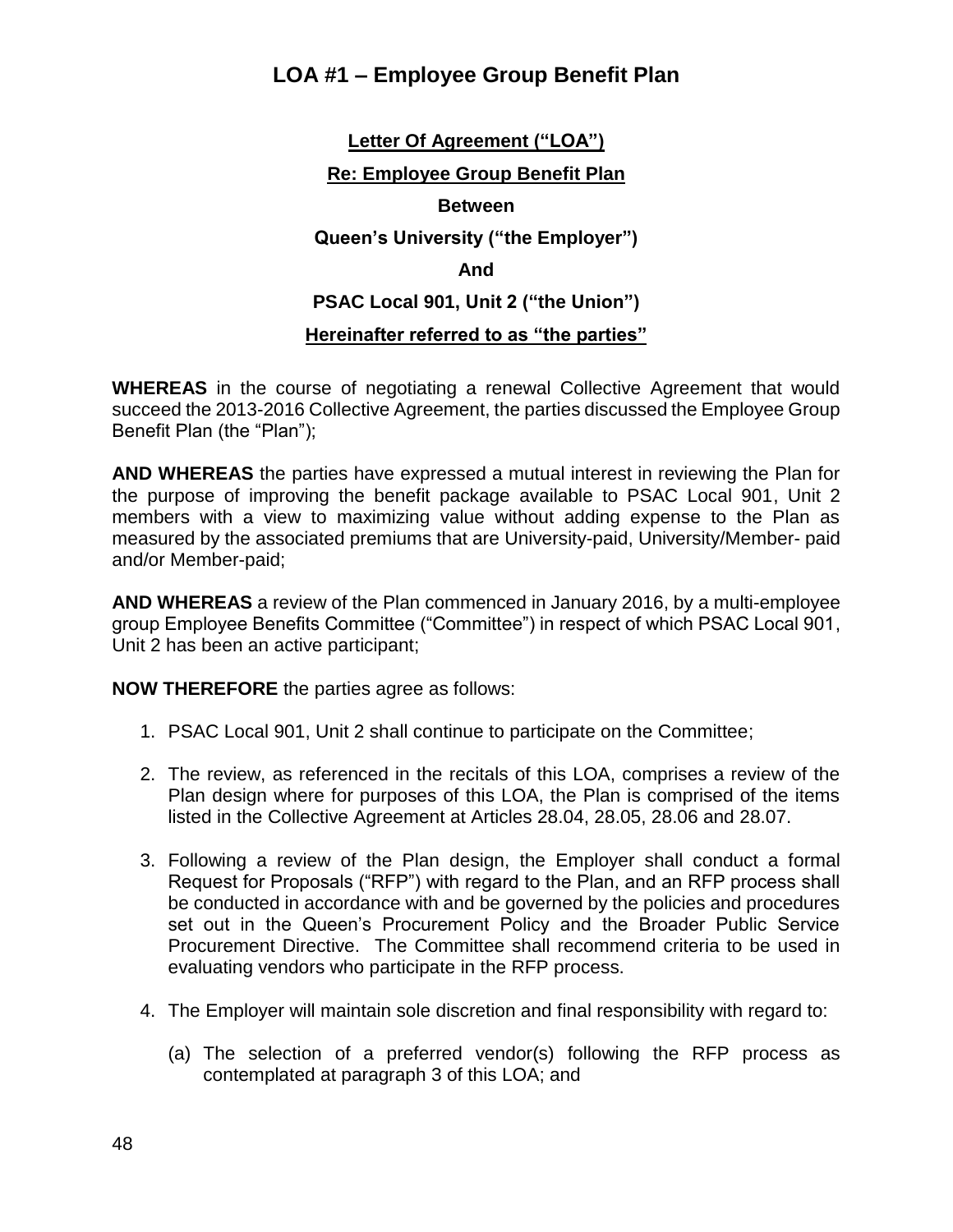## **LOA #1 – Employee Group Benefit Plan**

# **Letter Of Agreement ("LOA") Re: Employee Group Benefit Plan Between Queen's University ("the Employer") And PSAC Local 901, Unit 2 ("the Union") Hereinafter referred to as "the parties"**

**WHEREAS** in the course of negotiating a renewal Collective Agreement that would succeed the 2013-2016 Collective Agreement, the parties discussed the Employee Group Benefit Plan (the "Plan");

**AND WHEREAS** the parties have expressed a mutual interest in reviewing the Plan for the purpose of improving the benefit package available to PSAC Local 901, Unit 2 members with a view to maximizing value without adding expense to the Plan as measured by the associated premiums that are University-paid, University/Member- paid and/or Member-paid;

**AND WHEREAS** a review of the Plan commenced in January 2016, by a multi-employee group Employee Benefits Committee ("Committee") in respect of which PSAC Local 901, Unit 2 has been an active participant;

**NOW THEREFORE** the parties agree as follows:

- 1. PSAC Local 901, Unit 2 shall continue to participate on the Committee;
- 2. The review, as referenced in the recitals of this LOA, comprises a review of the Plan design where for purposes of this LOA, the Plan is comprised of the items listed in the Collective Agreement at Articles 28.04, 28.05, 28.06 and 28.07.
- 3. Following a review of the Plan design, the Employer shall conduct a formal Request for Proposals ("RFP") with regard to the Plan, and an RFP process shall be conducted in accordance with and be governed by the policies and procedures set out in the Queen's Procurement Policy and the Broader Public Service Procurement Directive. The Committee shall recommend criteria to be used in evaluating vendors who participate in the RFP process.
- 4. The Employer will maintain sole discretion and final responsibility with regard to:
	- (a) The selection of a preferred vendor(s) following the RFP process as contemplated at paragraph 3 of this LOA; and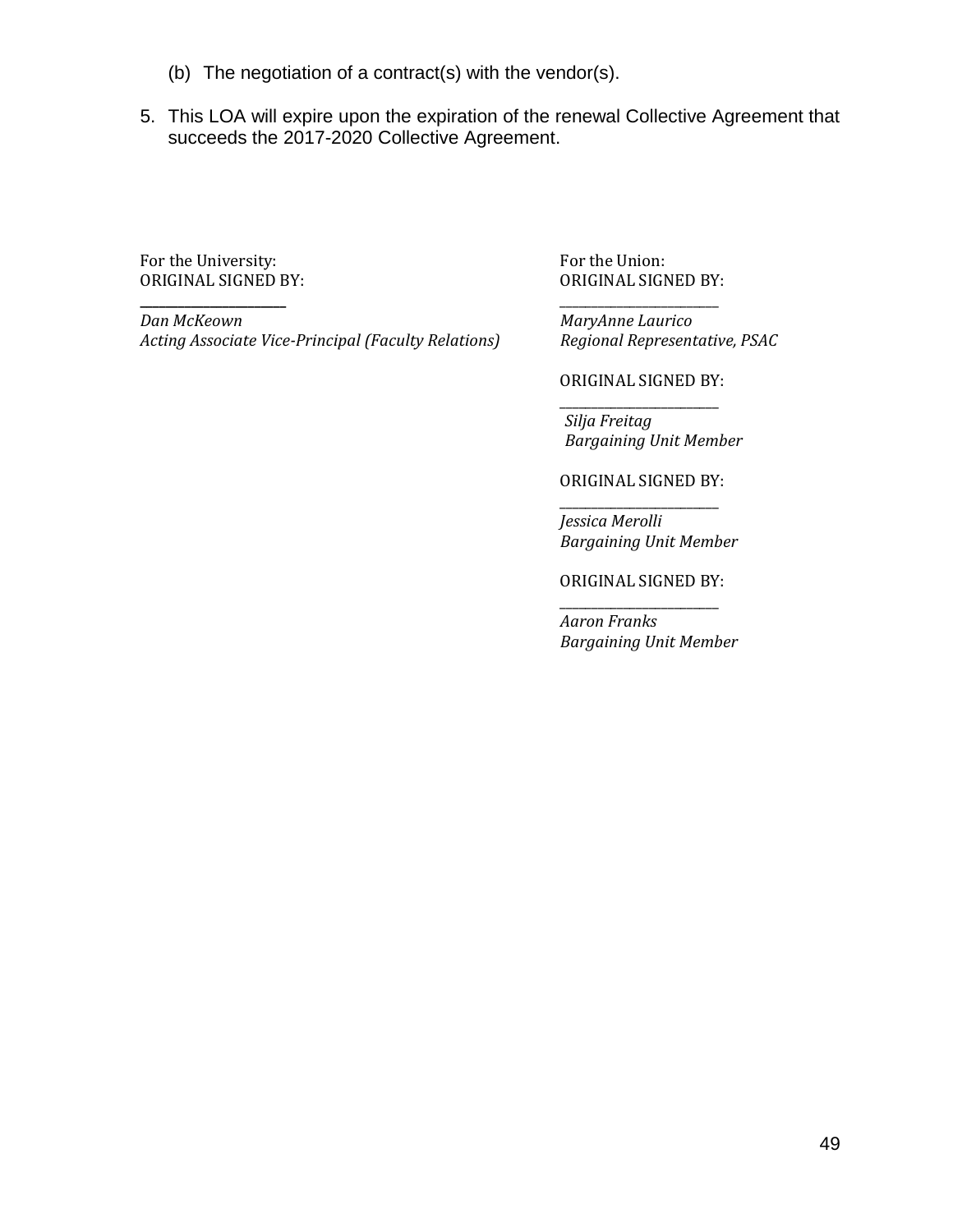- (b) The negotiation of a contract(s) with the vendor(s).
- 5. This LOA will expire upon the expiration of the renewal Collective Agreement that succeeds the 2017-2020 Collective Agreement.

For the University: **For the Union:** For the Union:

*Dan McKeown MaryAnne Laurico Acting Associate Vice-Principal (Faculty Relations) Regional Representative, PSAC* 

ORIGINAL SIGNED BY: ORIGINAL SIGNED BY:

**\_\_\_\_\_\_\_\_\_\_\_\_\_\_\_\_\_\_\_\_\_\_\_** \_\_\_\_\_\_\_\_\_\_\_\_\_\_\_\_\_\_\_\_\_\_\_\_\_

ORIGINAL SIGNED BY: \_\_\_\_\_\_\_\_\_\_\_\_\_\_\_\_\_\_\_\_\_\_\_\_\_

*Silja Freitag Bargaining Unit Member*

ORIGINAL SIGNED BY: \_\_\_\_\_\_\_\_\_\_\_\_\_\_\_\_\_\_\_\_\_\_\_\_\_

*Jessica Merolli Bargaining Unit Member*

ORIGINAL SIGNED BY: \_\_\_\_\_\_\_\_\_\_\_\_\_\_\_\_\_\_\_\_\_\_\_\_\_

*Aaron Franks Bargaining Unit Member*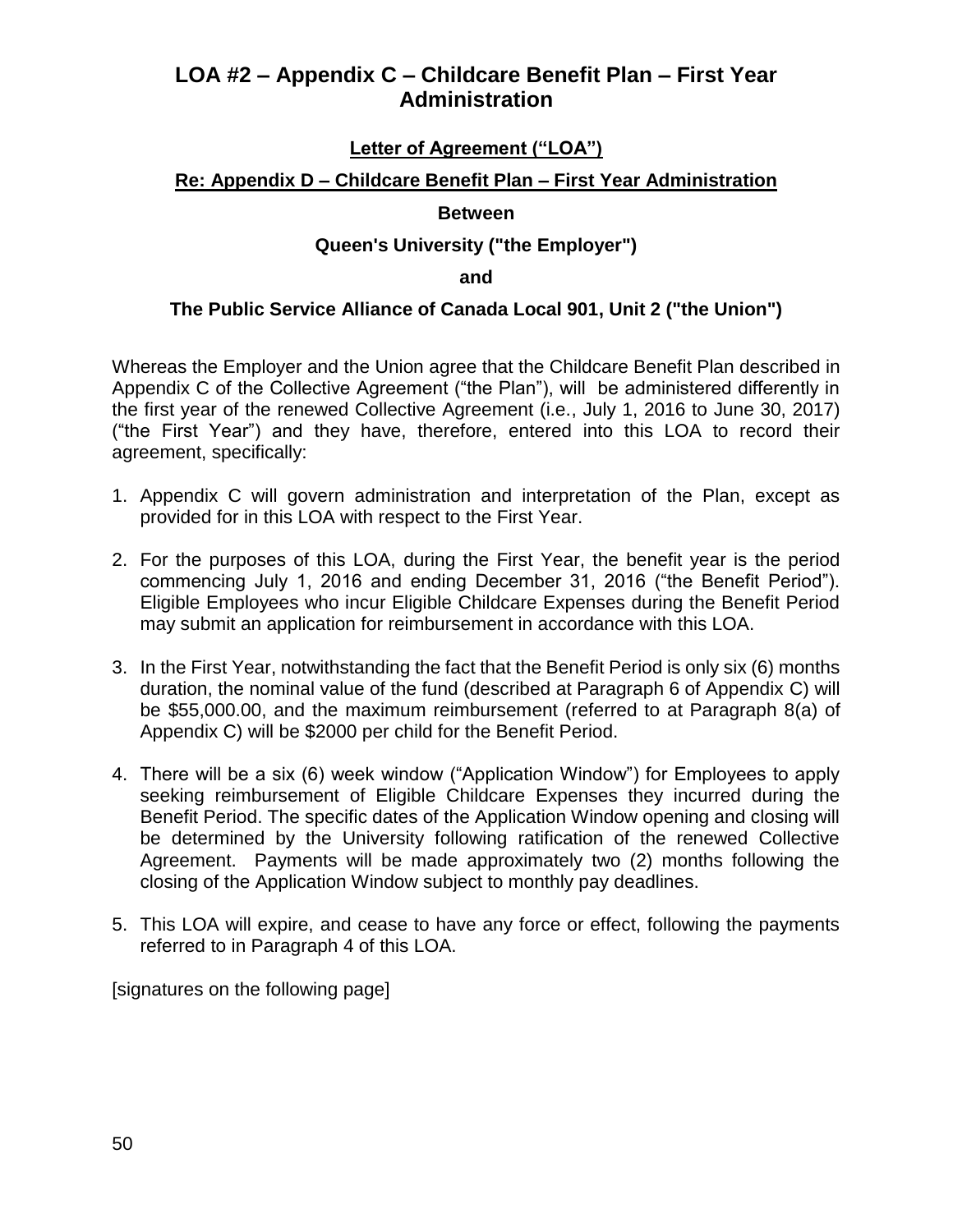## **LOA #2 – Appendix C – Childcare Benefit Plan – First Year Administration**

### **Letter of Agreement ("LOA")**

### **Re: Appendix D – Childcare Benefit Plan – First Year Administration**

### **Between**

### **Queen's University ("the Employer")**

#### **and**

### **The Public Service Alliance of Canada Local 901, Unit 2 ("the Union")**

Whereas the Employer and the Union agree that the Childcare Benefit Plan described in Appendix C of the Collective Agreement ("the Plan"), will be administered differently in the first year of the renewed Collective Agreement (i.e., July 1, 2016 to June 30, 2017) ("the First Year") and they have, therefore, entered into this LOA to record their agreement, specifically:

- 1. Appendix C will govern administration and interpretation of the Plan, except as provided for in this LOA with respect to the First Year.
- 2. For the purposes of this LOA, during the First Year, the benefit year is the period commencing July 1, 2016 and ending December 31, 2016 ("the Benefit Period"). Eligible Employees who incur Eligible Childcare Expenses during the Benefit Period may submit an application for reimbursement in accordance with this LOA.
- 3. In the First Year, notwithstanding the fact that the Benefit Period is only six (6) months duration, the nominal value of the fund (described at Paragraph 6 of Appendix C) will be \$55,000.00, and the maximum reimbursement (referred to at Paragraph 8(a) of Appendix C) will be \$2000 per child for the Benefit Period.
- 4. There will be a six (6) week window ("Application Window") for Employees to apply seeking reimbursement of Eligible Childcare Expenses they incurred during the Benefit Period. The specific dates of the Application Window opening and closing will be determined by the University following ratification of the renewed Collective Agreement. Payments will be made approximately two (2) months following the closing of the Application Window subject to monthly pay deadlines.
- 5. This LOA will expire, and cease to have any force or effect, following the payments referred to in Paragraph 4 of this LOA.

[signatures on the following page]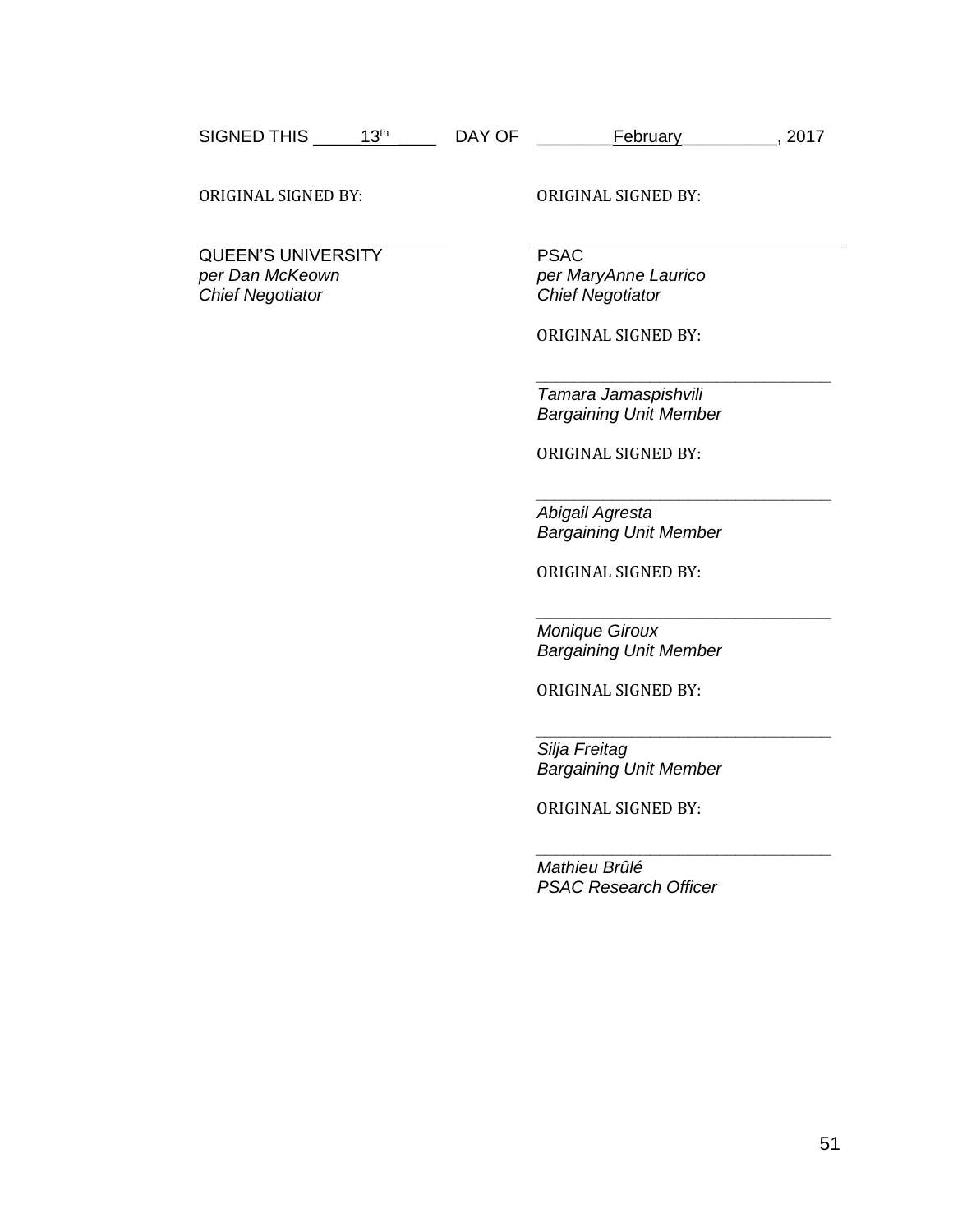| <b>SIGNED THIS</b> | oth | DAY OF | Februarv | 2017 |
|--------------------|-----|--------|----------|------|
|--------------------|-----|--------|----------|------|

ORIGINAL SIGNED BY: ORIGINAL SIGNED BY:

QUEEN'S UNIVERSITY *per Dan McKeown Chief Negotiator*

PSAC *per MaryAnne Laurico Chief Negotiator*

ORIGINAL SIGNED BY:

*Tamara Jamaspishvili Bargaining Unit Member*

*\_\_\_\_\_\_\_\_\_\_\_\_\_\_\_\_\_\_\_\_\_\_\_\_\_\_\_\_\_\_\_*

*\_\_\_\_\_\_\_\_\_\_\_\_\_\_\_\_\_\_\_\_\_\_\_\_\_\_\_\_\_\_\_*

*\_\_\_\_\_\_\_\_\_\_\_\_\_\_\_\_\_\_\_\_\_\_\_\_\_\_\_\_\_\_\_*

*\_\_\_\_\_\_\_\_\_\_\_\_\_\_\_\_\_\_\_\_\_\_\_\_\_\_\_\_\_\_\_*

ORIGINAL SIGNED BY:

*Abigail Agresta Bargaining Unit Member*

ORIGINAL SIGNED BY:

*Monique Giroux Bargaining Unit Member*

ORIGINAL SIGNED BY:

*\_\_\_\_\_\_\_\_\_\_\_\_\_\_\_\_\_\_\_\_\_\_\_\_\_\_\_\_\_\_\_ Silja Freitag Bargaining Unit Member*

ORIGINAL SIGNED BY:

*Mathieu Brûlé PSAC Research Officer*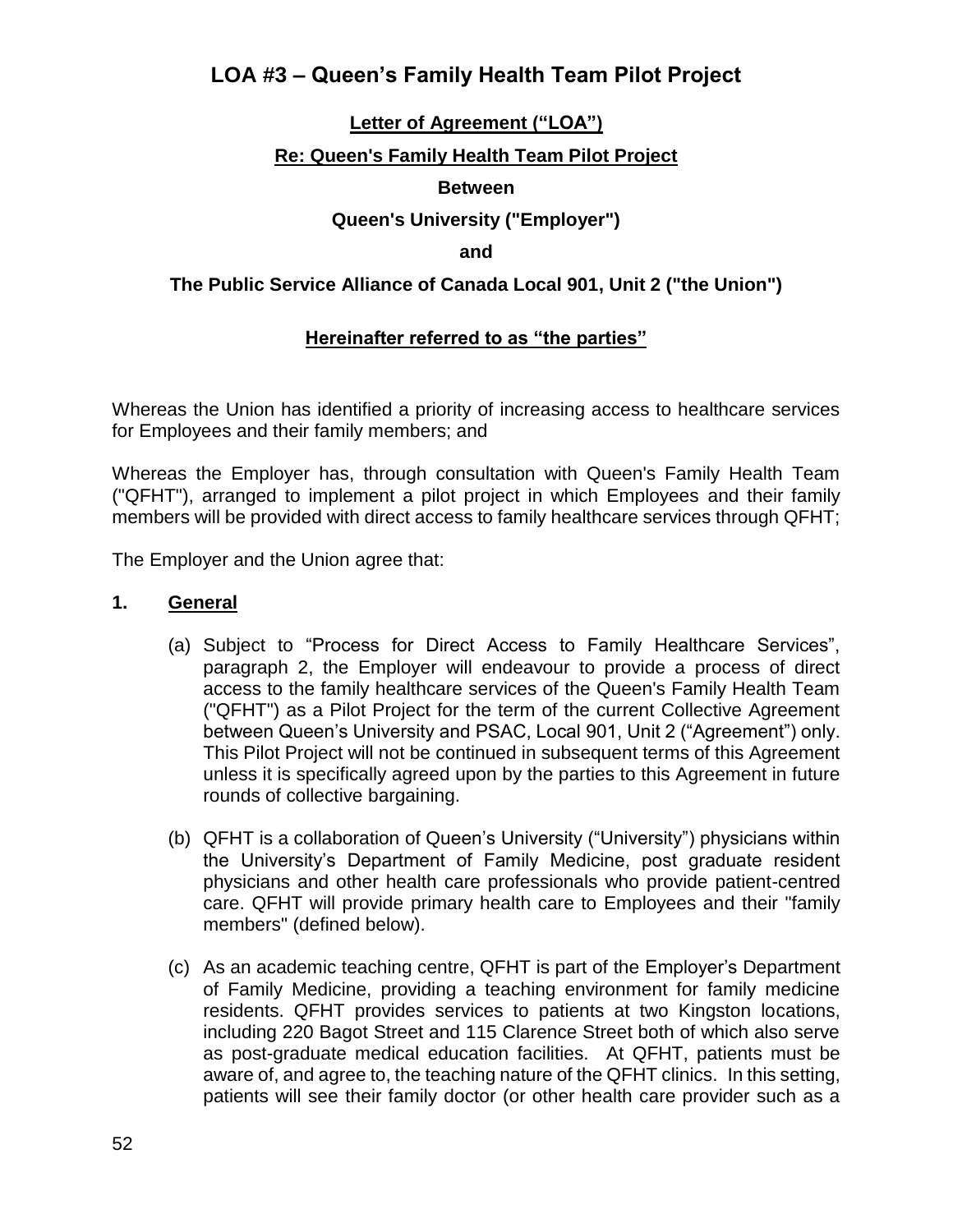## **LOA #3 – Queen's Family Health Team Pilot Project**

### **Letter of Agreement ("LOA")**

### **Re: Queen's Family Health Team Pilot Project**

### **Between**

### **Queen's University ("Employer")**

#### **and**

### **The Public Service Alliance of Canada Local 901, Unit 2 ("the Union")**

### **Hereinafter referred to as "the parties"**

Whereas the Union has identified a priority of increasing access to healthcare services for Employees and their family members; and

Whereas the Employer has, through consultation with Queen's Family Health Team ("QFHT"), arranged to implement a pilot project in which Employees and their family members will be provided with direct access to family healthcare services through QFHT;

The Employer and the Union agree that:

#### **1. General**

- (a) Subject to "Process for Direct Access to Family Healthcare Services", paragraph 2, the Employer will endeavour to provide a process of direct access to the family healthcare services of the Queen's Family Health Team ("QFHT") as a Pilot Project for the term of the current Collective Agreement between Queen's University and PSAC, Local 901, Unit 2 ("Agreement") only. This Pilot Project will not be continued in subsequent terms of this Agreement unless it is specifically agreed upon by the parties to this Agreement in future rounds of collective bargaining.
- (b) QFHT is a collaboration of Queen's University ("University") physicians within the University's Department of Family Medicine, post graduate resident physicians and other health care professionals who provide patient-centred care. QFHT will provide primary health care to Employees and their "family members" (defined below).
- (c) As an academic teaching centre, QFHT is part of the Employer's Department of Family Medicine, providing a teaching environment for family medicine residents. QFHT provides services to patients at two Kingston locations, including 220 Bagot Street and 115 Clarence Street both of which also serve as post-graduate medical education facilities. At QFHT, patients must be aware of, and agree to, the teaching nature of the QFHT clinics. In this setting, patients will see their family doctor (or other health care provider such as a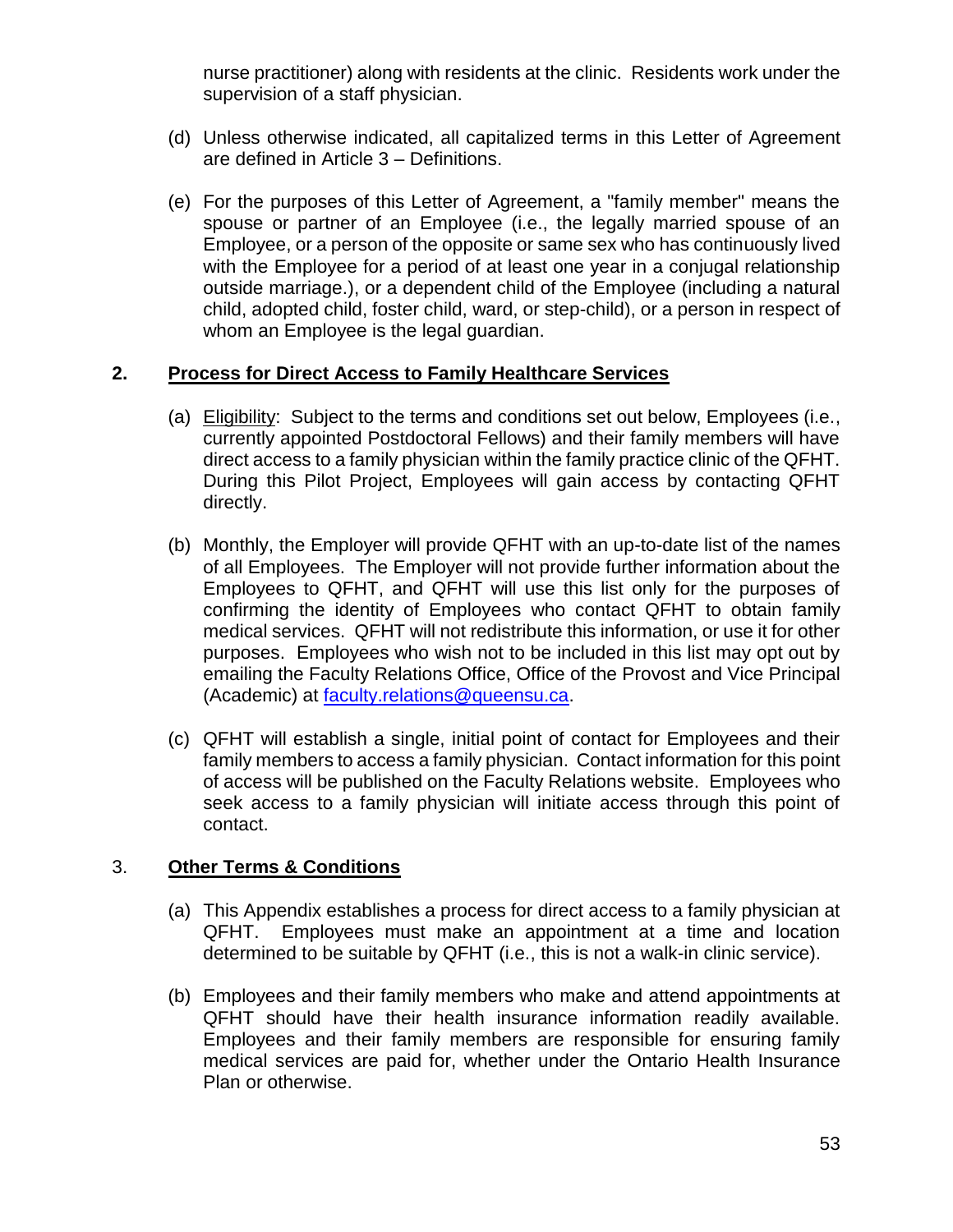nurse practitioner) along with residents at the clinic. Residents work under the supervision of a staff physician.

- (d) Unless otherwise indicated, all capitalized terms in this Letter of Agreement are defined in Article 3 – Definitions.
- (e) For the purposes of this Letter of Agreement, a "family member" means the spouse or partner of an Employee (i.e., the legally married spouse of an Employee, or a person of the opposite or same sex who has continuously lived with the Employee for a period of at least one year in a conjugal relationship outside marriage.), or a dependent child of the Employee (including a natural child, adopted child, foster child, ward, or step-child), or a person in respect of whom an Employee is the legal guardian.

### **2. Process for Direct Access to Family Healthcare Services**

- (a) Eligibility: Subject to the terms and conditions set out below, Employees (i.e., currently appointed Postdoctoral Fellows) and their family members will have direct access to a family physician within the family practice clinic of the QFHT. During this Pilot Project, Employees will gain access by contacting QFHT directly.
- (b) Monthly, the Employer will provide QFHT with an up-to-date list of the names of all Employees. The Employer will not provide further information about the Employees to QFHT, and QFHT will use this list only for the purposes of confirming the identity of Employees who contact QFHT to obtain family medical services. QFHT will not redistribute this information, or use it for other purposes. Employees who wish not to be included in this list may opt out by emailing the Faculty Relations Office, Office of the Provost and Vice Principal (Academic) at [faculty.relations@queensu.ca.](mailto:faculty.relations@queensu.ca)
- (c) QFHT will establish a single, initial point of contact for Employees and their family members to access a family physician. Contact information for this point of access will be published on the Faculty Relations website. Employees who seek access to a family physician will initiate access through this point of contact.

### 3. **Other Terms & Conditions**

- (a) This Appendix establishes a process for direct access to a family physician at QFHT. Employees must make an appointment at a time and location determined to be suitable by QFHT (i.e., this is not a walk-in clinic service).
- (b) Employees and their family members who make and attend appointments at QFHT should have their health insurance information readily available. Employees and their family members are responsible for ensuring family medical services are paid for, whether under the Ontario Health Insurance Plan or otherwise.